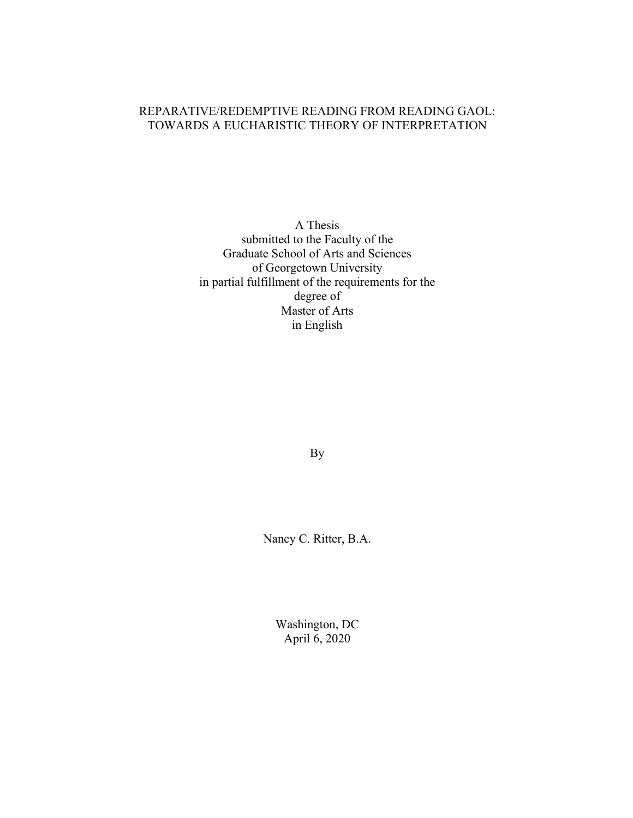# REPARATIVE/REDEMPTIVE READING FROM READING GAOL: TOWARDS A EUCHARISTIC THEORY OF INTERPRETATION

A Thesis submitted to the Faculty of the Graduate School of Arts and Sciences of Georgetown University in partial fulfillment of the requirements for the degree of Master of Arts in English

By

Nancy C. Ritter, B.A.

Washington, DC April 6, 2020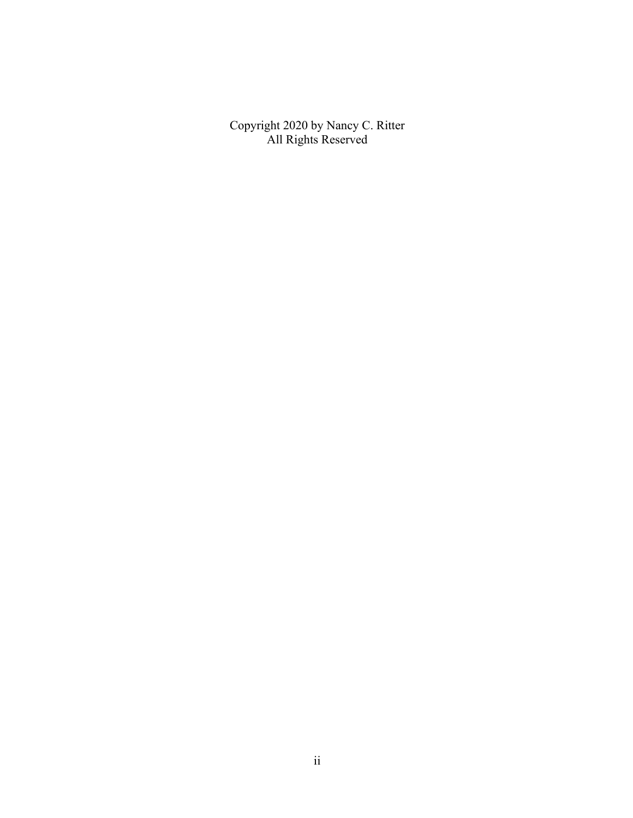Copyright 2020 by Nancy C. Ritter All Rights Reserved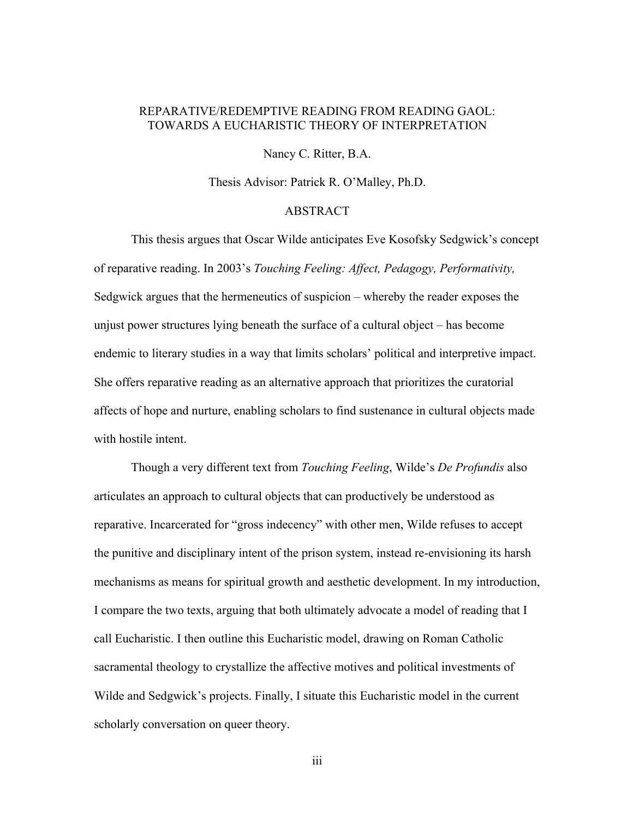### REPARATIVE/REDEMPTIVE READING FROM READING GAOL: TOWARDS A EUCHARISTIC THEORY OF INTERPRETATION

Nancy C. Ritter, B.A.

Thesis Advisor: Patrick R. O'Malley, Ph.D.

### ABSTRACT

This thesis argues that Oscar Wilde anticipates Eve Kosofsky Sedgwick's concept of reparative reading. In 2003's *Touching Feeling: Affect, Pedagogy, Performativity,* Sedgwick argues that the hermeneutics of suspicion – whereby the reader exposes the unjust power structures lying beneath the surface of a cultural object – has become endemic to literary studies in a way that limits scholars' political and interpretive impact. She offers reparative reading as an alternative approach that prioritizes the curatorial affects of hope and nurture, enabling scholars to find sustenance in cultural objects made with hostile intent.

Though a very different text from *Touching Feeling*, Wilde's *De Profundis* also articulates an approach to cultural objects that can productively be understood as reparative. Incarcerated for "gross indecency" with other men, Wilde refuses to accept the punitive and disciplinary intent of the prison system, instead re-envisioning its harsh mechanisms as means for spiritual growth and aesthetic development. In my introduction, I compare the two texts, arguing that both ultimately advocate a model of reading that I call Eucharistic. I then outline this Eucharistic model, drawing on Roman Catholic sacramental theology to crystallize the affective motives and political investments of Wilde and Sedgwick's projects. Finally, I situate this Eucharistic model in the current scholarly conversation on queer theory.

iii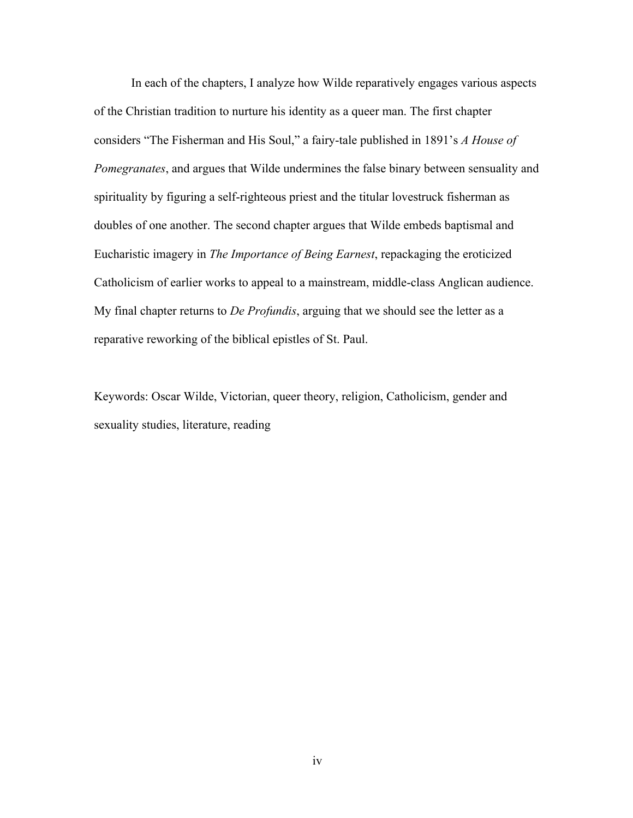In each of the chapters, I analyze how Wilde reparatively engages various aspects of the Christian tradition to nurture his identity as a queer man. The first chapter considers "The Fisherman and His Soul," a fairy-tale published in 1891's *A House of Pomegranates*, and argues that Wilde undermines the false binary between sensuality and spirituality by figuring a self-righteous priest and the titular lovestruck fisherman as doubles of one another. The second chapter argues that Wilde embeds baptismal and Eucharistic imagery in *The Importance of Being Earnest*, repackaging the eroticized Catholicism of earlier works to appeal to a mainstream, middle-class Anglican audience. My final chapter returns to *De Profundis*, arguing that we should see the letter as a reparative reworking of the biblical epistles of St. Paul.

Keywords: Oscar Wilde, Victorian, queer theory, religion, Catholicism, gender and sexuality studies, literature, reading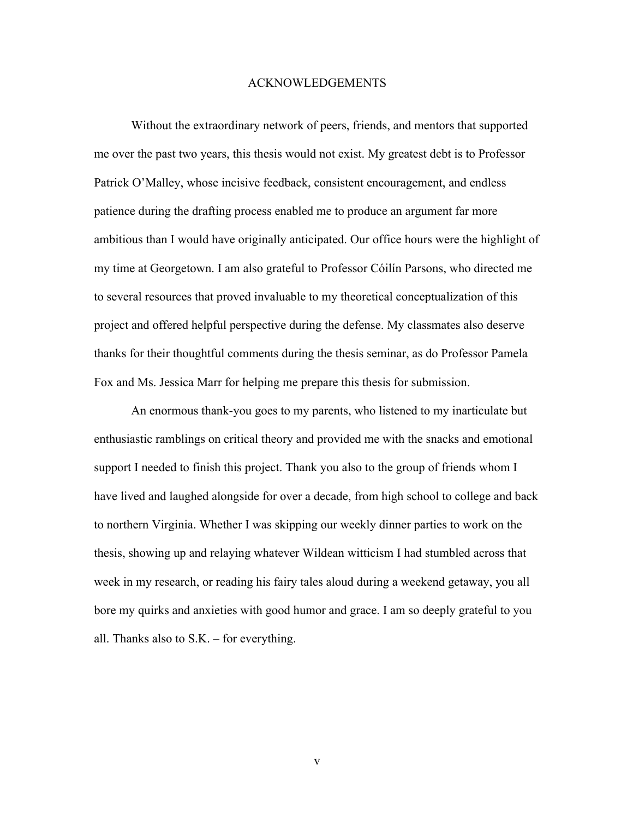#### ACKNOWLEDGEMENTS

Without the extraordinary network of peers, friends, and mentors that supported me over the past two years, this thesis would not exist. My greatest debt is to Professor Patrick O'Malley, whose incisive feedback, consistent encouragement, and endless patience during the drafting process enabled me to produce an argument far more ambitious than I would have originally anticipated. Our office hours were the highlight of my time at Georgetown. I am also grateful to Professor Cóilín Parsons, who directed me to several resources that proved invaluable to my theoretical conceptualization of this project and offered helpful perspective during the defense. My classmates also deserve thanks for their thoughtful comments during the thesis seminar, as do Professor Pamela Fox and Ms. Jessica Marr for helping me prepare this thesis for submission.

An enormous thank-you goes to my parents, who listened to my inarticulate but enthusiastic ramblings on critical theory and provided me with the snacks and emotional support I needed to finish this project. Thank you also to the group of friends whom I have lived and laughed alongside for over a decade, from high school to college and back to northern Virginia. Whether I was skipping our weekly dinner parties to work on the thesis, showing up and relaying whatever Wildean witticism I had stumbled across that week in my research, or reading his fairy tales aloud during a weekend getaway, you all bore my quirks and anxieties with good humor and grace. I am so deeply grateful to you all. Thanks also to S.K. – for everything.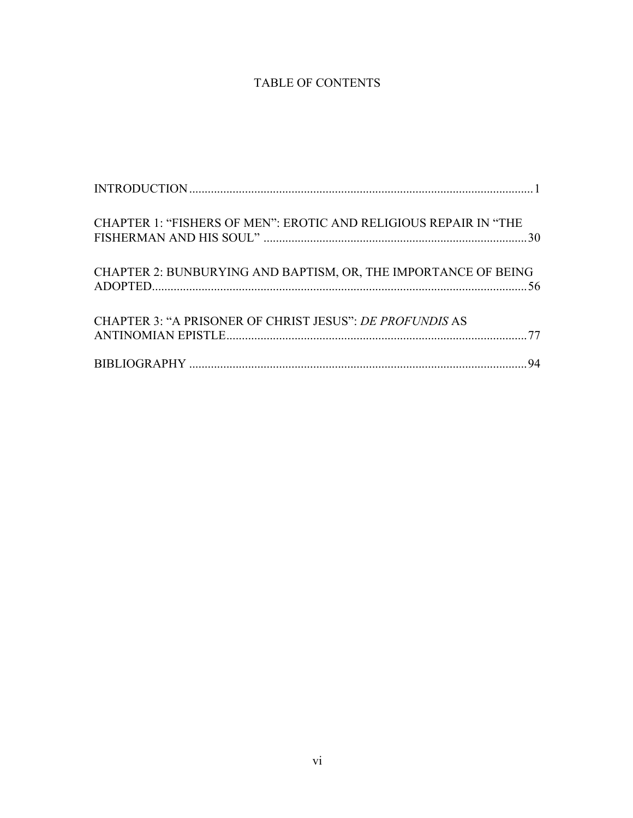# TABLE OF CONTENTS

| CHAPTER 1: "FISHERS OF MEN": EROTIC AND RELIGIOUS REPAIR IN "THE |
|------------------------------------------------------------------|
| CHAPTER 2: BUNBURYING AND BAPTISM, OR, THE IMPORTANCE OF BEING   |
| CHAPTER 3: "A PRISONER OF CHRIST JESUS": DE PROFUNDIS AS         |
|                                                                  |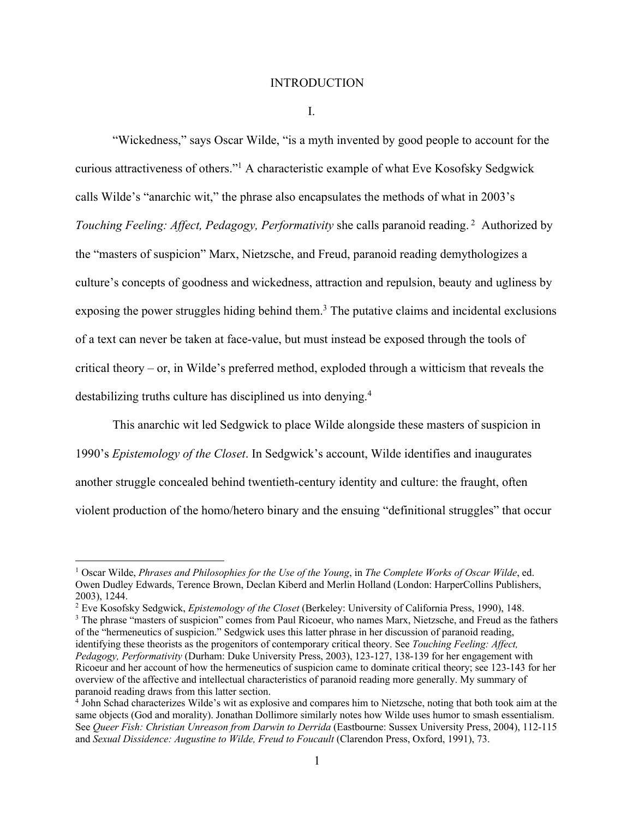#### INTRODUCTION

I.

"Wickedness," says Oscar Wilde, "is a myth invented by good people to account for the curious attractiveness of others."1 A characteristic example of what Eve Kosofsky Sedgwick calls Wilde's "anarchic wit," the phrase also encapsulates the methods of what in 2003's *Touching Feeling: Affect, Pedagogy, Performativity* she calls paranoid reading. 2 Authorized by the "masters of suspicion" Marx, Nietzsche, and Freud, paranoid reading demythologizes a culture's concepts of goodness and wickedness, attraction and repulsion, beauty and ugliness by exposing the power struggles hiding behind them.<sup>3</sup> The putative claims and incidental exclusions of a text can never be taken at face-value, but must instead be exposed through the tools of critical theory – or, in Wilde's preferred method, exploded through a witticism that reveals the destabilizing truths culture has disciplined us into denying.<sup>4</sup>

This anarchic wit led Sedgwick to place Wilde alongside these masters of suspicion in 1990's *Epistemology of the Closet*. In Sedgwick's account, Wilde identifies and inaugurates another struggle concealed behind twentieth-century identity and culture: the fraught, often violent production of the homo/hetero binary and the ensuing "definitional struggles" that occur

<sup>1</sup> Oscar Wilde, *Phrases and Philosophies for the Use of the Young*, in *The Complete Works of Oscar Wilde*, ed. Owen Dudley Edwards, Terence Brown, Declan Kiberd and Merlin Holland (London: HarperCollins Publishers, 2003), 1244.<br><sup>2</sup> Eve Kosofsky Sedgwick, *Epistemology of the Closet* (Berkeley: University of California Press, 1990), 148.<br><sup>3</sup> The phrase "masters of suspicion" comes from Paul Ricoeur, who names Marx, Nietzsche, and Freu

of the "hermeneutics of suspicion." Sedgwick uses this latter phrase in her discussion of paranoid reading, identifying these theorists as the progenitors of contemporary critical theory. See *Touching Feeling: Affect, Pedagogy, Performativity* (Durham: Duke University Press, 2003), 123-127, 138-139 for her engagement with Ricoeur and her account of how the hermeneutics of suspicion came to dominate critical theory; see 123-143 for her overview of the affective and intellectual characteristics of paranoid reading more generally. My summary of paranoid reading draws from this latter section.

<sup>4</sup> John Schad characterizes Wilde's wit as explosive and compares him to Nietzsche, noting that both took aim at the same objects (God and morality). Jonathan Dollimore similarly notes how Wilde uses humor to smash essentialism. See *Queer Fish: Christian Unreason from Darwin to Derrida* (Eastbourne: Sussex University Press, 2004), 112-115 and *Sexual Dissidence: Augustine to Wilde, Freud to Foucault* (Clarendon Press, Oxford, 1991), 73.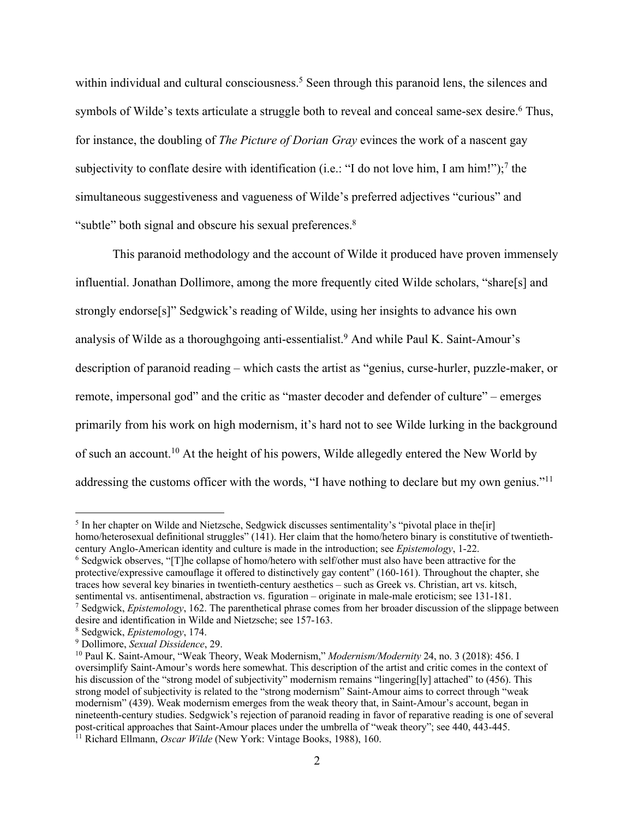within individual and cultural consciousness.<sup>5</sup> Seen through this paranoid lens, the silences and symbols of Wilde's texts articulate a struggle both to reveal and conceal same-sex desire.<sup>6</sup> Thus, for instance, the doubling of *The Picture of Dorian Gray* evinces the work of a nascent gay subjectivity to conflate desire with identification (i.e.: "I do not love him, I am him!");<sup>7</sup> the simultaneous suggestiveness and vagueness of Wilde's preferred adjectives "curious" and "subtle" both signal and obscure his sexual preferences.<sup>8</sup>

This paranoid methodology and the account of Wilde it produced have proven immensely influential. Jonathan Dollimore, among the more frequently cited Wilde scholars, "share[s] and strongly endorse[s]" Sedgwick's reading of Wilde, using her insights to advance his own analysis of Wilde as a thoroughgoing anti-essentialist.9 And while Paul K. Saint-Amour's description of paranoid reading – which casts the artist as "genius, curse-hurler, puzzle-maker, or remote, impersonal god" and the critic as "master decoder and defender of culture" – emerges primarily from his work on high modernism, it's hard not to see Wilde lurking in the background of such an account.10 At the height of his powers, Wilde allegedly entered the New World by addressing the customs officer with the words, "I have nothing to declare but my own genius."<sup>11</sup>

<sup>5</sup> In her chapter on Wilde and Nietzsche, Sedgwick discusses sentimentality's "pivotal place in the[ir] homo/heterosexual definitional struggles" (141). Her claim that the homo/hetero binary is constitutive of twentiethcentury Anglo-American identity and culture is made in the introduction; see *Epistemology*, 1-22.<br><sup>6</sup> Sedgwick observes, "[T]he collapse of homo/hetero with self/other must also have been attractive for the

protective/expressive camouflage it offered to distinctively gay content" (160-161). Throughout the chapter, she traces how several key binaries in twentieth-century aesthetics – such as Greek vs. Christian, art vs. kitsch,  $\frac{7}{2}$  Sedgwick, *Epistemology*, 162. The parenthetical phrase comes from her broader discussion of the slippage between desire and identification in Wilde and Nietzsche; see 157-163.<br><sup>8</sup> Sedgwick, *Epistemology*, 174.

<sup>&</sup>lt;sup>9</sup> Dollimore, *Sexual Dissidence*, 29. *10* Paul K. Saint-Amour, "Weak Modernism," *Modernism/Modernity* 24, no. 3 (2018): 456. I oversimplify Saint-Amour's words here somewhat. This description of the artist and critic comes in the context of his discussion of the "strong model of subjectivity" modernism remains "lingering[ly] attached" to (456). This strong model of subjectivity is related to the "strong modernism" Saint-Amour aims to correct through "weak modernism" (439). Weak modernism emerges from the weak theory that, in Saint-Amour's account, began in nineteenth-century studies. Sedgwick's rejection of paranoid reading in favor of reparative reading is one of several post-critical approaches that Saint-Amour places under the umbrella of "weak theory"; see 440, 443-445. 11 Richard Ellmann, *Oscar Wilde* (New York: Vintage Books, 1988), 160.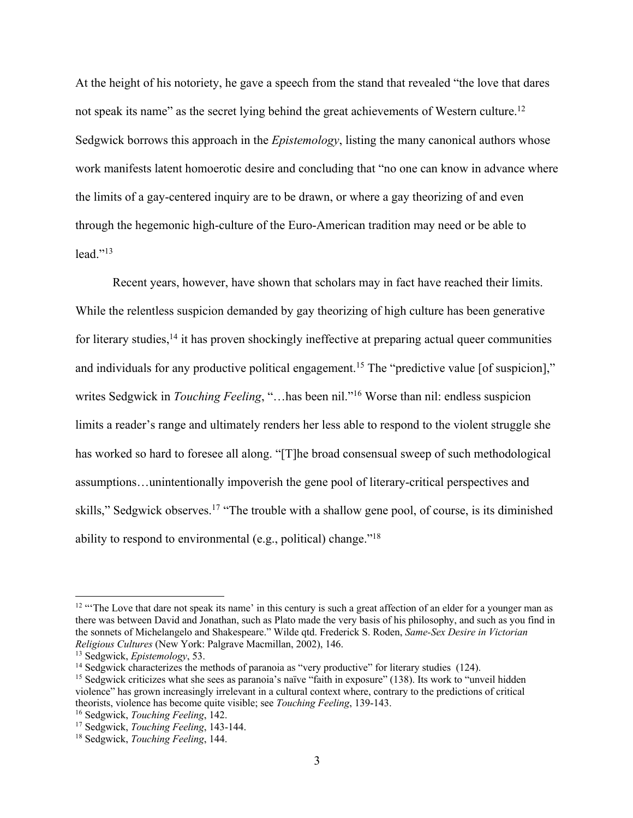At the height of his notoriety, he gave a speech from the stand that revealed "the love that dares not speak its name" as the secret lying behind the great achievements of Western culture.<sup>12</sup> Sedgwick borrows this approach in the *Epistemology*, listing the many canonical authors whose work manifests latent homoerotic desire and concluding that "no one can know in advance where the limits of a gay-centered inquiry are to be drawn, or where a gay theorizing of and even through the hegemonic high-culture of the Euro-American tradition may need or be able to  $lead.$ <sup> $, 13$ </sup>

Recent years, however, have shown that scholars may in fact have reached their limits. While the relentless suspicion demanded by gay theorizing of high culture has been generative for literary studies, $14$  it has proven shockingly ineffective at preparing actual queer communities and individuals for any productive political engagement.<sup>15</sup> The "predictive value [of suspicion]," writes Sedgwick in *Touching Feeling*, "…has been nil."16 Worse than nil: endless suspicion limits a reader's range and ultimately renders her less able to respond to the violent struggle she has worked so hard to foresee all along. "[T]he broad consensual sweep of such methodological assumptions…unintentionally impoverish the gene pool of literary-critical perspectives and skills," Sedgwick observes.<sup>17</sup> "The trouble with a shallow gene pool, of course, is its diminished ability to respond to environmental (e.g., political) change."18

<sup>&</sup>lt;sup>12</sup> "The Love that dare not speak its name' in this century is such a great affection of an elder for a younger man as there was between David and Jonathan, such as Plato made the very basis of his philosophy, and such as you find in the sonnets of Michelangelo and Shakespeare." Wilde qtd. Frederick S. Roden, *Same-Sex Desire in Victorian*  Religious Cultures (New York: Palgrave Macmillan, 2002), 146.<br><sup>13</sup> Sedgwick, *Epistemology*, 53.<br><sup>14</sup> Sedgwick characterizes the methods of paranoia as "very productive" for literary studies (124).<br><sup>15</sup> Sedgwick criticizes

violence" has grown increasingly irrelevant in a cultural context where, contrary to the predictions of critical theorists, violence has become quite visible; see *Touching Feeling*, 139-143.<br><sup>16</sup> Sedgwick, *Touching Feeling*, 142.<br><sup>17</sup> Sedgwick, *Touching Feeling*, 143-144.<br><sup>18</sup> Sedgwick, *Touching Feeling*, 144.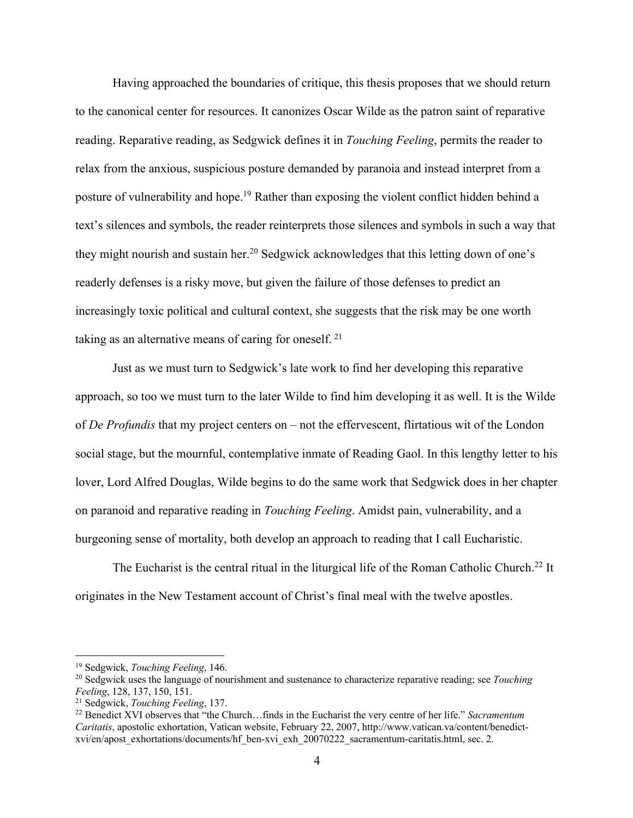Having approached the boundaries of critique, this thesis proposes that we should return to the canonical center for resources. It canonizes Oscar Wilde as the patron saint of reparative reading. Reparative reading, as Sedgwick defines it in *Touching Feeling*, permits the reader to relax from the anxious, suspicious posture demanded by paranoia and instead interpret from a posture of vulnerability and hope.19 Rather than exposing the violent conflict hidden behind a text's silences and symbols, the reader reinterprets those silences and symbols in such a way that they might nourish and sustain her.<sup>20</sup> Sedgwick acknowledges that this letting down of one's readerly defenses is a risky move, but given the failure of those defenses to predict an increasingly toxic political and cultural context, she suggests that the risk may be one worth taking as an alternative means of caring for oneself.<sup>21</sup>

Just as we must turn to Sedgwick's late work to find her developing this reparative approach, so too we must turn to the later Wilde to find him developing it as well. It is the Wilde of *De Profundis* that my project centers on – not the effervescent, flirtatious wit of the London social stage, but the mournful, contemplative inmate of Reading Gaol. In this lengthy letter to his lover, Lord Alfred Douglas, Wilde begins to do the same work that Sedgwick does in her chapter on paranoid and reparative reading in *Touching Feeling*. Amidst pain, vulnerability, and a burgeoning sense of mortality, both develop an approach to reading that I call Eucharistic.

The Eucharist is the central ritual in the liturgical life of the Roman Catholic Church.<sup>22</sup> It originates in the New Testament account of Christ's final meal with the twelve apostles.

<sup>&</sup>lt;sup>19</sup> Sedgwick, *Touching Feeling*, 146.<br><sup>20</sup> Sedgwick uses the language of nourishment and sustenance to characterize reparative reading; see *Touching Feeling*, 128, 137, 150, 151.<br><sup>21</sup> Sedgwick, *Touching Feeling*, 137.<br><sup>22</sup> Benedict XVI observes that "the Church…finds in the Eucharist the very centre of her life." *Sacramentum* 

*Caritatis*, apostolic exhortation, Vatican website, February 22, 2007, http://www.vatican.va/content/benedictxvi/en/apost\_exhortations/documents/hf\_ben-xvi\_exh\_20070222\_sacramentum-caritatis.html, sec. 2.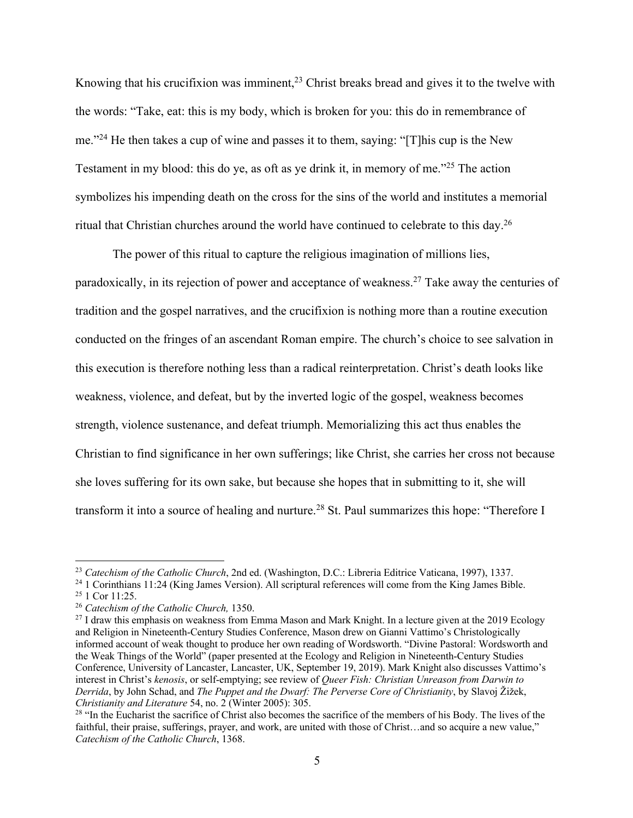Knowing that his crucifixion was imminent,<sup>23</sup> Christ breaks bread and gives it to the twelve with the words: "Take, eat: this is my body, which is broken for you: this do in remembrance of me."24 He then takes a cup of wine and passes it to them, saying: "[T]his cup is the New Testament in my blood: this do ye, as oft as ye drink it, in memory of me."25 The action symbolizes his impending death on the cross for the sins of the world and institutes a memorial ritual that Christian churches around the world have continued to celebrate to this day.26

The power of this ritual to capture the religious imagination of millions lies, paradoxically, in its rejection of power and acceptance of weakness.27 Take away the centuries of tradition and the gospel narratives, and the crucifixion is nothing more than a routine execution conducted on the fringes of an ascendant Roman empire. The church's choice to see salvation in this execution is therefore nothing less than a radical reinterpretation. Christ's death looks like weakness, violence, and defeat, but by the inverted logic of the gospel, weakness becomes strength, violence sustenance, and defeat triumph. Memorializing this act thus enables the Christian to find significance in her own sufferings; like Christ, she carries her cross not because she loves suffering for its own sake, but because she hopes that in submitting to it, she will transform it into a source of healing and nurture.<sup>28</sup> St. Paul summarizes this hope: "Therefore I

<sup>&</sup>lt;sup>23</sup> Catechism of the Catholic Church, 2nd ed. (Washington, D.C.: Libreria Editrice Vaticana, 1997), 1337.<br><sup>24</sup> 1 Corinthians 11:24 (King James Version). All scriptural references will come from the King James Bible.<br><sup>25</sup>

and Religion in Nineteenth-Century Studies Conference, Mason drew on Gianni Vattimo's Christologically informed account of weak thought to produce her own reading of Wordsworth. "Divine Pastoral: Wordsworth and the Weak Things of the World" (paper presented at the Ecology and Religion in Nineteenth-Century Studies Conference, University of Lancaster, Lancaster, UK, September 19, 2019). Mark Knight also discusses Vattimo's interest in Christ's *kenosis*, or self-emptying; see review of *Queer Fish: Christian Unreason from Darwin to Derrida*, by John Schad, and *The Puppet and the Dwarf: The Perverse Core of Christianity*, by Slavoj Žižek, *Christianity and Literature* 54, no. 2 (Winter 2005): 305.<br><sup>28</sup> "In the Eucharist the sacrifice of Christ also becomes the sacrifice of the members of his Body. The lives of the

faithful, their praise, sufferings, prayer, and work, are united with those of Christ…and so acquire a new value," *Catechism of the Catholic Church*, 1368.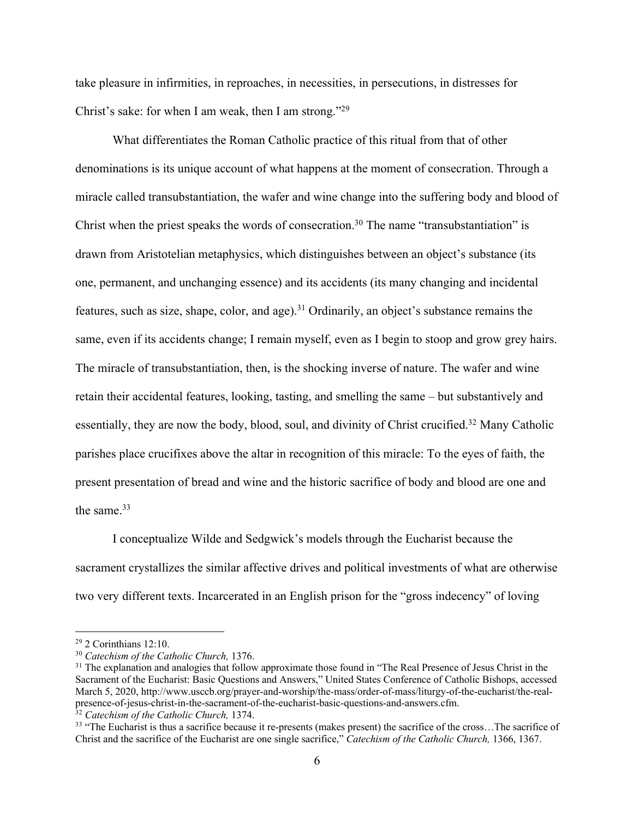take pleasure in infirmities, in reproaches, in necessities, in persecutions, in distresses for Christ's sake: for when I am weak, then I am strong."29

What differentiates the Roman Catholic practice of this ritual from that of other denominations is its unique account of what happens at the moment of consecration. Through a miracle called transubstantiation, the wafer and wine change into the suffering body and blood of Christ when the priest speaks the words of consecration.<sup>30</sup> The name "transubstantiation" is drawn from Aristotelian metaphysics, which distinguishes between an object's substance (its one, permanent, and unchanging essence) and its accidents (its many changing and incidental features, such as size, shape, color, and age).<sup>31</sup> Ordinarily, an object's substance remains the same, even if its accidents change; I remain myself, even as I begin to stoop and grow grey hairs. The miracle of transubstantiation, then, is the shocking inverse of nature. The wafer and wine retain their accidental features, looking, tasting, and smelling the same – but substantively and essentially, they are now the body, blood, soul, and divinity of Christ crucified.32 Many Catholic parishes place crucifixes above the altar in recognition of this miracle: To the eyes of faith, the present presentation of bread and wine and the historic sacrifice of body and blood are one and the same.<sup>33</sup>

I conceptualize Wilde and Sedgwick's models through the Eucharist because the sacrament crystallizes the similar affective drives and political investments of what are otherwise two very different texts. Incarcerated in an English prison for the "gross indecency" of loving

<sup>&</sup>lt;sup>29</sup> 2 Corinthians 12:10.<br><sup>30</sup> *Catechism of the Catholic Church*, 1376.<br><sup>31</sup> The explanation and analogies that follow approximate those found in "The Real Presence of Jesus Christ in the Sacrament of the Eucharist: Basic Questions and Answers," United States Conference of Catholic Bishops, accessed March 5, 2020, http://www.usccb.org/prayer-and-worship/the-mass/order-of-mass/liturgy-of-the-eucharist/the-real-<br>presence-of-jesus-christ-in-the-sacrament-of-the-eucharist-basic-questions-and-answers.cfm.

 $\frac{32}{32}$  Catechism of the Catholic Church, 1374.<br><sup>33</sup> "The Eucharist is thus a sacrifice because it re-presents (makes present) the sacrifice of the cross...The sacrifice of Christ and the sacrifice of the Eucharist are one single sacrifice," *Catechism of the Catholic Church,* 1366, 1367.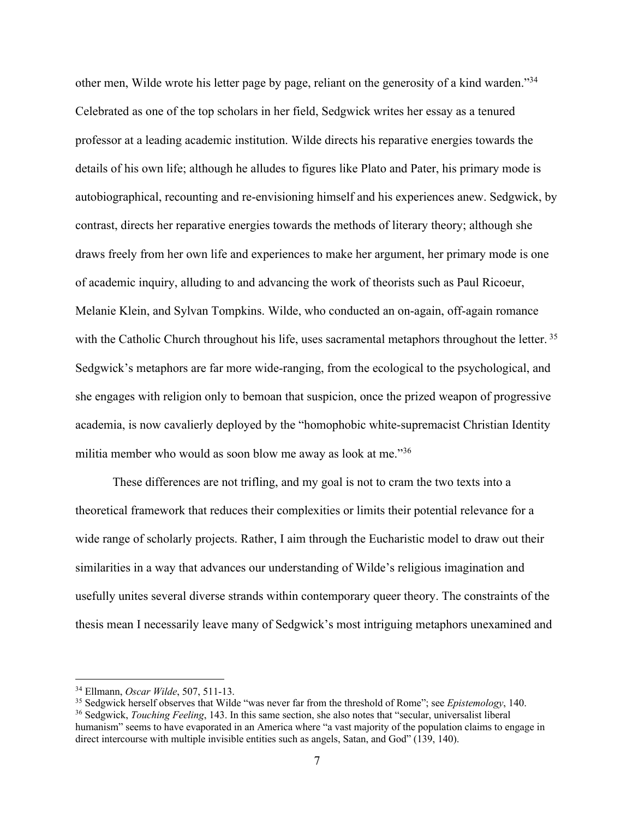other men, Wilde wrote his letter page by page, reliant on the generosity of a kind warden."34 Celebrated as one of the top scholars in her field, Sedgwick writes her essay as a tenured professor at a leading academic institution. Wilde directs his reparative energies towards the details of his own life; although he alludes to figures like Plato and Pater, his primary mode is autobiographical, recounting and re-envisioning himself and his experiences anew. Sedgwick, by contrast, directs her reparative energies towards the methods of literary theory; although she draws freely from her own life and experiences to make her argument, her primary mode is one of academic inquiry, alluding to and advancing the work of theorists such as Paul Ricoeur, Melanie Klein, and Sylvan Tompkins. Wilde, who conducted an on-again, off-again romance with the Catholic Church throughout his life, uses sacramental metaphors throughout the letter.<sup>35</sup> Sedgwick's metaphors are far more wide-ranging, from the ecological to the psychological, and she engages with religion only to bemoan that suspicion, once the prized weapon of progressive academia, is now cavalierly deployed by the "homophobic white-supremacist Christian Identity militia member who would as soon blow me away as look at me."36

These differences are not trifling, and my goal is not to cram the two texts into a theoretical framework that reduces their complexities or limits their potential relevance for a wide range of scholarly projects. Rather, I aim through the Eucharistic model to draw out their similarities in a way that advances our understanding of Wilde's religious imagination and usefully unites several diverse strands within contemporary queer theory. The constraints of the thesis mean I necessarily leave many of Sedgwick's most intriguing metaphors unexamined and

<sup>&</sup>lt;sup>34</sup> Ellmann, *Oscar Wilde*, 507, 511-13.<br><sup>35</sup> Sedgwick herself observes that Wilde "was never far from the threshold of Rome"; see *Epistemology*, 140.<br><sup>36</sup> Sedgwick, *Touching Feeling*, 143. In this same section, she al

humanism" seems to have evaporated in an America where "a vast majority of the population claims to engage in direct intercourse with multiple invisible entities such as angels, Satan, and God" (139, 140).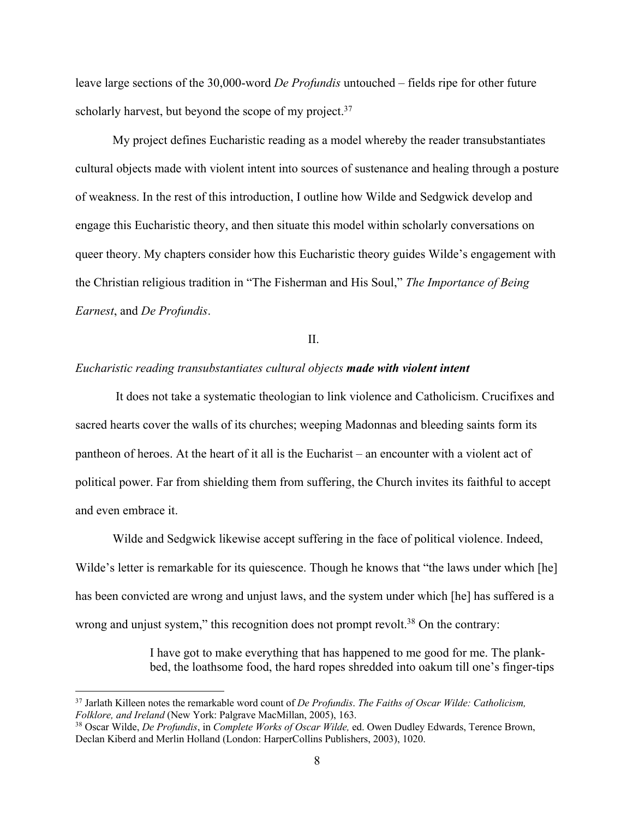leave large sections of the 30,000-word *De Profundis* untouched – fields ripe for other future scholarly harvest, but beyond the scope of my project. $37$ 

My project defines Eucharistic reading as a model whereby the reader transubstantiates cultural objects made with violent intent into sources of sustenance and healing through a posture of weakness. In the rest of this introduction, I outline how Wilde and Sedgwick develop and engage this Eucharistic theory, and then situate this model within scholarly conversations on queer theory. My chapters consider how this Eucharistic theory guides Wilde's engagement with the Christian religious tradition in "The Fisherman and His Soul," *The Importance of Being Earnest*, and *De Profundis*.

II.

#### *Eucharistic reading transubstantiates cultural objects made with violent intent*

It does not take a systematic theologian to link violence and Catholicism. Crucifixes and sacred hearts cover the walls of its churches; weeping Madonnas and bleeding saints form its pantheon of heroes. At the heart of it all is the Eucharist – an encounter with a violent act of political power. Far from shielding them from suffering, the Church invites its faithful to accept and even embrace it.

Wilde and Sedgwick likewise accept suffering in the face of political violence. Indeed, Wilde's letter is remarkable for its quiescence. Though he knows that "the laws under which [he] has been convicted are wrong and unjust laws, and the system under which [he] has suffered is a wrong and unjust system," this recognition does not prompt revolt.<sup>38</sup> On the contrary:

> I have got to make everything that has happened to me good for me. The plankbed, the loathsome food, the hard ropes shredded into oakum till one's finger-tips

<sup>37</sup> Jarlath Killeen notes the remarkable word count of *De Profundis*. *The Faiths of Oscar Wilde: Catholicism, Folklore, and Ireland* (New York: Palgrave MacMillan, 2005), 163.<br><sup>38</sup> Oscar Wilde, *De Profundis*, in *Complete Works of Oscar Wilde*, ed. Owen Dudley Edwards, Terence Brown,

Declan Kiberd and Merlin Holland (London: HarperCollins Publishers, 2003), 1020.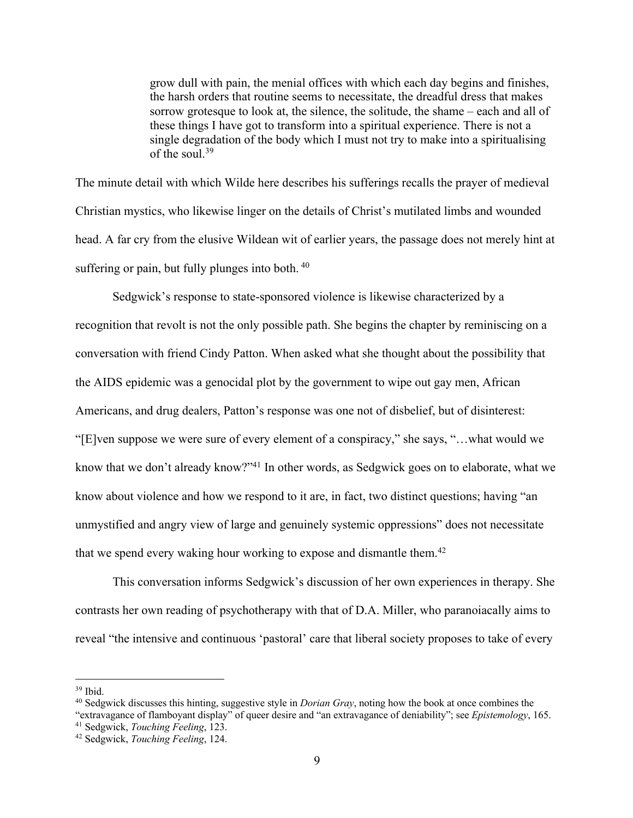grow dull with pain, the menial offices with which each day begins and finishes, the harsh orders that routine seems to necessitate, the dreadful dress that makes sorrow grotesque to look at, the silence, the solitude, the shame – each and all of these things I have got to transform into a spiritual experience. There is not a single degradation of the body which I must not try to make into a spiritualising of the soul.39

The minute detail with which Wilde here describes his sufferings recalls the prayer of medieval Christian mystics, who likewise linger on the details of Christ's mutilated limbs and wounded head. A far cry from the elusive Wildean wit of earlier years, the passage does not merely hint at suffering or pain, but fully plunges into both. 40

Sedgwick's response to state-sponsored violence is likewise characterized by a recognition that revolt is not the only possible path. She begins the chapter by reminiscing on a conversation with friend Cindy Patton. When asked what she thought about the possibility that the AIDS epidemic was a genocidal plot by the government to wipe out gay men, African Americans, and drug dealers, Patton's response was one not of disbelief, but of disinterest: "[E]ven suppose we were sure of every element of a conspiracy," she says, "…what would we know that we don't already know?"<sup>41</sup> In other words, as Sedgwick goes on to elaborate, what we know about violence and how we respond to it are, in fact, two distinct questions; having "an unmystified and angry view of large and genuinely systemic oppressions" does not necessitate that we spend every waking hour working to expose and dismantle them.<sup>42</sup>

This conversation informs Sedgwick's discussion of her own experiences in therapy. She contrasts her own reading of psychotherapy with that of D.A. Miller, who paranoiacally aims to reveal "the intensive and continuous 'pastoral' care that liberal society proposes to take of every

<sup>&</sup>lt;sup>39</sup> Ibid.<br><sup>40</sup> Sedgwick discusses this hinting, suggestive style in *Dorian Gray*, noting how the book at once combines the

<sup>&</sup>quot;extravagance of flamboyant display" of queer desire and "an extravagance of deniability"; see *Epistemology*, 165. 41 Sedgwick, *Touching Feeling*, 123. 42 Sedgwick, *Touching Feeling*, 124.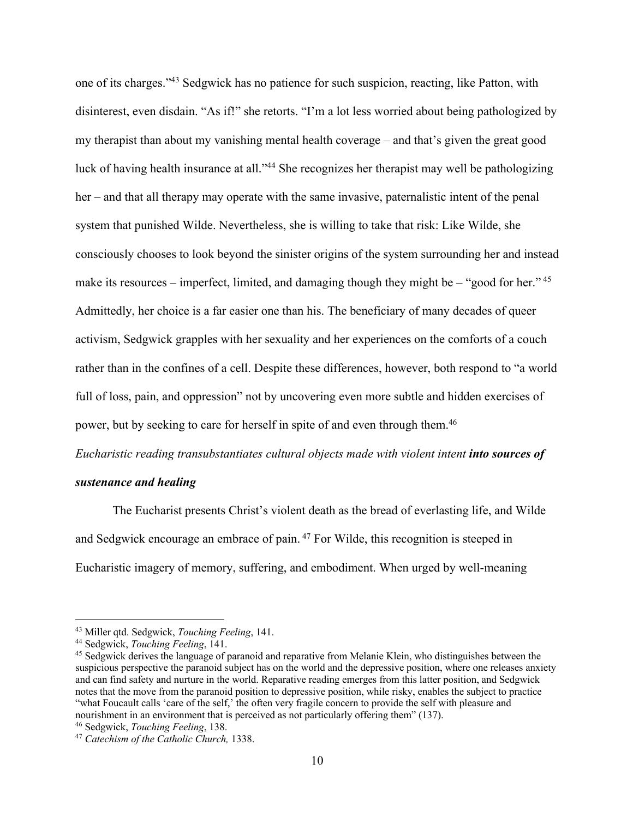one of its charges."43 Sedgwick has no patience for such suspicion, reacting, like Patton, with disinterest, even disdain. "As if!" she retorts. "I'm a lot less worried about being pathologized by my therapist than about my vanishing mental health coverage – and that's given the great good luck of having health insurance at all."44 She recognizes her therapist may well be pathologizing her – and that all therapy may operate with the same invasive, paternalistic intent of the penal system that punished Wilde. Nevertheless, she is willing to take that risk: Like Wilde, she consciously chooses to look beyond the sinister origins of the system surrounding her and instead make its resources – imperfect, limited, and damaging though they might be – "good for her."  $45$ Admittedly, her choice is a far easier one than his. The beneficiary of many decades of queer activism, Sedgwick grapples with her sexuality and her experiences on the comforts of a couch rather than in the confines of a cell. Despite these differences, however, both respond to "a world full of loss, pain, and oppression" not by uncovering even more subtle and hidden exercises of power, but by seeking to care for herself in spite of and even through them.46

*Eucharistic reading transubstantiates cultural objects made with violent intent into sources of* 

#### *sustenance and healing*

The Eucharist presents Christ's violent death as the bread of everlasting life, and Wilde and Sedgwick encourage an embrace of pain.<sup>47</sup> For Wilde, this recognition is steeped in Eucharistic imagery of memory, suffering, and embodiment. When urged by well-meaning

<sup>43</sup> Miller qtd. Sedgwick, *Touching Feeling*, 141.

<sup>44</sup> Sedgwick, *Touching Feeling*, 141.

<sup>45</sup> Sedgwick derives the language of paranoid and reparative from Melanie Klein, who distinguishes between the suspicious perspective the paranoid subject has on the world and the depressive position, where one releases anxiety and can find safety and nurture in the world. Reparative reading emerges from this latter position, and Sedgwick notes that the move from the paranoid position to depressive position, while risky, enables the subject to practice "what Foucault calls 'care of the self,' the often very fragile concern to provide the self with pleasure and nourishment in an environment that is perceived as not particularly offering them" (137).<br><sup>46</sup> Sedgwick, *Touching Feeling*, 138.

<sup>46</sup> Sedgwick, *Touching Feeling*, 138. 47 *Catechism of the Catholic Church,* 1338.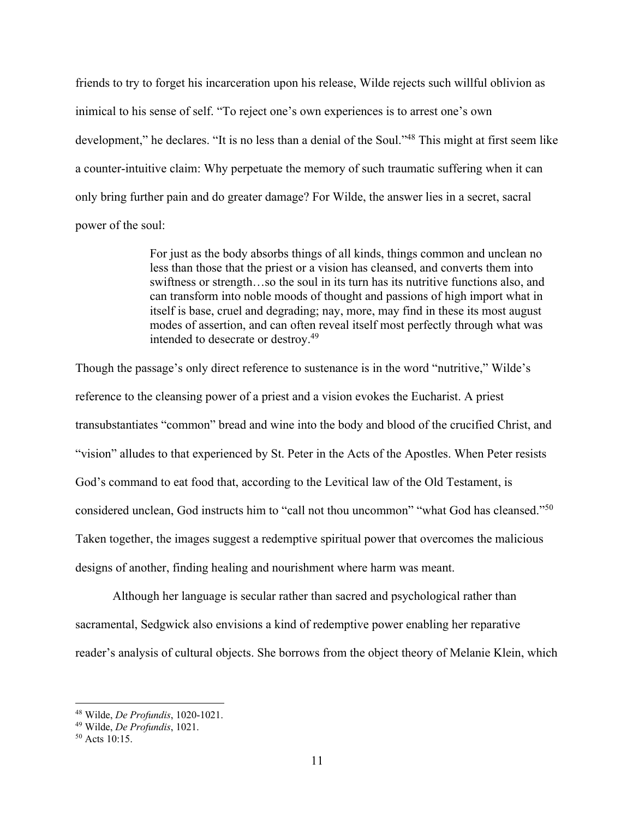friends to try to forget his incarceration upon his release, Wilde rejects such willful oblivion as inimical to his sense of self. "To reject one's own experiences is to arrest one's own development," he declares. "It is no less than a denial of the Soul."<sup>48</sup> This might at first seem like a counter-intuitive claim: Why perpetuate the memory of such traumatic suffering when it can only bring further pain and do greater damage? For Wilde, the answer lies in a secret, sacral power of the soul:

> For just as the body absorbs things of all kinds, things common and unclean no less than those that the priest or a vision has cleansed, and converts them into swiftness or strength…so the soul in its turn has its nutritive functions also, and can transform into noble moods of thought and passions of high import what in itself is base, cruel and degrading; nay, more, may find in these its most august modes of assertion, and can often reveal itself most perfectly through what was intended to desecrate or destroy.49

Though the passage's only direct reference to sustenance is in the word "nutritive," Wilde's reference to the cleansing power of a priest and a vision evokes the Eucharist. A priest transubstantiates "common" bread and wine into the body and blood of the crucified Christ, and "vision" alludes to that experienced by St. Peter in the Acts of the Apostles. When Peter resists God's command to eat food that, according to the Levitical law of the Old Testament, is considered unclean, God instructs him to "call not thou uncommon" "what God has cleansed."50 Taken together, the images suggest a redemptive spiritual power that overcomes the malicious designs of another, finding healing and nourishment where harm was meant.

Although her language is secular rather than sacred and psychological rather than sacramental, Sedgwick also envisions a kind of redemptive power enabling her reparative reader's analysis of cultural objects. She borrows from the object theory of Melanie Klein, which

<sup>48</sup> Wilde, *De Profundis*, 1020-1021. 49 Wilde, *De Profundis*, 1021. 50 Acts 10:15.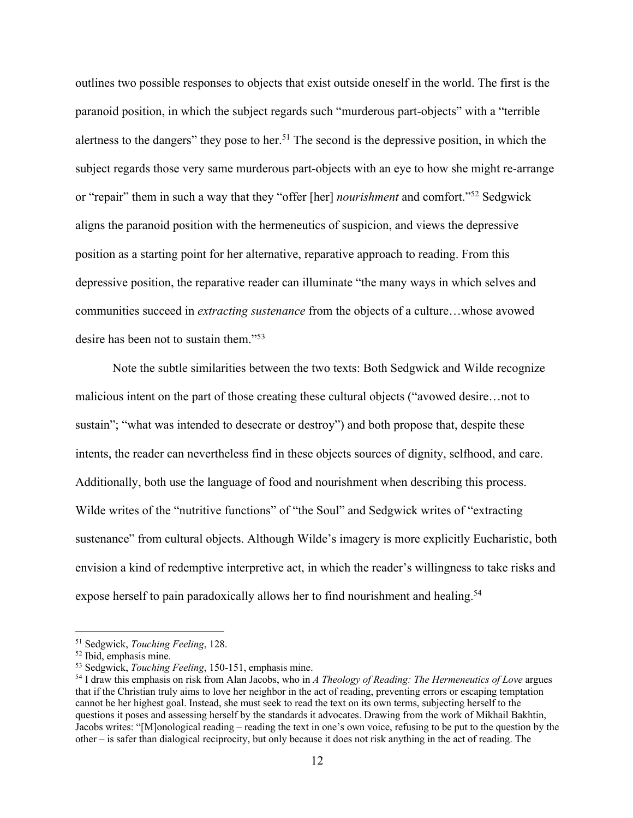outlines two possible responses to objects that exist outside oneself in the world. The first is the paranoid position, in which the subject regards such "murderous part-objects" with a "terrible alertness to the dangers" they pose to her.<sup>51</sup> The second is the depressive position, in which the subject regards those very same murderous part-objects with an eye to how she might re-arrange or "repair" them in such a way that they "offer [her] *nourishment* and comfort."52 Sedgwick aligns the paranoid position with the hermeneutics of suspicion, and views the depressive position as a starting point for her alternative, reparative approach to reading. From this depressive position, the reparative reader can illuminate "the many ways in which selves and communities succeed in *extracting sustenance* from the objects of a culture…whose avowed desire has been not to sustain them."53

Note the subtle similarities between the two texts: Both Sedgwick and Wilde recognize malicious intent on the part of those creating these cultural objects ("avowed desire…not to sustain"; "what was intended to desecrate or destroy") and both propose that, despite these intents, the reader can nevertheless find in these objects sources of dignity, selfhood, and care. Additionally, both use the language of food and nourishment when describing this process. Wilde writes of the "nutritive functions" of "the Soul" and Sedgwick writes of "extracting sustenance" from cultural objects. Although Wilde's imagery is more explicitly Eucharistic, both envision a kind of redemptive interpretive act, in which the reader's willingness to take risks and expose herself to pain paradoxically allows her to find nourishment and healing.<sup>54</sup>

<sup>51</sup> Sedgwick, *Touching Feeling*, 128. 52 Ibid, emphasis mine. 53 Sedgwick, *Touching Feeling*, 150-151, emphasis mine.

<sup>54</sup> I draw this emphasis on risk from Alan Jacobs, who in *A Theology of Reading: The Hermeneutics of Love* argues that if the Christian truly aims to love her neighbor in the act of reading, preventing errors or escaping temptation cannot be her highest goal. Instead, she must seek to read the text on its own terms, subjecting herself to the questions it poses and assessing herself by the standards it advocates. Drawing from the work of Mikhail Bakhtin, Jacobs writes: "[M]onological reading – reading the text in one's own voice, refusing to be put to the question by the other – is safer than dialogical reciprocity, but only because it does not risk anything in the act of reading. The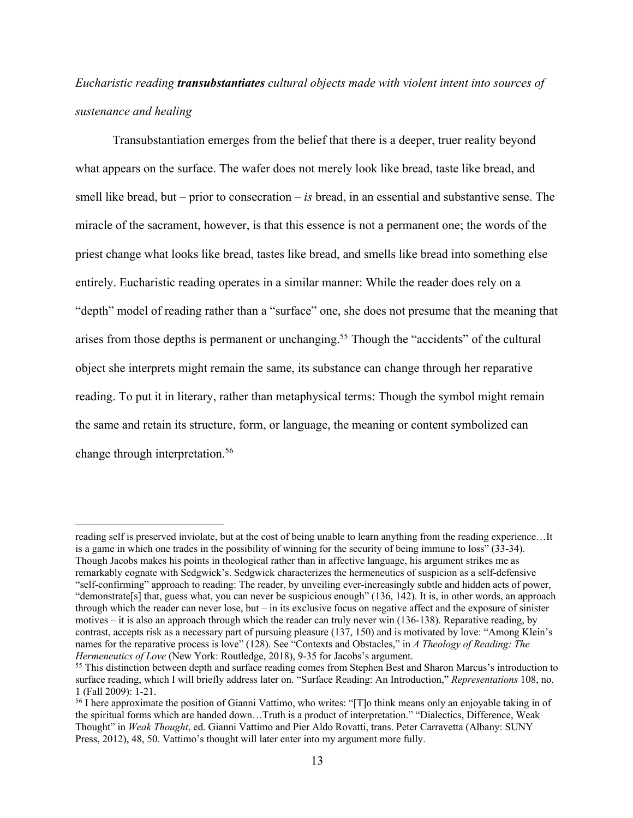# *Eucharistic reading transubstantiates cultural objects made with violent intent into sources of sustenance and healing*

Transubstantiation emerges from the belief that there is a deeper, truer reality beyond what appears on the surface. The wafer does not merely look like bread, taste like bread, and smell like bread, but – prior to consecration – *is* bread, in an essential and substantive sense. The miracle of the sacrament, however, is that this essence is not a permanent one; the words of the priest change what looks like bread, tastes like bread, and smells like bread into something else entirely. Eucharistic reading operates in a similar manner: While the reader does rely on a "depth" model of reading rather than a "surface" one, she does not presume that the meaning that arises from those depths is permanent or unchanging.<sup>55</sup> Though the "accidents" of the cultural object she interprets might remain the same, its substance can change through her reparative reading. To put it in literary, rather than metaphysical terms: Though the symbol might remain the same and retain its structure, form, or language, the meaning or content symbolized can change through interpretation.56

reading self is preserved inviolate, but at the cost of being unable to learn anything from the reading experience…It is a game in which one trades in the possibility of winning for the security of being immune to loss" (33-34). Though Jacobs makes his points in theological rather than in affective language, his argument strikes me as remarkably cognate with Sedgwick's. Sedgwick characterizes the hermeneutics of suspicion as a self-defensive "self-confirming" approach to reading: The reader, by unveiling ever-increasingly subtle and hidden acts of power, "demonstrate[s] that, guess what, you can never be suspicious enough" (136, 142). It is, in other words, an approach through which the reader can never lose, but  $-$  in its exclusive focus on negative affect and the exposure of sinister motives – it is also an approach through which the reader can truly never win (136-138). Reparative reading, by contrast, accepts risk as a necessary part of pursuing pleasure (137, 150) and is motivated by love: "Among Klein's names for the reparative process is love" (128). See "Contexts and Obstacles," in *A Theology of Reading: The Hermeneutics of Love* (New York: Routledge, 2018), 9-35 for Jacobs's argument.

<sup>&</sup>lt;sup>55</sup> This distinction between depth and surface reading comes from Stephen Best and Sharon Marcus's introduction to surface reading, which I will briefly address later on. "Surface Reading: An Introduction," *Representations* 108, no. 1 (Fall 2009): 1-21. 56 I here approximate the position of Gianni Vattimo, who writes: "[T]o think means only an enjoyable taking in of

the spiritual forms which are handed down…Truth is a product of interpretation." "Dialectics, Difference, Weak Thought" in *Weak Thought*, ed. Gianni Vattimo and Pier Aldo Rovatti, trans. Peter Carravetta (Albany: SUNY Press, 2012), 48, 50. Vattimo's thought will later enter into my argument more fully.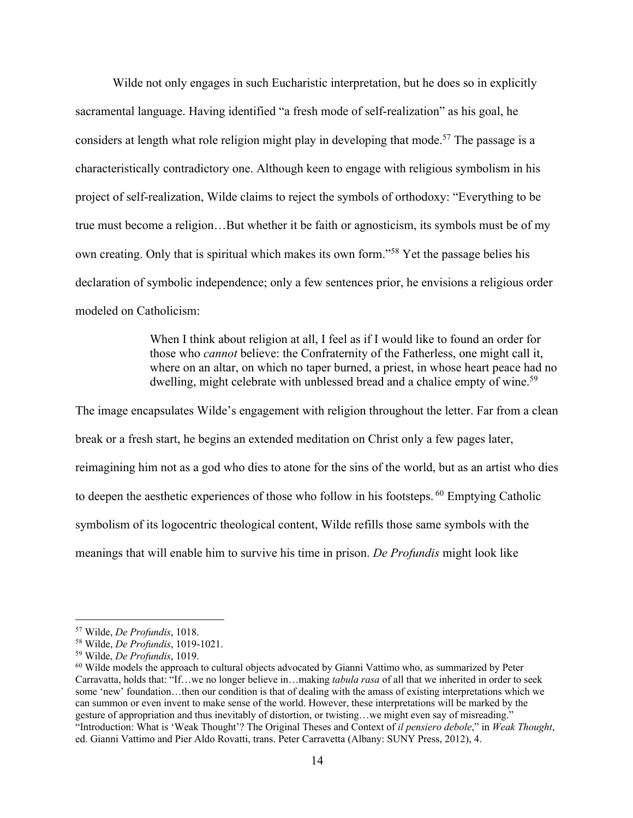Wilde not only engages in such Eucharistic interpretation, but he does so in explicitly sacramental language. Having identified "a fresh mode of self-realization" as his goal, he considers at length what role religion might play in developing that mode.<sup>57</sup> The passage is a characteristically contradictory one. Although keen to engage with religious symbolism in his project of self-realization, Wilde claims to reject the symbols of orthodoxy: "Everything to be true must become a religion…But whether it be faith or agnosticism, its symbols must be of my own creating. Only that is spiritual which makes its own form."58 Yet the passage belies his declaration of symbolic independence; only a few sentences prior, he envisions a religious order modeled on Catholicism:

> When I think about religion at all, I feel as if I would like to found an order for those who *cannot* believe: the Confraternity of the Fatherless, one might call it, where on an altar, on which no taper burned, a priest, in whose heart peace had no dwelling, might celebrate with unblessed bread and a chalice empty of wine.<sup>59</sup>

The image encapsulates Wilde's engagement with religion throughout the letter. Far from a clean break or a fresh start, he begins an extended meditation on Christ only a few pages later, reimagining him not as a god who dies to atone for the sins of the world, but as an artist who dies to deepen the aesthetic experiences of those who follow in his footsteps. <sup>60</sup> Emptying Catholic symbolism of its logocentric theological content, Wilde refills those same symbols with the meanings that will enable him to survive his time in prison. *De Profundis* might look like

<sup>&</sup>lt;sup>57</sup> Wilde, *De Profundis*, 1018.<br><sup>58</sup> Wilde, *De Profundis*, 1019-1021.<br><sup>59</sup> Wilde, *De Profundis*, 1019.<br><sup>60</sup> Wilde models the approach to cultural objects advocated by Gianni Vattimo who, as summarized by Peter Carravatta, holds that: "If…we no longer believe in…making *tabula rasa* of all that we inherited in order to seek some 'new' foundation…then our condition is that of dealing with the amass of existing interpretations which we can summon or even invent to make sense of the world. However, these interpretations will be marked by the gesture of appropriation and thus inevitably of distortion, or twisting…we might even say of misreading." "Introduction: What is 'Weak Thought'? The Original Theses and Context of *il pensiero debole*," in *Weak Thought*, ed. Gianni Vattimo and Pier Aldo Rovatti, trans. Peter Carravetta (Albany: SUNY Press, 2012), 4.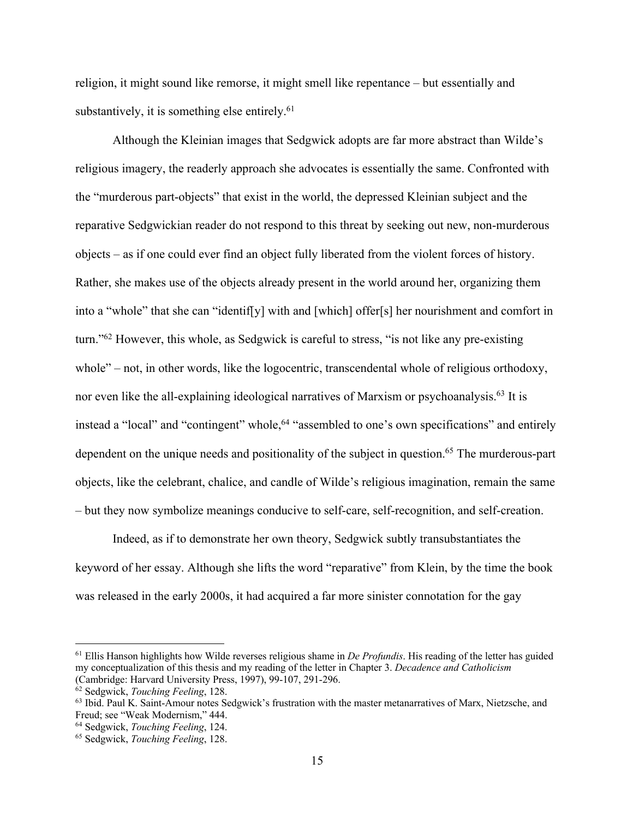religion, it might sound like remorse, it might smell like repentance – but essentially and substantively, it is something else entirely. $61$ 

Although the Kleinian images that Sedgwick adopts are far more abstract than Wilde's religious imagery, the readerly approach she advocates is essentially the same. Confronted with the "murderous part-objects" that exist in the world, the depressed Kleinian subject and the reparative Sedgwickian reader do not respond to this threat by seeking out new, non-murderous objects – as if one could ever find an object fully liberated from the violent forces of history. Rather, she makes use of the objects already present in the world around her, organizing them into a "whole" that she can "identif[y] with and [which] offer[s] her nourishment and comfort in turn."62 However, this whole, as Sedgwick is careful to stress, "is not like any pre-existing whole" – not, in other words, like the logocentric, transcendental whole of religious orthodoxy, nor even like the all-explaining ideological narratives of Marxism or psychoanalysis.<sup>63</sup> It is instead a "local" and "contingent" whole,<sup>64</sup> "assembled to one's own specifications" and entirely dependent on the unique needs and positionality of the subject in question.<sup>65</sup> The murderous-part objects, like the celebrant, chalice, and candle of Wilde's religious imagination, remain the same – but they now symbolize meanings conducive to self-care, self-recognition, and self-creation.

Indeed, as if to demonstrate her own theory, Sedgwick subtly transubstantiates the keyword of her essay. Although she lifts the word "reparative" from Klein, by the time the book was released in the early 2000s, it had acquired a far more sinister connotation for the gay

<sup>61</sup> Ellis Hanson highlights how Wilde reverses religious shame in *De Profundis*. His reading of the letter has guided my conceptualization of this thesis and my reading of the letter in Chapter 3. *Decadence and Catholicism* (Cambridge: Harvard University Press, 1997), 99-107, 291-296.

<sup>&</sup>lt;sup>62</sup> Sedgwick, *Touching Feeling*, 128.<br><sup>63</sup> Ibid. Paul K. Saint-Amour notes Sedgwick's frustration with the master metanarratives of Marx, Nietzsche, and Freud; see "Weak Modernism," 444. 64 Sedgwick, *Touching Feeling*, 124.

<sup>65</sup> Sedgwick, *Touching Feeling*, 128.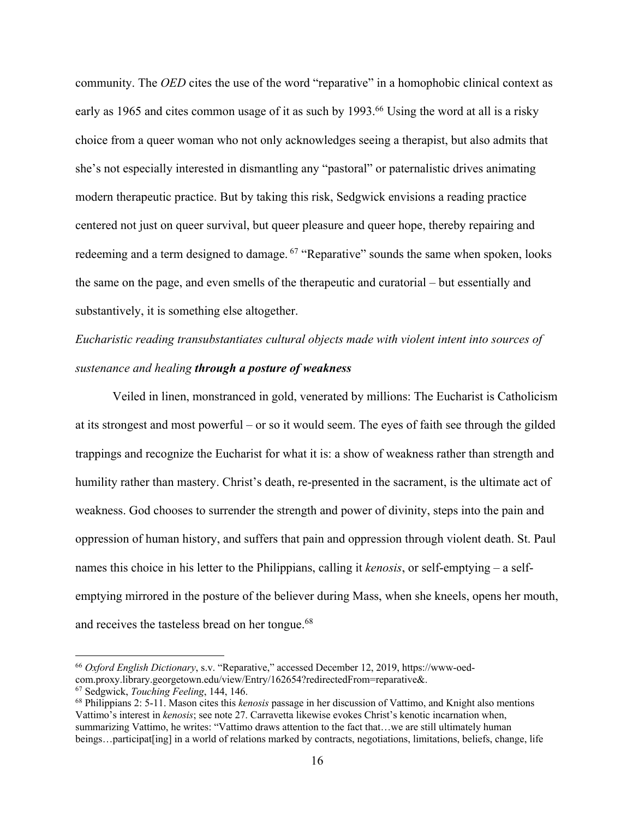community. The *OED* cites the use of the word "reparative" in a homophobic clinical context as early as 1965 and cites common usage of it as such by 1993.<sup>66</sup> Using the word at all is a risky choice from a queer woman who not only acknowledges seeing a therapist, but also admits that she's not especially interested in dismantling any "pastoral" or paternalistic drives animating modern therapeutic practice. But by taking this risk, Sedgwick envisions a reading practice centered not just on queer survival, but queer pleasure and queer hope, thereby repairing and redeeming and a term designed to damage. <sup>67</sup> "Reparative" sounds the same when spoken, looks the same on the page, and even smells of the therapeutic and curatorial – but essentially and substantively, it is something else altogether.

# *Eucharistic reading transubstantiates cultural objects made with violent intent into sources of sustenance and healing through a posture of weakness*

Veiled in linen, monstranced in gold, venerated by millions: The Eucharist is Catholicism at its strongest and most powerful – or so it would seem. The eyes of faith see through the gilded trappings and recognize the Eucharist for what it is: a show of weakness rather than strength and humility rather than mastery. Christ's death, re-presented in the sacrament, is the ultimate act of weakness. God chooses to surrender the strength and power of divinity, steps into the pain and oppression of human history, and suffers that pain and oppression through violent death. St. Paul names this choice in his letter to the Philippians, calling it *kenosis*, or self-emptying – a selfemptying mirrored in the posture of the believer during Mass, when she kneels, opens her mouth, and receives the tasteless bread on her tongue.<sup>68</sup>

<sup>66</sup> *Oxford English Dictionary*, s.v. "Reparative," accessed December 12, 2019, https://www-oedcom.proxy.library.georgetown.edu/view/Entry/162654?redirectedFrom=reparative&.

<sup>&</sup>lt;sup>67</sup> Sedgwick, *Touching Feeling*, 144, 146.<br><sup>68</sup> Philippians 2: 5-11. Mason cites this *kenosis* passage in her discussion of Vattimo, and Knight also mentions Vattimo's interest in *kenosis*; see note 27. Carravetta likewise evokes Christ's kenotic incarnation when, summarizing Vattimo, he writes: "Vattimo draws attention to the fact that...we are still ultimately human beings…participat[ing] in a world of relations marked by contracts, negotiations, limitations, beliefs, change, life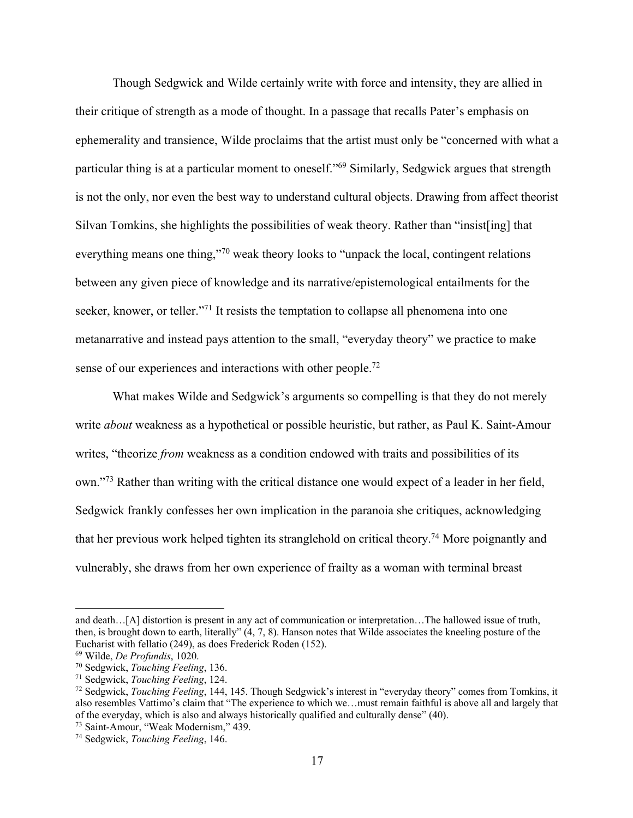Though Sedgwick and Wilde certainly write with force and intensity, they are allied in their critique of strength as a mode of thought. In a passage that recalls Pater's emphasis on ephemerality and transience, Wilde proclaims that the artist must only be "concerned with what a particular thing is at a particular moment to oneself."<sup>69</sup> Similarly, Sedgwick argues that strength is not the only, nor even the best way to understand cultural objects. Drawing from affect theorist Silvan Tomkins, she highlights the possibilities of weak theory. Rather than "insist[ing] that everything means one thing,"<sup>70</sup> weak theory looks to "unpack the local, contingent relations" between any given piece of knowledge and its narrative/epistemological entailments for the seeker, knower, or teller."<sup>71</sup> It resists the temptation to collapse all phenomena into one metanarrative and instead pays attention to the small, "everyday theory" we practice to make sense of our experiences and interactions with other people.<sup>72</sup>

What makes Wilde and Sedgwick's arguments so compelling is that they do not merely write *about* weakness as a hypothetical or possible heuristic, but rather, as Paul K. Saint-Amour writes, "theorize *from* weakness as a condition endowed with traits and possibilities of its own."73 Rather than writing with the critical distance one would expect of a leader in her field, Sedgwick frankly confesses her own implication in the paranoia she critiques, acknowledging that her previous work helped tighten its stranglehold on critical theory.74 More poignantly and vulnerably, she draws from her own experience of frailty as a woman with terminal breast

and death…[A] distortion is present in any act of communication or interpretation…The hallowed issue of truth, then, is brought down to earth, literally" (4, 7, 8). Hanson notes that Wilde associates the kneeling posture of the Eucharist with fellatio (249), as does Frederick Roden (152).

<sup>&</sup>lt;sup>69</sup> Wilde, *De Profundis*, 1020.<br><sup>70</sup> Sedgwick, *Touching Feeling*, 136.<br><sup>71</sup> Sedgwick, *Touching Feeling*, 124.<br><sup>72</sup> Sedgwick, *Touching Feeling*, 144, 145. Though Sedgwick's interest in "everyday theory" comes from Tom also resembles Vattimo's claim that "The experience to which we…must remain faithful is above all and largely that of the everyday, which is also and always historically qualified and culturally dense" (40). 73 Saint-Amour, "Weak Modernism," 439. 74 Sedgwick, *Touching Feeling*, 146.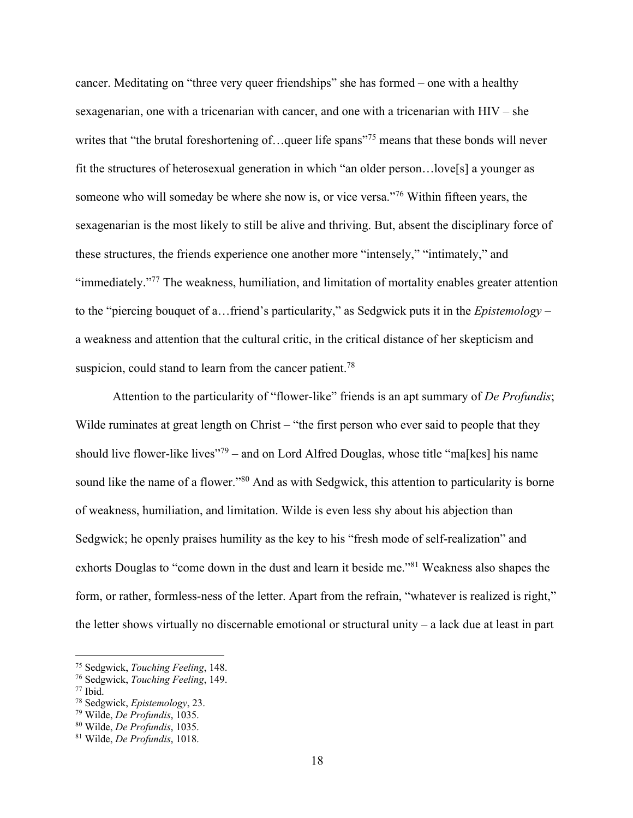cancer. Meditating on "three very queer friendships" she has formed – one with a healthy sexagenarian, one with a tricenarian with cancer, and one with a tricenarian with HIV – she writes that "the brutal foreshortening of...queer life spans"<sup>75</sup> means that these bonds will never fit the structures of heterosexual generation in which "an older person…love[s] a younger as someone who will someday be where she now is, or vice versa."76 Within fifteen years, the sexagenarian is the most likely to still be alive and thriving. But, absent the disciplinary force of these structures, the friends experience one another more "intensely," "intimately," and "immediately."77 The weakness, humiliation, and limitation of mortality enables greater attention to the "piercing bouquet of a…friend's particularity," as Sedgwick puts it in the *Epistemology* – a weakness and attention that the cultural critic, in the critical distance of her skepticism and suspicion, could stand to learn from the cancer patient.<sup>78</sup>

Attention to the particularity of "flower-like" friends is an apt summary of *De Profundis*; Wilde ruminates at great length on Christ – "the first person who ever said to people that they should live flower-like lives"<sup>79</sup> – and on Lord Alfred Douglas, whose title "ma[kes] his name sound like the name of a flower."<sup>80</sup> And as with Sedgwick, this attention to particularity is borne of weakness, humiliation, and limitation. Wilde is even less shy about his abjection than Sedgwick; he openly praises humility as the key to his "fresh mode of self-realization" and exhorts Douglas to "come down in the dust and learn it beside me."81 Weakness also shapes the form, or rather, formless-ness of the letter. Apart from the refrain, "whatever is realized is right," the letter shows virtually no discernable emotional or structural unity – a lack due at least in part

<sup>75</sup> Sedgwick, *Touching Feeling*, 148.

<sup>76</sup> Sedgwick, *Touching Feeling*, 149. 77 Ibid. 78 Sedgwick, *Epistemology*, 23. 79 Wilde, *De Profundis*, 1035. 80 Wilde, *De Profundis*, 1035.

<sup>81</sup> Wilde, *De Profundis*, 1018.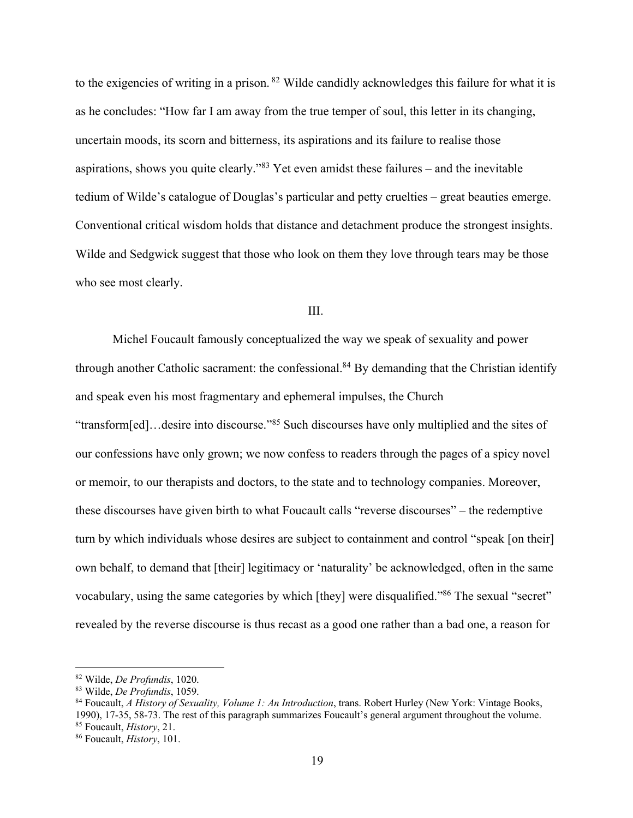to the exigencies of writing in a prison. <sup>82</sup> Wilde candidly acknowledges this failure for what it is as he concludes: "How far I am away from the true temper of soul, this letter in its changing, uncertain moods, its scorn and bitterness, its aspirations and its failure to realise those aspirations, shows you quite clearly."83 Yet even amidst these failures – and the inevitable tedium of Wilde's catalogue of Douglas's particular and petty cruelties – great beauties emerge. Conventional critical wisdom holds that distance and detachment produce the strongest insights. Wilde and Sedgwick suggest that those who look on them they love through tears may be those who see most clearly.

#### III.

Michel Foucault famously conceptualized the way we speak of sexuality and power through another Catholic sacrament: the confessional.<sup>84</sup> By demanding that the Christian identify and speak even his most fragmentary and ephemeral impulses, the Church "transform[ed]…desire into discourse."85 Such discourses have only multiplied and the sites of our confessions have only grown; we now confess to readers through the pages of a spicy novel or memoir, to our therapists and doctors, to the state and to technology companies. Moreover, these discourses have given birth to what Foucault calls "reverse discourses" – the redemptive turn by which individuals whose desires are subject to containment and control "speak [on their] own behalf, to demand that [their] legitimacy or 'naturality' be acknowledged, often in the same vocabulary, using the same categories by which [they] were disqualified."86 The sexual "secret" revealed by the reverse discourse is thus recast as a good one rather than a bad one, a reason for

<sup>82</sup> Wilde, *De Profundis*, 1020.<br><sup>83</sup> Wilde, *De Profundis*, 1059.<br><sup>84</sup> Foucault, *A History of Sexuality, Volume 1: An Introduction*, trans. Robert Hurley (New York: Vintage Books, 1990), 17-35, 58-73. The rest of this paragraph summarizes Foucault's general argument throughout the volume. 85 Foucault, *History*, 21. 86 Foucault, *History*, 101.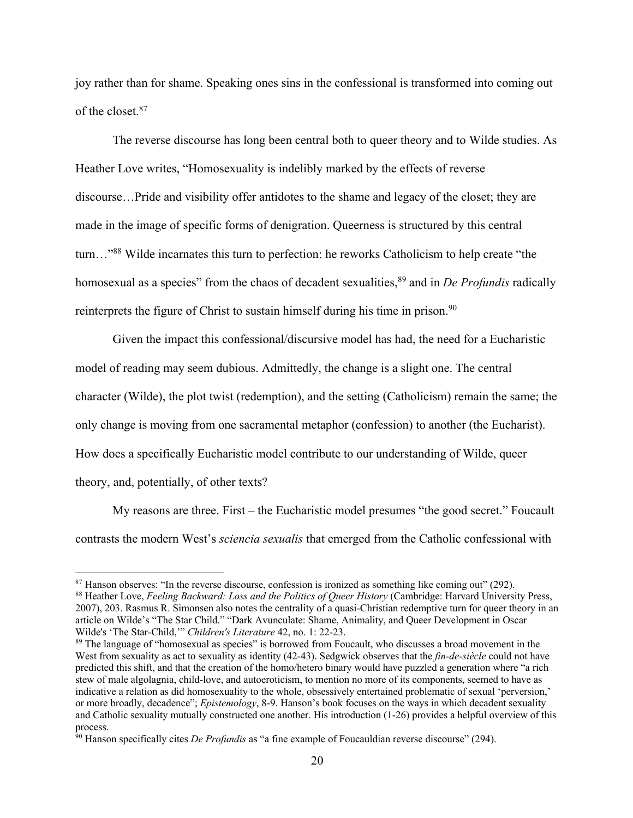joy rather than for shame. Speaking ones sins in the confessional is transformed into coming out of the closet.87

The reverse discourse has long been central both to queer theory and to Wilde studies. As Heather Love writes, "Homosexuality is indelibly marked by the effects of reverse discourse…Pride and visibility offer antidotes to the shame and legacy of the closet; they are made in the image of specific forms of denigration. Queerness is structured by this central turn…"88 Wilde incarnates this turn to perfection: he reworks Catholicism to help create "the homosexual as a species" from the chaos of decadent sexualities,<sup>89</sup> and in *De Profundis* radically reinterprets the figure of Christ to sustain himself during his time in prison.<sup>90</sup>

Given the impact this confessional/discursive model has had, the need for a Eucharistic model of reading may seem dubious. Admittedly, the change is a slight one. The central character (Wilde), the plot twist (redemption), and the setting (Catholicism) remain the same; the only change is moving from one sacramental metaphor (confession) to another (the Eucharist). How does a specifically Eucharistic model contribute to our understanding of Wilde, queer theory, and, potentially, of other texts?

My reasons are three. First – the Eucharistic model presumes "the good secret." Foucault contrasts the modern West's *sciencia sexualis* that emerged from the Catholic confessional with

 $87$  Hanson observes: "In the reverse discourse, confession is ironized as something like coming out" (292).<br><sup>88</sup> Heather Love, *Feeling Backward: Loss and the Politics of Queer History* (Cambridge: Harvard University Pre

<sup>2007), 203.</sup> Rasmus R. Simonsen also notes the centrality of a quasi-Christian redemptive turn for queer theory in an article on Wilde's "The Star Child." "Dark Avunculate: Shame, Animality, and Queer Development in Oscar Wilde's 'The Star-Child,'" Children's Literature 42, no. 1: 22-23.

<sup>&</sup>lt;sup>89</sup> The language of "homosexual as species" is borrowed from Foucault, who discusses a broad movement in the West from sexuality as act to sexuality as identity (42-43). Sedgwick observes that the *fin-de-siècle* could not have predicted this shift, and that the creation of the homo/hetero binary would have puzzled a generation where "a rich stew of male algolagnia, child-love, and autoeroticism, to mention no more of its components, seemed to have as indicative a relation as did homosexuality to the whole, obsessively entertained problematic of sexual 'perversion,' or more broadly, decadence"; *Epistemology*, 8-9. Hanson's book focuses on the ways in which decadent sexuality and Catholic sexuality mutually constructed one another. His introduction (1-26) provides a helpful overview of this process.

<sup>90</sup> Hanson specifically cites *De Profundis* as "a fine example of Foucauldian reverse discourse" (294).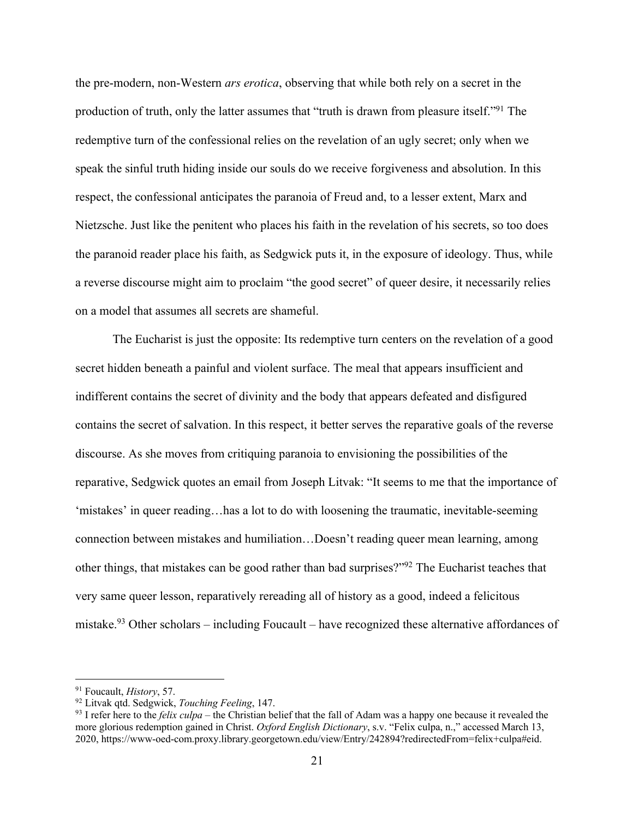the pre-modern, non-Western *ars erotica*, observing that while both rely on a secret in the production of truth, only the latter assumes that "truth is drawn from pleasure itself."91 The redemptive turn of the confessional relies on the revelation of an ugly secret; only when we speak the sinful truth hiding inside our souls do we receive forgiveness and absolution. In this respect, the confessional anticipates the paranoia of Freud and, to a lesser extent, Marx and Nietzsche. Just like the penitent who places his faith in the revelation of his secrets, so too does the paranoid reader place his faith, as Sedgwick puts it, in the exposure of ideology. Thus, while a reverse discourse might aim to proclaim "the good secret" of queer desire, it necessarily relies on a model that assumes all secrets are shameful.

The Eucharist is just the opposite: Its redemptive turn centers on the revelation of a good secret hidden beneath a painful and violent surface. The meal that appears insufficient and indifferent contains the secret of divinity and the body that appears defeated and disfigured contains the secret of salvation. In this respect, it better serves the reparative goals of the reverse discourse. As she moves from critiquing paranoia to envisioning the possibilities of the reparative, Sedgwick quotes an email from Joseph Litvak: "It seems to me that the importance of 'mistakes' in queer reading…has a lot to do with loosening the traumatic, inevitable-seeming connection between mistakes and humiliation…Doesn't reading queer mean learning, among other things, that mistakes can be good rather than bad surprises?"92 The Eucharist teaches that very same queer lesson, reparatively rereading all of history as a good, indeed a felicitous mistake.<sup>93</sup> Other scholars – including Foucault – have recognized these alternative affordances of

<sup>&</sup>lt;sup>91</sup> Foucault, *History*, 57.<br><sup>92</sup> Litvak qtd. Sedgwick, *Touching Feeling*, 147.<br><sup>93</sup> I refer here to the *felix culpa* – the Christian belief that the fall of Adam was a happy one because it revealed the more glorious redemption gained in Christ. *Oxford English Dictionary*, s.v. "Felix culpa, n.," accessed March 13, 2020, https://www-oed-com.proxy.library.georgetown.edu/view/Entry/242894?redirectedFrom=felix+culpa#eid.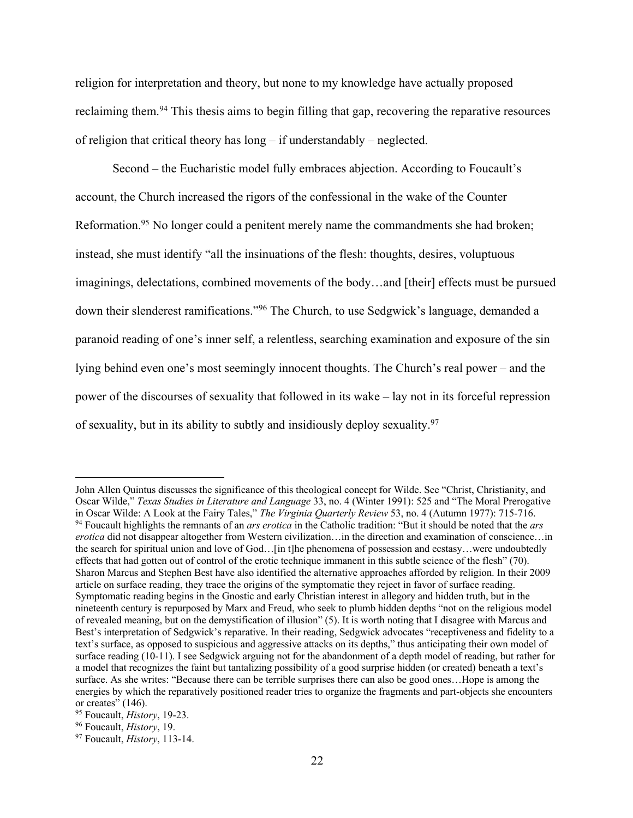religion for interpretation and theory, but none to my knowledge have actually proposed reclaiming them.94 This thesis aims to begin filling that gap, recovering the reparative resources of religion that critical theory has long – if understandably – neglected.

Second – the Eucharistic model fully embraces abjection. According to Foucault's account, the Church increased the rigors of the confessional in the wake of the Counter Reformation.95 No longer could a penitent merely name the commandments she had broken; instead, she must identify "all the insinuations of the flesh: thoughts, desires, voluptuous imaginings, delectations, combined movements of the body…and [their] effects must be pursued down their slenderest ramifications."96 The Church, to use Sedgwick's language, demanded a paranoid reading of one's inner self, a relentless, searching examination and exposure of the sin lying behind even one's most seemingly innocent thoughts. The Church's real power – and the power of the discourses of sexuality that followed in its wake – lay not in its forceful repression of sexuality, but in its ability to subtly and insidiously deploy sexuality.97

John Allen Quintus discusses the significance of this theological concept for Wilde. See "Christ, Christianity, and Oscar Wilde," *Texas Studies in Literature and Language* 33, no. 4 (Winter 1991): 525 and "The Moral Prerogative in Oscar Wilde: A Look at the Fairy Tales," The Virginia Quarterly Review 53, no. 4 (Autumn 1977): 715-716.<br><sup>94</sup> Foucault highlights the remnants of an *ars erotica* in the Catholic tradition: "But it should be noted that *erotica* did not disappear altogether from Western civilization…in the direction and examination of conscience…in the search for spiritual union and love of God…[in t]he phenomena of possession and ecstasy…were undoubtedly effects that had gotten out of control of the erotic technique immanent in this subtle science of the flesh" (70). Sharon Marcus and Stephen Best have also identified the alternative approaches afforded by religion. In their 2009 article on surface reading, they trace the origins of the symptomatic they reject in favor of surface reading. Symptomatic reading begins in the Gnostic and early Christian interest in allegory and hidden truth, but in the nineteenth century is repurposed by Marx and Freud, who seek to plumb hidden depths "not on the religious model of revealed meaning, but on the demystification of illusion" (5). It is worth noting that I disagree with Marcus and Best's interpretation of Sedgwick's reparative. In their reading, Sedgwick advocates "receptiveness and fidelity to a text's surface, as opposed to suspicious and aggressive attacks on its depths," thus anticipating their own model of surface reading (10-11). I see Sedgwick arguing not for the abandonment of a depth model of reading, but rather for a model that recognizes the faint but tantalizing possibility of a good surprise hidden (or created) beneath a text's surface. As she writes: "Because there can be terrible surprises there can also be good ones…Hope is among the energies by which the reparatively positioned reader tries to organize the fragments and part-objects she encounters or creates" (146).

<sup>95</sup> Foucault, *History*, 19-23. 96 Foucault, *History*, 19. 97 Foucault, *History*, 113-14.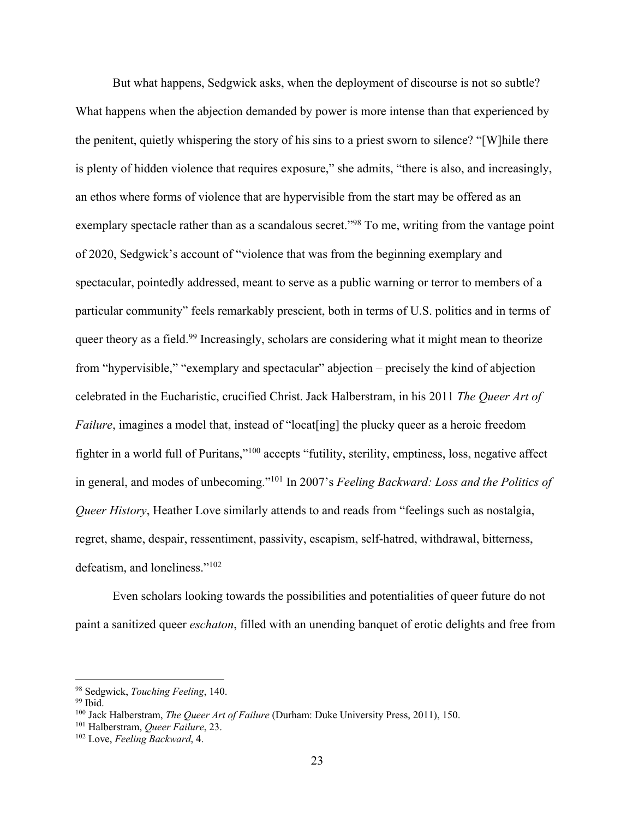But what happens, Sedgwick asks, when the deployment of discourse is not so subtle? What happens when the abjection demanded by power is more intense than that experienced by the penitent, quietly whispering the story of his sins to a priest sworn to silence? "[W]hile there is plenty of hidden violence that requires exposure," she admits, "there is also, and increasingly, an ethos where forms of violence that are hypervisible from the start may be offered as an exemplary spectacle rather than as a scandalous secret."<sup>98</sup> To me, writing from the vantage point of 2020, Sedgwick's account of "violence that was from the beginning exemplary and spectacular, pointedly addressed, meant to serve as a public warning or terror to members of a particular community" feels remarkably prescient, both in terms of U.S. politics and in terms of queer theory as a field.<sup>99</sup> Increasingly, scholars are considering what it might mean to theorize from "hypervisible," "exemplary and spectacular" abjection – precisely the kind of abjection celebrated in the Eucharistic, crucified Christ. Jack Halberstram, in his 2011 *The Queer Art of Failure*, imagines a model that, instead of "locat<sup>[ing]</sup> the plucky queer as a heroic freedom fighter in a world full of Puritans,"100 accepts "futility, sterility, emptiness, loss, negative affect in general, and modes of unbecoming."101 In 2007's *Feeling Backward: Loss and the Politics of Queer History*, Heather Love similarly attends to and reads from "feelings such as nostalgia, regret, shame, despair, ressentiment, passivity, escapism, self-hatred, withdrawal, bitterness, defeatism, and loneliness."102

Even scholars looking towards the possibilities and potentialities of queer future do not paint a sanitized queer *eschaton*, filled with an unending banquet of erotic delights and free from

<sup>&</sup>lt;sup>98</sup> Sedgwick, *Touching Feeling*, 140.<br><sup>99</sup> Ibid.<br><sup>100</sup> Jack Halberstram, *The Queer Art of Failure* (Durham: Duke University Press, 2011), 150.<br><sup>101</sup> Halberstram, *Queer Failure*, 23.<br><sup>102</sup> Love, *Feeling Backward*, 4.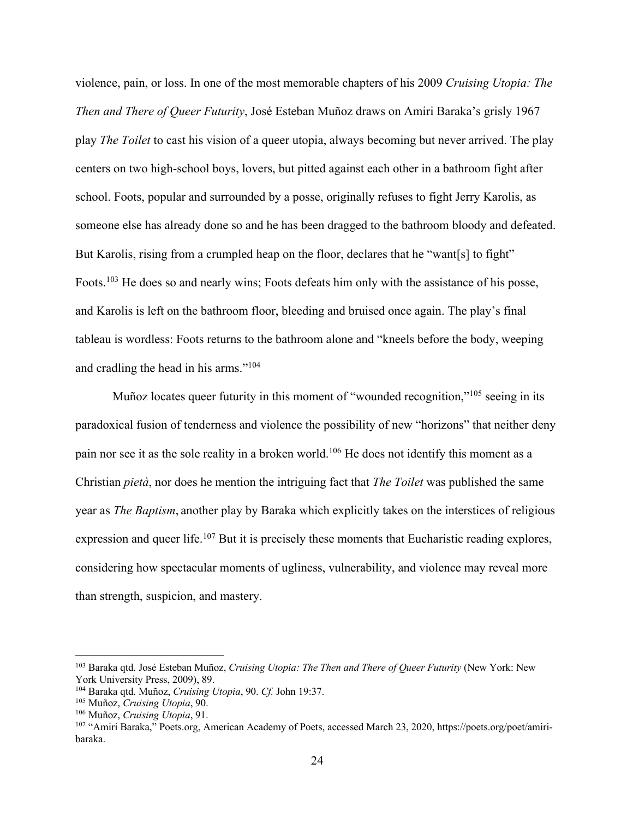violence, pain, or loss. In one of the most memorable chapters of his 2009 *Cruising Utopia: The Then and There of Queer Futurity*, José Esteban Muñoz draws on Amiri Baraka's grisly 1967 play *The Toilet* to cast his vision of a queer utopia, always becoming but never arrived. The play centers on two high-school boys, lovers, but pitted against each other in a bathroom fight after school. Foots, popular and surrounded by a posse, originally refuses to fight Jerry Karolis, as someone else has already done so and he has been dragged to the bathroom bloody and defeated. But Karolis, rising from a crumpled heap on the floor, declares that he "want[s] to fight" Foots.<sup>103</sup> He does so and nearly wins; Foots defeats him only with the assistance of his posse, and Karolis is left on the bathroom floor, bleeding and bruised once again. The play's final tableau is wordless: Foots returns to the bathroom alone and "kneels before the body, weeping and cradling the head in his arms."104

Muñoz locates queer futurity in this moment of "wounded recognition,"<sup>105</sup> seeing in its paradoxical fusion of tenderness and violence the possibility of new "horizons" that neither deny pain nor see it as the sole reality in a broken world.<sup>106</sup> He does not identify this moment as a Christian *pietà*, nor does he mention the intriguing fact that *The Toilet* was published the same year as *The Baptism*, another play by Baraka which explicitly takes on the interstices of religious expression and queer life.<sup>107</sup> But it is precisely these moments that Eucharistic reading explores, considering how spectacular moments of ugliness, vulnerability, and violence may reveal more than strength, suspicion, and mastery.

<sup>103</sup> Baraka qtd. José Esteban Muñoz, *Cruising Utopia: The Then and There of Queer Futurity* (New York: New York University Press, 2009), 89.

<sup>104</sup> Baraka qtd. Muñoz, *Cruising Utopia*, 90. *Cf.* John 19:37. 105 Muñoz, *Cruising Utopia*, 90.

<sup>&</sup>lt;sup>106</sup> Muñoz, *Cruising Utopia*, 91.<br><sup>107</sup> "Amiri Baraka," Poets.org, American Academy of Poets, accessed March 23, 2020, https://poets.org/poet/amiribaraka.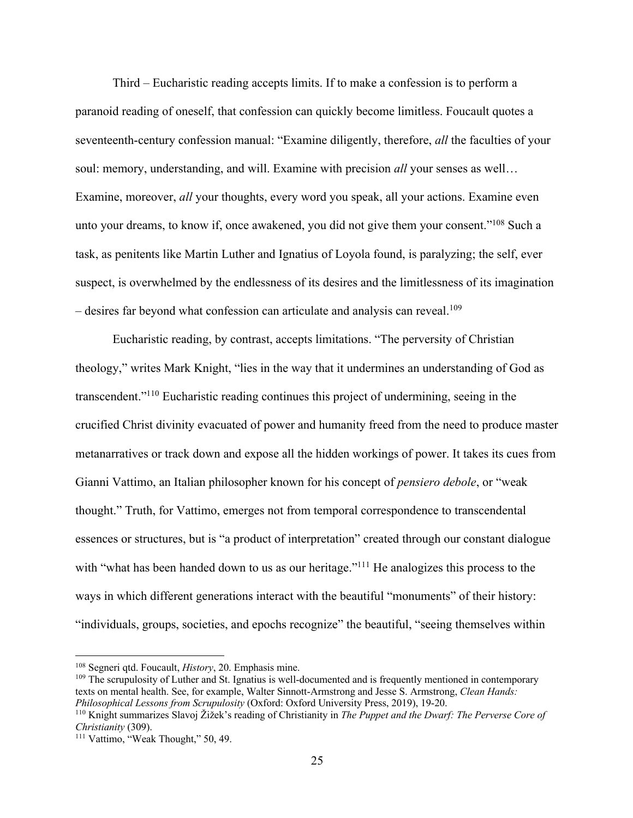Third – Eucharistic reading accepts limits. If to make a confession is to perform a paranoid reading of oneself, that confession can quickly become limitless. Foucault quotes a seventeenth-century confession manual: "Examine diligently, therefore, *all* the faculties of your soul: memory, understanding, and will. Examine with precision *all* your senses as well… Examine, moreover, *all* your thoughts, every word you speak, all your actions. Examine even unto your dreams, to know if, once awakened, you did not give them your consent."108 Such a task, as penitents like Martin Luther and Ignatius of Loyola found, is paralyzing; the self, ever suspect, is overwhelmed by the endlessness of its desires and the limitlessness of its imagination – desires far beyond what confession can articulate and analysis can reveal.109

Eucharistic reading, by contrast, accepts limitations. "The perversity of Christian theology," writes Mark Knight, "lies in the way that it undermines an understanding of God as transcendent."110 Eucharistic reading continues this project of undermining, seeing in the crucified Christ divinity evacuated of power and humanity freed from the need to produce master metanarratives or track down and expose all the hidden workings of power. It takes its cues from Gianni Vattimo, an Italian philosopher known for his concept of *pensiero debole*, or "weak thought." Truth, for Vattimo, emerges not from temporal correspondence to transcendental essences or structures, but is "a product of interpretation" created through our constant dialogue with "what has been handed down to us as our heritage."<sup>111</sup> He analogizes this process to the ways in which different generations interact with the beautiful "monuments" of their history: "individuals, groups, societies, and epochs recognize" the beautiful, "seeing themselves within

<sup>108</sup> Segneri qtd. Foucault, *History*, 20. Emphasis mine.<br><sup>109</sup> The scrupulosity of Luther and St. Ignatius is well-documented and is frequently mentioned in contemporary texts on mental health. See, for example, Walter Sinnott-Armstrong and Jesse S. Armstrong, *Clean Hands:* 

*Philosophical Lessons from Scrupulosity* (Oxford: Oxford University Press, 2019), 19-20.<br><sup>110</sup> Knight summarizes Slavoj Žižek's reading of Christianity in *The Puppet and the Dwarf: The Perverse Core of Christianity* (309

<sup>&</sup>lt;sup>111</sup> Vattimo, "Weak Thought," 50, 49.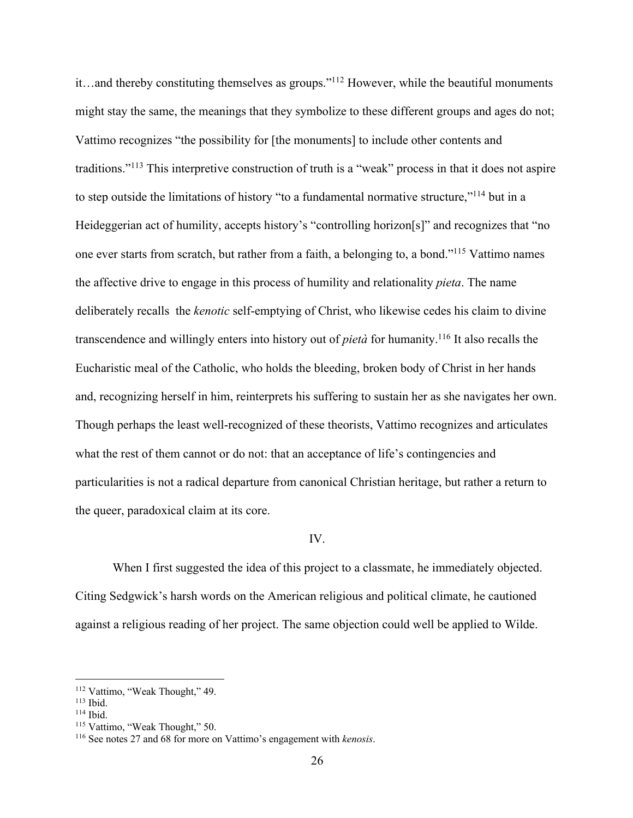it…and thereby constituting themselves as groups."112 However, while the beautiful monuments might stay the same, the meanings that they symbolize to these different groups and ages do not; Vattimo recognizes "the possibility for [the monuments] to include other contents and traditions."113 This interpretive construction of truth is a "weak" process in that it does not aspire to step outside the limitations of history "to a fundamental normative structure,"114 but in a Heideggerian act of humility, accepts history's "controlling horizon[s]" and recognizes that "no one ever starts from scratch, but rather from a faith, a belonging to, a bond."115 Vattimo names the affective drive to engage in this process of humility and relationality *pieta*. The name deliberately recalls the *kenotic* self-emptying of Christ, who likewise cedes his claim to divine transcendence and willingly enters into history out of *pietà* for humanity.116 It also recalls the Eucharistic meal of the Catholic, who holds the bleeding, broken body of Christ in her hands and, recognizing herself in him, reinterprets his suffering to sustain her as she navigates her own. Though perhaps the least well-recognized of these theorists, Vattimo recognizes and articulates what the rest of them cannot or do not: that an acceptance of life's contingencies and particularities is not a radical departure from canonical Christian heritage, but rather a return to the queer, paradoxical claim at its core.

### IV.

When I first suggested the idea of this project to a classmate, he immediately objected. Citing Sedgwick's harsh words on the American religious and political climate, he cautioned against a religious reading of her project. The same objection could well be applied to Wilde.

<sup>112</sup> Vattimo, "Weak Thought," 49.<br>
113 Ibid.<br>
<sup>114</sup> Ibid. 114 Ibid.<br>
<sup>116</sup> See notes 27 and 68 for more on Vattimo's engagement with *kenosis*.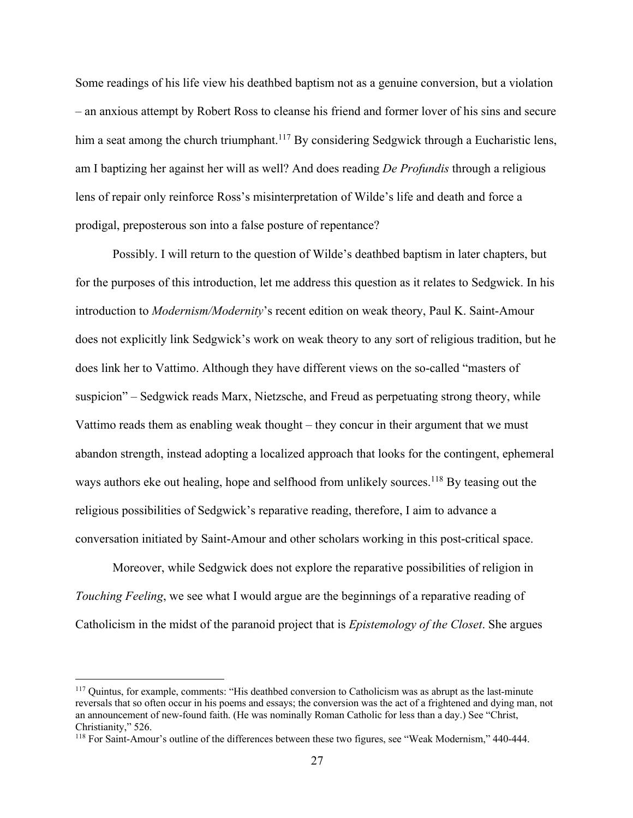Some readings of his life view his deathbed baptism not as a genuine conversion, but a violation – an anxious attempt by Robert Ross to cleanse his friend and former lover of his sins and secure him a seat among the church triumphant.<sup>117</sup> By considering Sedgwick through a Eucharistic lens, am I baptizing her against her will as well? And does reading *De Profundis* through a religious lens of repair only reinforce Ross's misinterpretation of Wilde's life and death and force a prodigal, preposterous son into a false posture of repentance?

Possibly. I will return to the question of Wilde's deathbed baptism in later chapters, but for the purposes of this introduction, let me address this question as it relates to Sedgwick. In his introduction to *Modernism/Modernity*'s recent edition on weak theory, Paul K. Saint-Amour does not explicitly link Sedgwick's work on weak theory to any sort of religious tradition, but he does link her to Vattimo. Although they have different views on the so-called "masters of suspicion" – Sedgwick reads Marx, Nietzsche, and Freud as perpetuating strong theory, while Vattimo reads them as enabling weak thought – they concur in their argument that we must abandon strength, instead adopting a localized approach that looks for the contingent, ephemeral ways authors eke out healing, hope and selfhood from unlikely sources.<sup>118</sup> By teasing out the religious possibilities of Sedgwick's reparative reading, therefore, I aim to advance a conversation initiated by Saint-Amour and other scholars working in this post-critical space.

Moreover, while Sedgwick does not explore the reparative possibilities of religion in *Touching Feeling*, we see what I would argue are the beginnings of a reparative reading of Catholicism in the midst of the paranoid project that is *Epistemology of the Closet*. She argues

<sup>&</sup>lt;sup>117</sup> Quintus, for example, comments: "His deathbed conversion to Catholicism was as abrupt as the last-minute reversals that so often occur in his poems and essays; the conversion was the act of a frightened and dying man, not an announcement of new-found faith. (He was nominally Roman Catholic for less than a day.) See "Christ, Christianity," 526.

<sup>118</sup> For Saint-Amour's outline of the differences between these two figures, see "Weak Modernism," 440-444.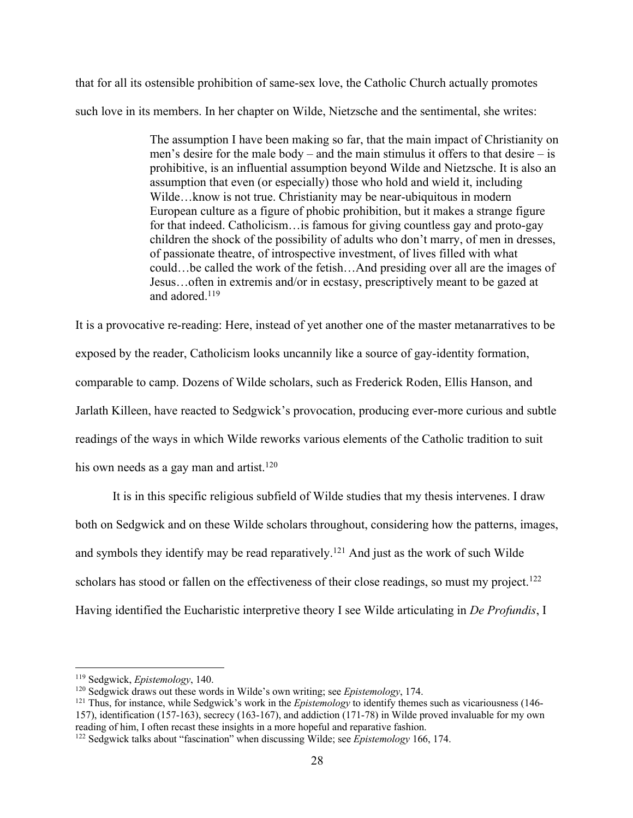that for all its ostensible prohibition of same-sex love, the Catholic Church actually promotes such love in its members. In her chapter on Wilde, Nietzsche and the sentimental, she writes:

> The assumption I have been making so far, that the main impact of Christianity on men's desire for the male body – and the main stimulus it offers to that desire – is prohibitive, is an influential assumption beyond Wilde and Nietzsche. It is also an assumption that even (or especially) those who hold and wield it, including Wilde…know is not true. Christianity may be near-ubiquitous in modern European culture as a figure of phobic prohibition, but it makes a strange figure for that indeed. Catholicism…is famous for giving countless gay and proto-gay children the shock of the possibility of adults who don't marry, of men in dresses, of passionate theatre, of introspective investment, of lives filled with what could…be called the work of the fetish…And presiding over all are the images of Jesus…often in extremis and/or in ecstasy, prescriptively meant to be gazed at and adored.<sup>119</sup>

It is a provocative re-reading: Here, instead of yet another one of the master metanarratives to be exposed by the reader, Catholicism looks uncannily like a source of gay-identity formation, comparable to camp. Dozens of Wilde scholars, such as Frederick Roden, Ellis Hanson, and Jarlath Killeen, have reacted to Sedgwick's provocation, producing ever-more curious and subtle readings of the ways in which Wilde reworks various elements of the Catholic tradition to suit his own needs as a gay man and artist.<sup>120</sup>

It is in this specific religious subfield of Wilde studies that my thesis intervenes. I draw both on Sedgwick and on these Wilde scholars throughout, considering how the patterns, images, and symbols they identify may be read reparatively.121 And just as the work of such Wilde scholars has stood or fallen on the effectiveness of their close readings, so must my project.<sup>122</sup> Having identified the Eucharistic interpretive theory I see Wilde articulating in *De Profundis*, I

<sup>&</sup>lt;sup>119</sup> Sedgwick, *Epistemology*, 140.<br><sup>120</sup> Sedgwick draws out these words in Wilde's own writing; see *Epistemology*, 174.<br><sup>121</sup> Thus, for instance, while Sedgwick's work in the *Epistemology* to identify themes such as v 157), identification (157-163), secrecy (163-167), and addiction (171-78) in Wilde proved invaluable for my own reading of him, I often recast these insights in a more hopeful and reparative fashion.

<sup>&</sup>lt;sup>122</sup> Sedgwick talks about "fascination" when discussing Wilde; see *Epistemology* 166, 174.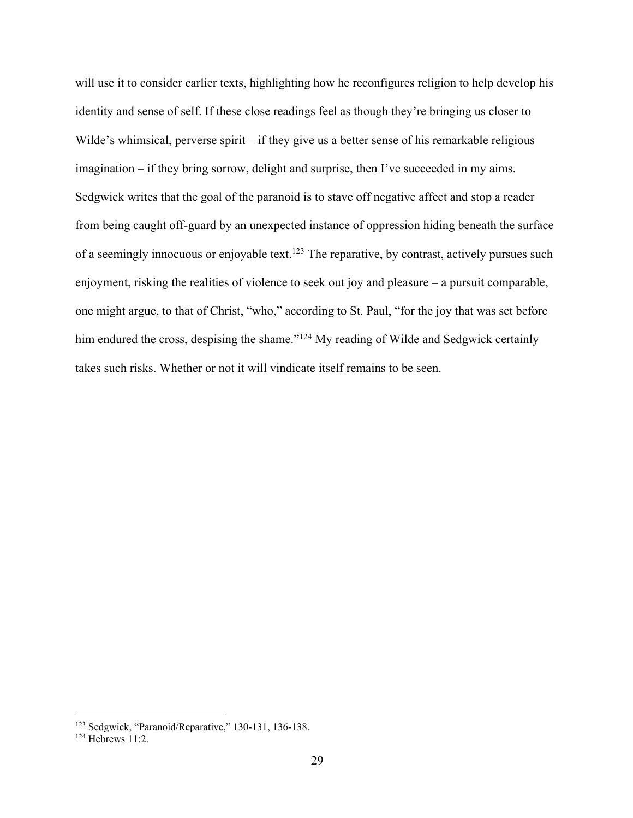will use it to consider earlier texts, highlighting how he reconfigures religion to help develop his identity and sense of self. If these close readings feel as though they're bringing us closer to Wilde's whimsical, perverse spirit – if they give us a better sense of his remarkable religious imagination – if they bring sorrow, delight and surprise, then I've succeeded in my aims. Sedgwick writes that the goal of the paranoid is to stave off negative affect and stop a reader from being caught off-guard by an unexpected instance of oppression hiding beneath the surface of a seemingly innocuous or enjoyable text.<sup>123</sup> The reparative, by contrast, actively pursues such enjoyment, risking the realities of violence to seek out joy and pleasure – a pursuit comparable, one might argue, to that of Christ, "who," according to St. Paul, "for the joy that was set before him endured the cross, despising the shame."<sup>124</sup> My reading of Wilde and Sedgwick certainly takes such risks. Whether or not it will vindicate itself remains to be seen.

<sup>&</sup>lt;sup>123</sup> Sedgwick, "Paranoid/Reparative," 130-131, 136-138.<br><sup>124</sup> Hebrews 11:2.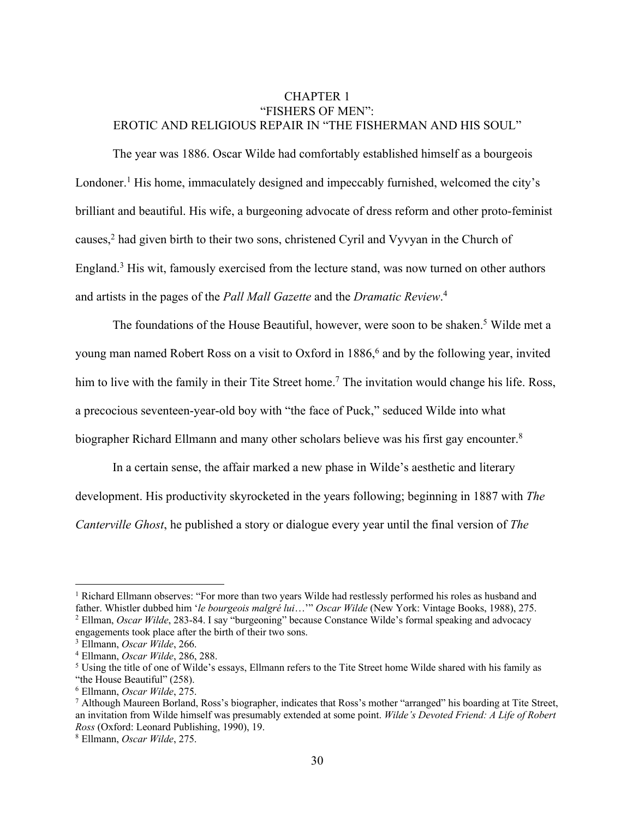# CHAPTER 1 "FISHERS OF MEN": EROTIC AND RELIGIOUS REPAIR IN "THE FISHERMAN AND HIS SOUL"

The year was 1886. Oscar Wilde had comfortably established himself as a bourgeois Londoner.<sup>1</sup> His home, immaculately designed and impeccably furnished, welcomed the city's brilliant and beautiful. His wife, a burgeoning advocate of dress reform and other proto-feminist causes,<sup>2</sup> had given birth to their two sons, christened Cyril and Vyvyan in the Church of England.3 His wit, famously exercised from the lecture stand, was now turned on other authors and artists in the pages of the *Pall Mall Gazette* and the *Dramatic Review*. 4

The foundations of the House Beautiful, however, were soon to be shaken.<sup>5</sup> Wilde met a young man named Robert Ross on a visit to Oxford in 1886,<sup>6</sup> and by the following year, invited him to live with the family in their Tite Street home.<sup>7</sup> The invitation would change his life. Ross, a precocious seventeen-year-old boy with "the face of Puck," seduced Wilde into what biographer Richard Ellmann and many other scholars believe was his first gay encounter.<sup>8</sup>

In a certain sense, the affair marked a new phase in Wilde's aesthetic and literary development. His productivity skyrocketed in the years following; beginning in 1887 with *The Canterville Ghost*, he published a story or dialogue every year until the final version of *The* 

<sup>&</sup>lt;sup>1</sup> Richard Ellmann observes: "For more than two years Wilde had restlessly performed his roles as husband and father. Whistler dubbed him 'le bourgeois malgré lui..." Oscar Wilde (New York: Vintage Books, 1988), 275.

 $^2$  Ellman, *Oscar Wilde*, 283-84. I say "burgeoning" because Constance Wilde's formal speaking and advocacy engagements took place after the birth of their two sons.

<sup>&</sup>lt;sup>3</sup> Ellmann, *Oscar Wilde*, 266.<br><sup>4</sup> Ellmann, *Oscar Wilde*, 286, 288.<br><sup>5</sup> Using the title of one of Wilde's essays, Ellmann refers to the Tite Street home Wilde shared with his family as "the House Beautiful" (258).

<sup>&</sup>lt;sup>6</sup> Ellmann, *Oscar Wilde*, 275.<br><sup>7</sup> Although Maureen Borland, Ross's biographer, indicates that Ross's mother "arranged" his boarding at Tite Street, an invitation from Wilde himself was presumably extended at some point. *Wilde's Devoted Friend: A Life of Robert Ross* (Oxford: Leonard Publishing, 1990), 19. 8 Ellmann, *Oscar Wilde*, 275.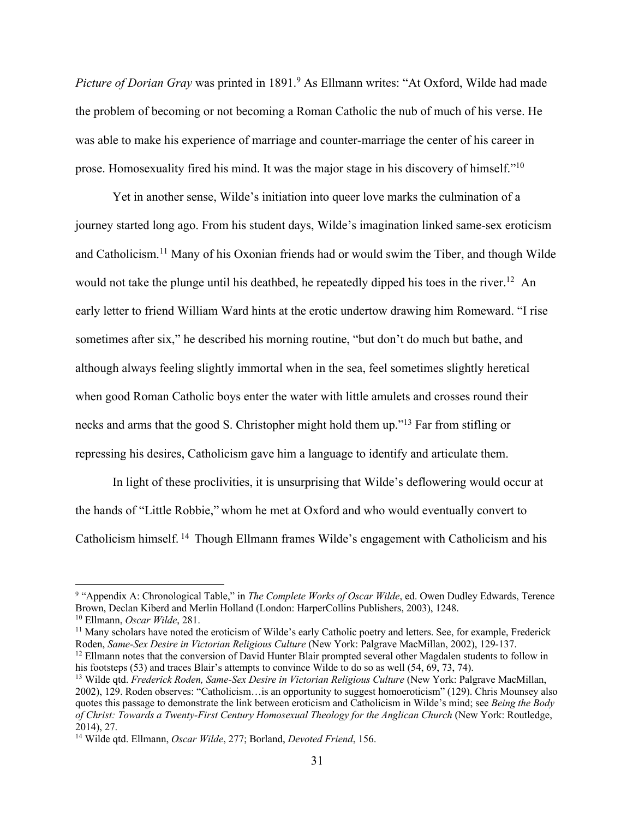*Picture of Dorian Gray* was printed in 1891.9 As Ellmann writes: "At Oxford, Wilde had made the problem of becoming or not becoming a Roman Catholic the nub of much of his verse. He was able to make his experience of marriage and counter-marriage the center of his career in prose. Homosexuality fired his mind. It was the major stage in his discovery of himself."10

Yet in another sense, Wilde's initiation into queer love marks the culmination of a journey started long ago. From his student days, Wilde's imagination linked same-sex eroticism and Catholicism.<sup>11</sup> Many of his Oxonian friends had or would swim the Tiber, and though Wilde would not take the plunge until his deathbed, he repeatedly dipped his toes in the river.<sup>12</sup> An early letter to friend William Ward hints at the erotic undertow drawing him Romeward. "I rise sometimes after six," he described his morning routine, "but don't do much but bathe, and although always feeling slightly immortal when in the sea, feel sometimes slightly heretical when good Roman Catholic boys enter the water with little amulets and crosses round their necks and arms that the good S. Christopher might hold them up."13 Far from stifling or repressing his desires, Catholicism gave him a language to identify and articulate them.

In light of these proclivities, it is unsurprising that Wilde's deflowering would occur at the hands of "Little Robbie," whom he met at Oxford and who would eventually convert to Catholicism himself. <sup>14</sup> Though Ellmann frames Wilde's engagement with Catholicism and his

<sup>&</sup>lt;sup>9</sup> "Appendix A: Chronological Table," in *The Complete Works of Oscar Wilde*, ed. Owen Dudley Edwards, Terence Brown, Declan Kiberd and Merlin Holland (London: HarperCollins Publishers, 2003), 1248.

<sup>&</sup>lt;sup>10</sup> Ellmann, *Oscar Wilde*, 281.<br><sup>11</sup> Many scholars have noted the eroticism of Wilde's early Catholic poetry and letters. See, for example, Frederick

Roden, *Same-Sex Desire in Victorian Religious Culture* (New York: Palgrave MacMillan, 2002), 129-137. <sup>12</sup> Ellmann notes that the conversion of David Hunter Blair prompted several other Magdalen students to follow in his

<sup>&</sup>lt;sup>13</sup> Wilde qtd. *Frederick Roden, Same-Sex Desire in Victorian Religious Culture* (New York: Palgrave MacMillan, 2002), 129. Roden observes: "Catholicism…is an opportunity to suggest homoeroticism" (129). Chris Mounsey also quotes this passage to demonstrate the link between eroticism and Catholicism in Wilde's mind; see *Being the Body of Christ: Towards a Twenty-First Century Homosexual Theology for the Anglican Church* (New York: Routledge, 2014), 27.

<sup>14</sup> Wilde qtd. Ellmann, *Oscar Wilde*, 277; Borland, *Devoted Friend*, 156.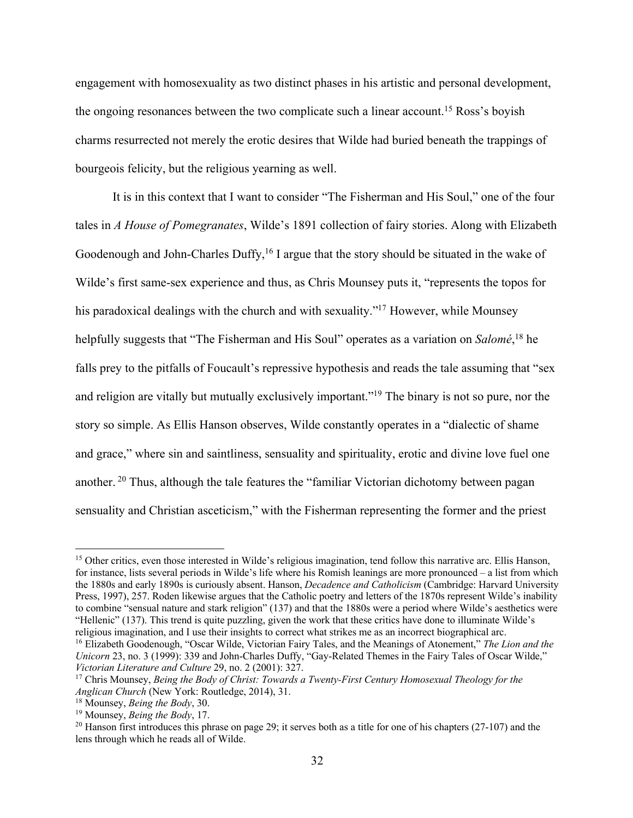engagement with homosexuality as two distinct phases in his artistic and personal development, the ongoing resonances between the two complicate such a linear account.<sup>15</sup> Ross's boyish charms resurrected not merely the erotic desires that Wilde had buried beneath the trappings of bourgeois felicity, but the religious yearning as well.

It is in this context that I want to consider "The Fisherman and His Soul," one of the four tales in *A House of Pomegranates*, Wilde's 1891 collection of fairy stories. Along with Elizabeth Goodenough and John-Charles Duffy,<sup>16</sup> I argue that the story should be situated in the wake of Wilde's first same-sex experience and thus, as Chris Mounsey puts it, "represents the topos for his paradoxical dealings with the church and with sexuality."<sup>17</sup> However, while Mounsey helpfully suggests that "The Fisherman and His Soul" operates as a variation on *Salomé*, <sup>18</sup> he falls prey to the pitfalls of Foucault's repressive hypothesis and reads the tale assuming that "sex and religion are vitally but mutually exclusively important."<sup>19</sup> The binary is not so pure, nor the story so simple. As Ellis Hanson observes, Wilde constantly operates in a "dialectic of shame and grace," where sin and saintliness, sensuality and spirituality, erotic and divine love fuel one another. <sup>20</sup> Thus, although the tale features the "familiar Victorian dichotomy between pagan sensuality and Christian asceticism," with the Fisherman representing the former and the priest

<sup>&</sup>lt;sup>15</sup> Other critics, even those interested in Wilde's religious imagination, tend follow this narrative arc. Ellis Hanson, for instance, lists several periods in Wilde's life where his Romish leanings are more pronounced – a list from which the 1880s and early 1890s is curiously absent. Hanson, *Decadence and Catholicism* (Cambridge: Harvard University Press, 1997), 257. Roden likewise argues that the Catholic poetry and letters of the 1870s represent Wilde's inability to combine "sensual nature and stark religion" (137) and that the 1880s were a period where Wilde's aesthetics were "Hellenic" (137). This trend is quite puzzling, given the work that these critics have done to illuminate Wilde's religious imagination, and I use their insights to correct what strikes me as an incorrect biographical arc.

<sup>&</sup>lt;sup>16</sup> Elizabeth Goodenough, "Oscar Wilde, Victorian Fairy Tales, and the Meanings of Atonement," The Lion and the *Unicorn* 23, no. 3 (1999): 339 and John-Charles Duffy, "Gay-Related Themes in the Fairy Tales of Oscar Wilde," *Victorian Literature and Culture* 29, no. 2 (2001): 327.<br><sup>17</sup> Chris Mounsey, *Being the Body of Christ: Towards a Twenty-First Century Homosexual Theology for the* 

*Anglican Church* (New York: Routledge, 2014), 31. 18 Mounsey, *Being the Body*, 30. 19 Mounsey, *Being the Body*, 17.

<sup>&</sup>lt;sup>20</sup> Hanson first introduces this phrase on page 29; it serves both as a title for one of his chapters (27-107) and the lens through which he reads all of Wilde.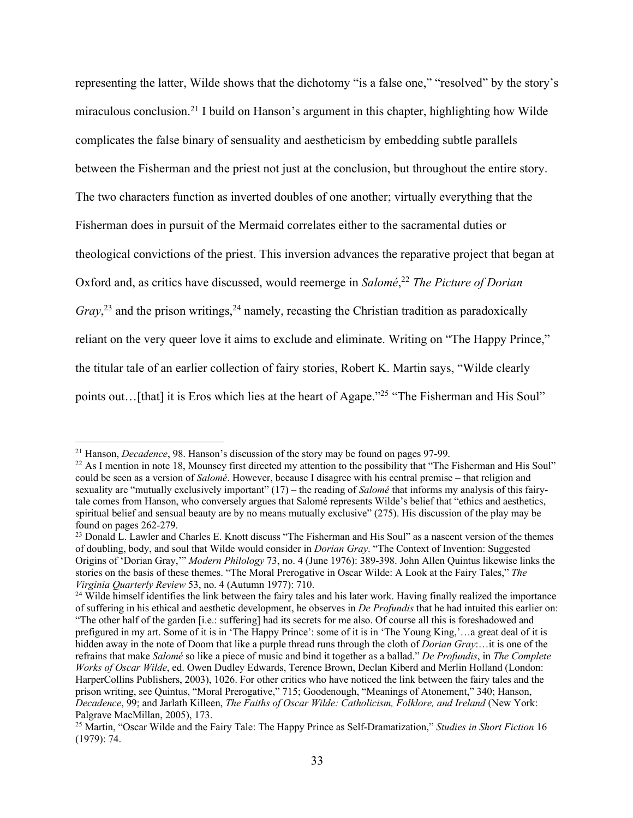representing the latter, Wilde shows that the dichotomy "is a false one," "resolved" by the story's miraculous conclusion.21 I build on Hanson's argument in this chapter, highlighting how Wilde complicates the false binary of sensuality and aestheticism by embedding subtle parallels between the Fisherman and the priest not just at the conclusion, but throughout the entire story. The two characters function as inverted doubles of one another; virtually everything that the Fisherman does in pursuit of the Mermaid correlates either to the sacramental duties or theological convictions of the priest. This inversion advances the reparative project that began at Oxford and, as critics have discussed, would reemerge in *Salomé*, <sup>22</sup> *The Picture of Dorian*  Gray,<sup>23</sup> and the prison writings,<sup>24</sup> namely, recasting the Christian tradition as paradoxically reliant on the very queer love it aims to exclude and eliminate. Writing on "The Happy Prince," the titular tale of an earlier collection of fairy stories, Robert K. Martin says, "Wilde clearly points out... [that] it is Eros which lies at the heart of Agape."<sup>25</sup> "The Fisherman and His Soul"

<sup>&</sup>lt;sup>21</sup> Hanson, *Decadence*, 98. Hanson's discussion of the story may be found on pages 97-99.<br><sup>22</sup> As I mention in note 18, Mounsey first directed my attention to the possibility that "The Fisherman and His Soul" could be seen as a version of *Salomé*. However, because I disagree with his central premise – that religion and sexuality are "mutually exclusively important" (17) – the reading of *Salomé* that informs my analysis of this fairytale comes from Hanson, who conversely argues that Salomé represents Wilde's belief that "ethics and aesthetics, spiritual belief and sensual beauty are by no means mutually exclusive" (275). His discussion of the play may be found on pages 262-279.<br><sup>23</sup> Donald L. Lawler and Charles E. Knott discuss "The Fisherman and His Soul" as a nascent version of the themes

of doubling, body, and soul that Wilde would consider in *Dorian Gray*. "The Context of Invention: Suggested Origins of 'Dorian Gray,'" *Modern Philology* 73, no. 4 (June 1976): 389-398. John Allen Quintus likewise links the stories on the basis of these themes. "The Moral Prerogative in Oscar Wilde: A Look at the Fairy Tales," *The Virginia Quarterly Review* 53, no. 4 (Autumn 1977): 710.<br><sup>24</sup> Wilde himself identifies the link between the fairy tales and his later work. Having finally realized the importance

of suffering in his ethical and aesthetic development, he observes in *De Profundis* that he had intuited this earlier on: "The other half of the garden [i.e.: suffering] had its secrets for me also. Of course all this is foreshadowed and prefigured in my art. Some of it is in 'The Happy Prince': some of it is in 'The Young King,'…a great deal of it is hidden away in the note of Doom that like a purple thread runs through the cloth of *Dorian Gray*:…it is one of the refrains that make *Salomé* so like a piece of music and bind it together as a ballad." *De Profundis*, in *The Complete Works of Oscar Wilde*, ed. Owen Dudley Edwards, Terence Brown, Declan Kiberd and Merlin Holland (London: HarperCollins Publishers, 2003), 1026. For other critics who have noticed the link between the fairy tales and the prison writing, see Quintus, "Moral Prerogative," 715; Goodenough, "Meanings of Atonement," 340; Hanson, *Decadence*, 99; and Jarlath Killeen, *The Faiths of Oscar Wilde: Catholicism, Folklore, and Ireland* (New York: Palgrave MacMillan, 2005), 173.

<sup>25</sup> Martin, "Oscar Wilde and the Fairy Tale: The Happy Prince as Self-Dramatization," *Studies in Short Fiction* 16 (1979): 74.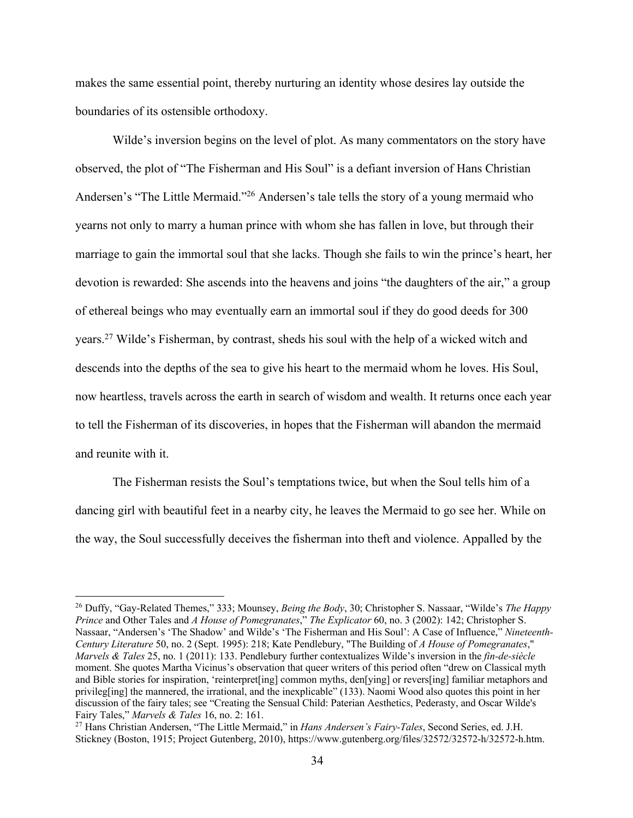makes the same essential point, thereby nurturing an identity whose desires lay outside the boundaries of its ostensible orthodoxy.

Wilde's inversion begins on the level of plot. As many commentators on the story have observed, the plot of "The Fisherman and His Soul" is a defiant inversion of Hans Christian Andersen's "The Little Mermaid."26 Andersen's tale tells the story of a young mermaid who yearns not only to marry a human prince with whom she has fallen in love, but through their marriage to gain the immortal soul that she lacks. Though she fails to win the prince's heart, her devotion is rewarded: She ascends into the heavens and joins "the daughters of the air," a group of ethereal beings who may eventually earn an immortal soul if they do good deeds for 300 years.27 Wilde's Fisherman, by contrast, sheds his soul with the help of a wicked witch and descends into the depths of the sea to give his heart to the mermaid whom he loves. His Soul, now heartless, travels across the earth in search of wisdom and wealth. It returns once each year to tell the Fisherman of its discoveries, in hopes that the Fisherman will abandon the mermaid and reunite with it.

The Fisherman resists the Soul's temptations twice, but when the Soul tells him of a dancing girl with beautiful feet in a nearby city, he leaves the Mermaid to go see her. While on the way, the Soul successfully deceives the fisherman into theft and violence. Appalled by the

<sup>26</sup> Duffy, "Gay-Related Themes," 333; Mounsey, *Being the Body*, 30; Christopher S. Nassaar, "Wilde's *The Happy Prince* and Other Tales and *A House of Pomegranates*," *The Explicator* 60, no. 3 (2002): 142; Christopher S. Nassaar, "Andersen's 'The Shadow' and Wilde's 'The Fisherman and His Soul': A Case of Influence," *Nineteenth-Century Literature* 50, no. 2 (Sept. 1995): 218; Kate Pendlebury, "The Building of *A House of Pomegranates*," *Marvels & Tales* 25, no. 1 (2011): 133. Pendlebury further contextualizes Wilde's inversion in the *fin-de-siècle* moment. She quotes Martha Vicinus's observation that queer writers of this period often "drew on Classical myth and Bible stories for inspiration, 'reinterpret[ing] common myths, den[ying] or revers[ing] familiar metaphors and privileg[ing] the mannered, the irrational, and the inexplicable" (133). Naomi Wood also quotes this point in her discussion of the fairy tales; see "Creating the Sensual Child: Paterian Aesthetics, Pederasty, and Oscar Wilde's Fairy Tales," *Marvels & Tales* 16, no. 2: 161.<br><sup>27</sup> Hans Christian Andersen, "The Little Mermaid," in *Hans Andersen's Fairy-Tales*, Second Series, ed. J.H.

Stickney (Boston, 1915; Project Gutenberg, 2010), https://www.gutenberg.org/files/32572/32572-h/32572-h.htm.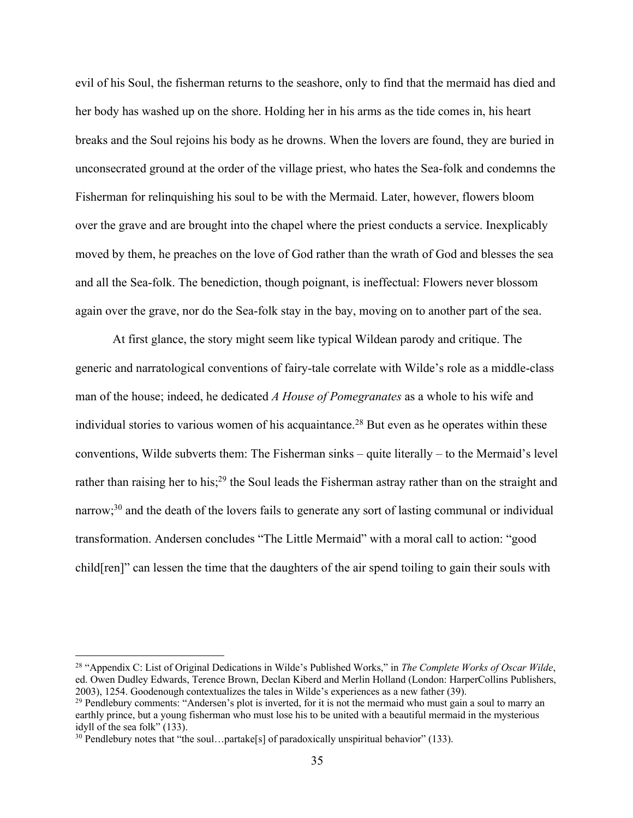evil of his Soul, the fisherman returns to the seashore, only to find that the mermaid has died and her body has washed up on the shore. Holding her in his arms as the tide comes in, his heart breaks and the Soul rejoins his body as he drowns. When the lovers are found, they are buried in unconsecrated ground at the order of the village priest, who hates the Sea-folk and condemns the Fisherman for relinquishing his soul to be with the Mermaid. Later, however, flowers bloom over the grave and are brought into the chapel where the priest conducts a service. Inexplicably moved by them, he preaches on the love of God rather than the wrath of God and blesses the sea and all the Sea-folk. The benediction, though poignant, is ineffectual: Flowers never blossom again over the grave, nor do the Sea-folk stay in the bay, moving on to another part of the sea.

At first glance, the story might seem like typical Wildean parody and critique. The generic and narratological conventions of fairy-tale correlate with Wilde's role as a middle-class man of the house; indeed, he dedicated *A House of Pomegranates* as a whole to his wife and individual stories to various women of his acquaintance.<sup>28</sup> But even as he operates within these conventions, Wilde subverts them: The Fisherman sinks – quite literally – to the Mermaid's level rather than raising her to his;<sup>29</sup> the Soul leads the Fisherman astray rather than on the straight and narrow;<sup>30</sup> and the death of the lovers fails to generate any sort of lasting communal or individual transformation. Andersen concludes "The Little Mermaid" with a moral call to action: "good child[ren]" can lessen the time that the daughters of the air spend toiling to gain their souls with

<sup>28</sup> "Appendix C: List of Original Dedications in Wilde's Published Works," in *The Complete Works of Oscar Wilde*, ed. Owen Dudley Edwards, Terence Brown, Declan Kiberd and Merlin Holland (London: HarperCollins Publishers, 2003), 1254. Goodenough contextualizes the tales in Wilde's experiences as a new father (39).  $^{29}$  Pendlebury comments: "Andersen's plot is inverted, for it is not the mermaid who must gain a soul to marry an

earthly prince, but a young fisherman who must lose his to be united with a beautiful mermaid in the mysterious idyll of the sea folk" (133).

 $30$  Pendlebury notes that "the soul...partake[s] of paradoxically unspiritual behavior" (133).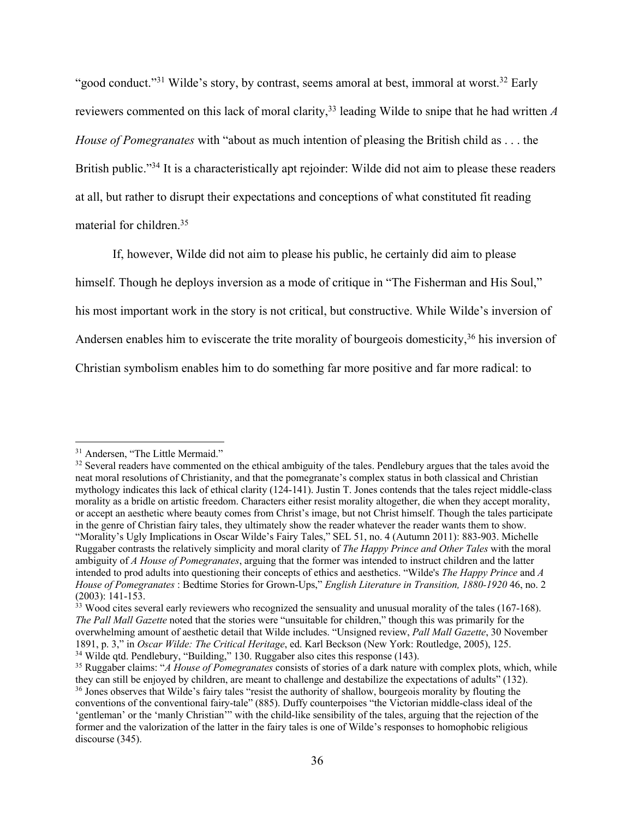"good conduct."<sup>31</sup> Wilde's story, by contrast, seems amoral at best, immoral at worst.<sup>32</sup> Early reviewers commented on this lack of moral clarity,33 leading Wilde to snipe that he had written *A House of Pomegranates* with "about as much intention of pleasing the British child as . . . the British public."<sup>34</sup> It is a characteristically apt rejoinder: Wilde did not aim to please these readers at all, but rather to disrupt their expectations and conceptions of what constituted fit reading material for children.35

If, however, Wilde did not aim to please his public, he certainly did aim to please

himself. Though he deploys inversion as a mode of critique in "The Fisherman and His Soul,"

his most important work in the story is not critical, but constructive. While Wilde's inversion of

Andersen enables him to eviscerate the trite morality of bourgeois domesticity,<sup>36</sup> his inversion of

Christian symbolism enables him to do something far more positive and far more radical: to

<sup>&</sup>lt;sup>31</sup> Andersen, "The Little Mermaid."

<sup>&</sup>lt;sup>32</sup> Several readers have commented on the ethical ambiguity of the tales. Pendlebury argues that the tales avoid the neat moral resolutions of Christianity, and that the pomegranate's complex status in both classical and Christian mythology indicates this lack of ethical clarity (124-141). Justin T. Jones contends that the tales reject middle-class morality as a bridle on artistic freedom. Characters either resist morality altogether, die when they accept morality, or accept an aesthetic where beauty comes from Christ's image, but not Christ himself. Though the tales participate in the genre of Christian fairy tales, they ultimately show the reader whatever the reader wants them to show. "Morality's Ugly Implications in Oscar Wilde's Fairy Tales," SEL 51, no. 4 (Autumn 2011): 883-903. Michelle Ruggaber contrasts the relatively simplicity and moral clarity of *The Happy Prince and Other Tales* with the moral ambiguity of *A House of Pomegranates*, arguing that the former was intended to instruct children and the latter intended to prod adults into questioning their concepts of ethics and aesthetics. "Wilde's *The Happy Prince* and *A House of Pomegranates* : Bedtime Stories for Grown-Ups," *English Literature in Transition, 1880-1920* 46, no. 2 (2003): 141-153.

 $33$  Wood cites several early reviewers who recognized the sensuality and unusual morality of the tales (167-168). *The Pall Mall Gazette* noted that the stories were "unsuitable for children," though this was primarily for the overwhelming amount of aesthetic detail that Wilde includes. "Unsigned review, *Pall Mall Gazette*, 30 November 1891, p. 3." in *Oscar Wilde: The Critical Heritage*, ed. Karl Beckson (New York: Routledge, 2005), 125.  $34$  Wilde qtd. Pendlebury, "Building," 130. Ruggaber also cites this response (143).<br><sup>35</sup> Ruggaber claims: "A House of Pomegranates consists of stories of a dark nature with complex plots, which, while

they can still be enjoyed by children, are meant to challenge and destabilize the expectations of adults" (132). 36 Jones observes that Wilde's fairy tales "resist the authority of shallow, bourgeois morality by flouting t conventions of the conventional fairy-tale" (885). Duffy counterpoises "the Victorian middle-class ideal of the 'gentleman' or the 'manly Christian'" with the child-like sensibility of the tales, arguing that the rejection of the former and the valorization of the latter in the fairy tales is one of Wilde's responses to homophobic religious discourse (345).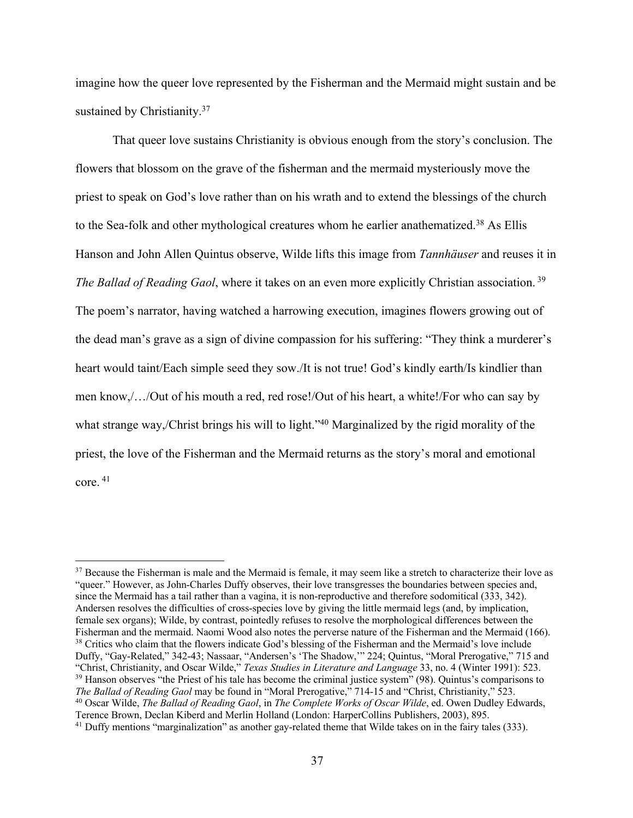imagine how the queer love represented by the Fisherman and the Mermaid might sustain and be sustained by Christianity.<sup>37</sup>

That queer love sustains Christianity is obvious enough from the story's conclusion. The flowers that blossom on the grave of the fisherman and the mermaid mysteriously move the priest to speak on God's love rather than on his wrath and to extend the blessings of the church to the Sea-folk and other mythological creatures whom he earlier anathematized.<sup>38</sup> As Ellis Hanson and John Allen Quintus observe, Wilde lifts this image from *Tannhäuser* and reuses it in *The Ballad of Reading Gaol*, where it takes on an even more explicitly Christian association. <sup>39</sup> The poem's narrator, having watched a harrowing execution, imagines flowers growing out of the dead man's grave as a sign of divine compassion for his suffering: "They think a murderer's heart would taint/Each simple seed they sow./It is not true! God's kindly earth/Is kindlier than men know,/…/Out of his mouth a red, red rose!/Out of his heart, a white!/For who can say by what strange way,/Christ brings his will to light."<sup>40</sup> Marginalized by the rigid morality of the priest, the love of the Fisherman and the Mermaid returns as the story's moral and emotional core. 41

<sup>&</sup>lt;sup>37</sup> Because the Fisherman is male and the Mermaid is female, it may seem like a stretch to characterize their love as "queer." However, as John-Charles Duffy observes, their love transgresses the boundaries between species and, since the Mermaid has a tail rather than a vagina, it is non-reproductive and therefore sodomitical (333, 342). Andersen resolves the difficulties of cross-species love by giving the little mermaid legs (and, by implication, female sex organs); Wilde, by contrast, pointedly refuses to resolve the morphological differences between the Fisherman and the mermaid. Naomi Wood also notes the perverse nature of the Fisherman and the Mermaid (166).  $^{38}$  Critics who claim that the flowers indicate God's blessing of the Fisherman and the Mermaid's love include Duffy, "Gay-Related," 342-43; Nassaar, "Andersen's 'The Shadow,'" 224; Quintus, "Moral Prerogative," 715 and "Christ, Christianity, and Oscar Wilde," Texas Studies in Literature and Language 33, no. 4 (Winter 1991): 523.<br><sup>39</sup> Hanson observes "the Priest of his tale has become the criminal justice system" (98). Quintus's compariso The Ballad of Reading Gaol may be found in "Moral Prerogative," 714-15 and "Christ, Christianity," 523.<br><sup>40</sup> Oscar Wilde, *The Ballad of Reading Gaol*, in *The Complete Works of Oscar Wilde*, ed. Owen Dudley Edwards, Terence Brown, Declan Kiberd and Merlin Holland (London: HarperCollins Publishers, 2003), 895.

<sup>&</sup>lt;sup>41</sup> Duffy mentions "marginalization" as another gay-related theme that Wilde takes on in the fairy tales (333).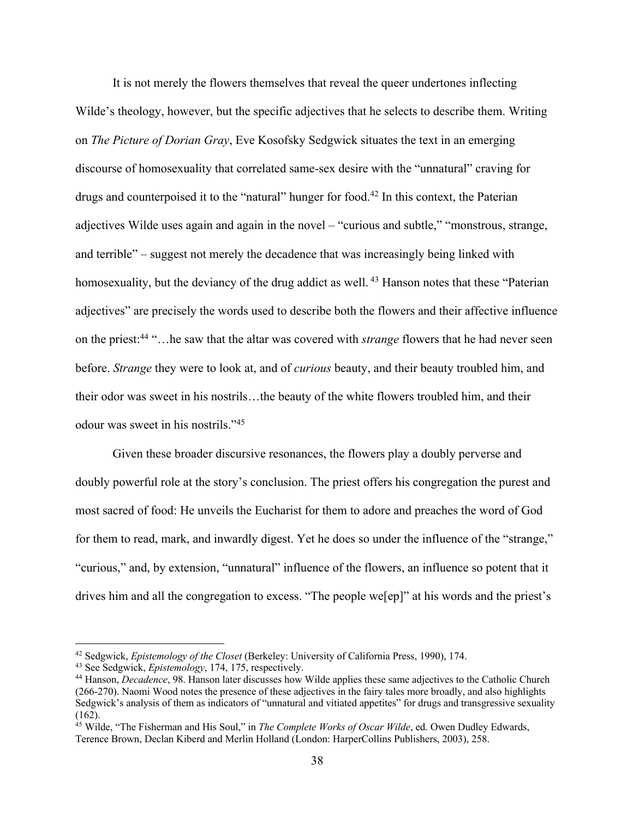It is not merely the flowers themselves that reveal the queer undertones inflecting Wilde's theology, however, but the specific adjectives that he selects to describe them. Writing on *The Picture of Dorian Gray*, Eve Kosofsky Sedgwick situates the text in an emerging discourse of homosexuality that correlated same-sex desire with the "unnatural" craving for drugs and counterpoised it to the "natural" hunger for food.<sup>42</sup> In this context, the Paterian adjectives Wilde uses again and again in the novel – "curious and subtle," "monstrous, strange, and terrible" – suggest not merely the decadence that was increasingly being linked with homosexuality, but the deviancy of the drug addict as well.<sup>43</sup> Hanson notes that these "Paterian" adjectives" are precisely the words used to describe both the flowers and their affective influence on the priest:44 "…he saw that the altar was covered with *strange* flowers that he had never seen before. *Strange* they were to look at, and of *curious* beauty, and their beauty troubled him, and their odor was sweet in his nostrils…the beauty of the white flowers troubled him, and their odour was sweet in his nostrils."45

Given these broader discursive resonances, the flowers play a doubly perverse and doubly powerful role at the story's conclusion. The priest offers his congregation the purest and most sacred of food: He unveils the Eucharist for them to adore and preaches the word of God for them to read, mark, and inwardly digest. Yet he does so under the influence of the "strange," "curious," and, by extension, "unnatural" influence of the flowers, an influence so potent that it drives him and all the congregation to excess. "The people we[ep]" at his words and the priest's

<sup>&</sup>lt;sup>42</sup> Sedgwick, *Epistemology of the Closet* (Berkeley: University of California Press, 1990), 174.<br><sup>43</sup> See Sedgwick, *Epistemology*, 174, 175, respectively.<br><sup>44</sup> Hanson, *Decadence*, 98. Hanson later discusses how Wilde (266-270). Naomi Wood notes the presence of these adjectives in the fairy tales more broadly, and also highlights Sedgwick's analysis of them as indicators of "unnatural and vitiated appetites" for drugs and transgressive sexuality (162).

<sup>45</sup> Wilde, "The Fisherman and His Soul," in *The Complete Works of Oscar Wilde*, ed. Owen Dudley Edwards, Terence Brown, Declan Kiberd and Merlin Holland (London: HarperCollins Publishers, 2003), 258.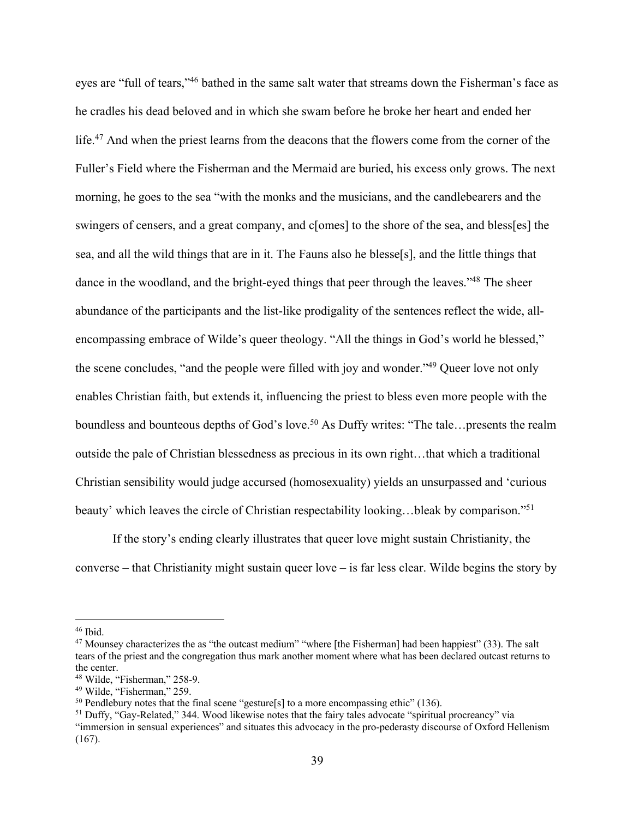eyes are "full of tears,"46 bathed in the same salt water that streams down the Fisherman's face as he cradles his dead beloved and in which she swam before he broke her heart and ended her life.<sup>47</sup> And when the priest learns from the deacons that the flowers come from the corner of the Fuller's Field where the Fisherman and the Mermaid are buried, his excess only grows. The next morning, he goes to the sea "with the monks and the musicians, and the candlebearers and the swingers of censers, and a great company, and c[omes] to the shore of the sea, and bless[es] the sea, and all the wild things that are in it. The Fauns also he blesse[s], and the little things that dance in the woodland, and the bright-eyed things that peer through the leaves."<sup>48</sup> The sheer abundance of the participants and the list-like prodigality of the sentences reflect the wide, allencompassing embrace of Wilde's queer theology. "All the things in God's world he blessed," the scene concludes, "and the people were filled with joy and wonder."49 Queer love not only enables Christian faith, but extends it, influencing the priest to bless even more people with the boundless and bounteous depths of God's love.<sup>50</sup> As Duffy writes: "The tale...presents the realm outside the pale of Christian blessedness as precious in its own right…that which a traditional Christian sensibility would judge accursed (homosexuality) yields an unsurpassed and 'curious beauty' which leaves the circle of Christian respectability looking...bleak by comparison."<sup>51</sup>

If the story's ending clearly illustrates that queer love might sustain Christianity, the converse – that Christianity might sustain queer love – is far less clear. Wilde begins the story by

<sup>&</sup>lt;sup>46</sup> Ibid.<br><sup>47</sup> Mounsey characterizes the as "the outcast medium" "where [the Fisherman] had been happiest" (33). The salt tears of the priest and the congregation thus mark another moment where what has been declared outcast returns to the center.

<sup>&</sup>lt;sup>48</sup> Wilde, "Fisherman," 258-9.<br><sup>49</sup> Wilde, "Fisherman," 259.<br><sup>50</sup> Pendlebury notes that the final scene "gesture[s] to a more encompassing ethic" (136).<br><sup>51</sup> Duffy, "Gay-Related," 344. Wood likewise notes that the fairy "immersion in sensual experiences" and situates this advocacy in the pro-pederasty discourse of Oxford Hellenism (167).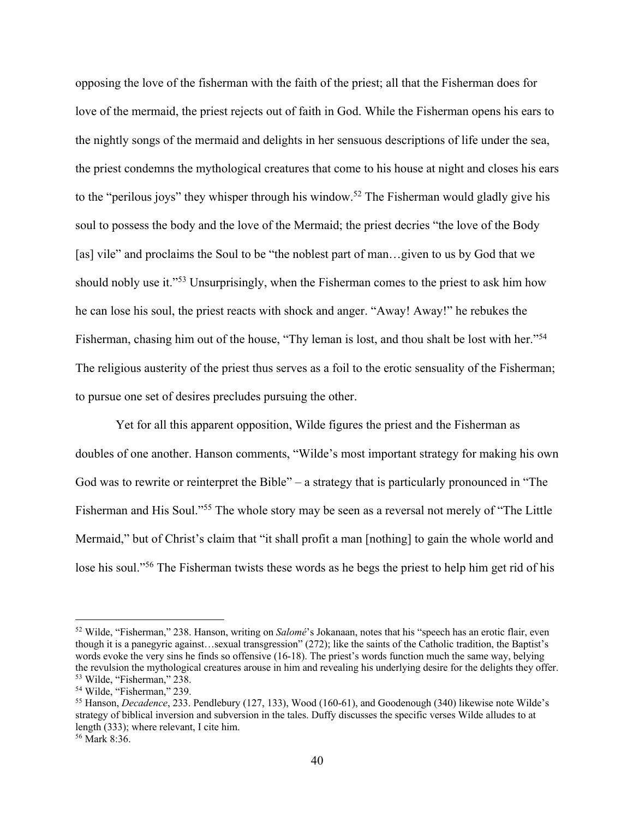opposing the love of the fisherman with the faith of the priest; all that the Fisherman does for love of the mermaid, the priest rejects out of faith in God. While the Fisherman opens his ears to the nightly songs of the mermaid and delights in her sensuous descriptions of life under the sea, the priest condemns the mythological creatures that come to his house at night and closes his ears to the "perilous joys" they whisper through his window.<sup>52</sup> The Fisherman would gladly give his soul to possess the body and the love of the Mermaid; the priest decries "the love of the Body [as] vile" and proclaims the Soul to be "the noblest part of man...given to us by God that we should nobly use it."53 Unsurprisingly, when the Fisherman comes to the priest to ask him how he can lose his soul, the priest reacts with shock and anger. "Away! Away!" he rebukes the Fisherman, chasing him out of the house, "Thy leman is lost, and thou shalt be lost with her."<sup>54</sup> The religious austerity of the priest thus serves as a foil to the erotic sensuality of the Fisherman; to pursue one set of desires precludes pursuing the other.

Yet for all this apparent opposition, Wilde figures the priest and the Fisherman as doubles of one another. Hanson comments, "Wilde's most important strategy for making his own God was to rewrite or reinterpret the Bible" – a strategy that is particularly pronounced in "The Fisherman and His Soul."55 The whole story may be seen as a reversal not merely of "The Little Mermaid," but of Christ's claim that "it shall profit a man [nothing] to gain the whole world and lose his soul."<sup>56</sup> The Fisherman twists these words as he begs the priest to help him get rid of his

<sup>52</sup> Wilde, "Fisherman," 238. Hanson, writing on *Salomé*'s Jokanaan, notes that his "speech has an erotic flair, even though it is a panegyric against…sexual transgression" (272); like the saints of the Catholic tradition, the Baptist's words evoke the very sins he finds so offensive (16-18). The priest's words function much the same way, belying the revulsion the mythological creatures arouse in him and revealing his underlying desire for the delights they offer.  $53$  Wilde, "Fisherman," 238.<br> $54$  Wilde, "Fisherman," 239.

<sup>&</sup>lt;sup>55</sup> Hanson, *Decadence*, 233. Pendlebury (127, 133), Wood (160-61), and Goodenough (340) likewise note Wilde's strategy of biblical inversion and subversion in the tales. Duffy discusses the specific verses Wilde alludes to at length (333); where relevant, I cite him.

<sup>56</sup> Mark 8:36.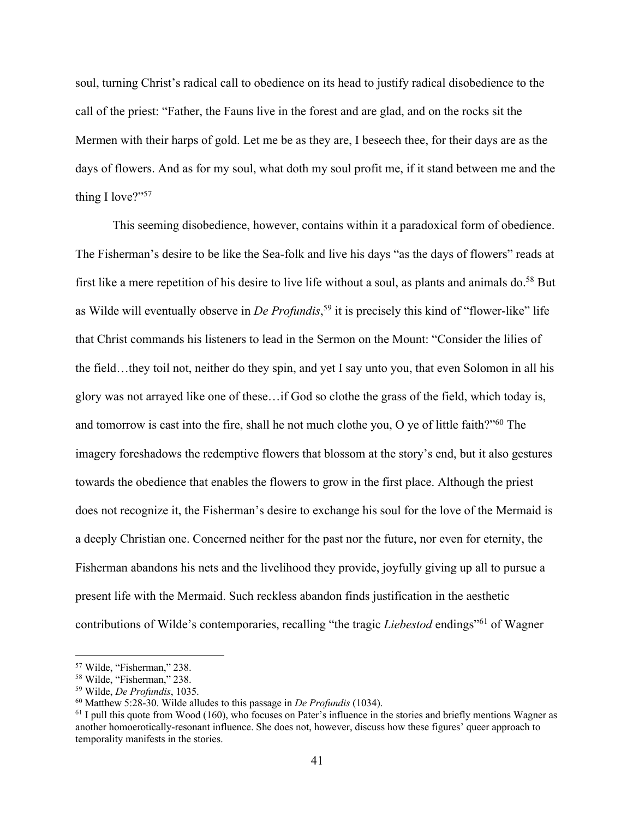soul, turning Christ's radical call to obedience on its head to justify radical disobedience to the call of the priest: "Father, the Fauns live in the forest and are glad, and on the rocks sit the Mermen with their harps of gold. Let me be as they are, I beseech thee, for their days are as the days of flowers. And as for my soul, what doth my soul profit me, if it stand between me and the thing I love?"<sup>57</sup>

This seeming disobedience, however, contains within it a paradoxical form of obedience. The Fisherman's desire to be like the Sea-folk and live his days "as the days of flowers" reads at first like a mere repetition of his desire to live life without a soul, as plants and animals do.<sup>58</sup> But as Wilde will eventually observe in *De Profundis*, <sup>59</sup> it is precisely this kind of "flower-like" life that Christ commands his listeners to lead in the Sermon on the Mount: "Consider the lilies of the field…they toil not, neither do they spin, and yet I say unto you, that even Solomon in all his glory was not arrayed like one of these…if God so clothe the grass of the field, which today is, and tomorrow is cast into the fire, shall he not much clothe you, O ye of little faith?"60 The imagery foreshadows the redemptive flowers that blossom at the story's end, but it also gestures towards the obedience that enables the flowers to grow in the first place. Although the priest does not recognize it, the Fisherman's desire to exchange his soul for the love of the Mermaid is a deeply Christian one. Concerned neither for the past nor the future, nor even for eternity, the Fisherman abandons his nets and the livelihood they provide, joyfully giving up all to pursue a present life with the Mermaid. Such reckless abandon finds justification in the aesthetic contributions of Wilde's contemporaries, recalling "the tragic *Liebestod* endings"<sup>61</sup> of Wagner

<sup>57</sup> Wilde, "Fisherman," 238.

 $58$  Wilde, "Fisherman," 238.<br> $59$  Wilde, *De Profundis*, 1035.

<sup>&</sup>lt;sup>60</sup> Matthew 5:28-30. Wilde alludes to this passage in *De Profundis* (1034).<br><sup>61</sup> I pull this quote from Wood (160), who focuses on Pater's influence in the stories and briefly mentions Wagner as another homoerotically-resonant influence. She does not, however, discuss how these figures' queer approach to temporality manifests in the stories.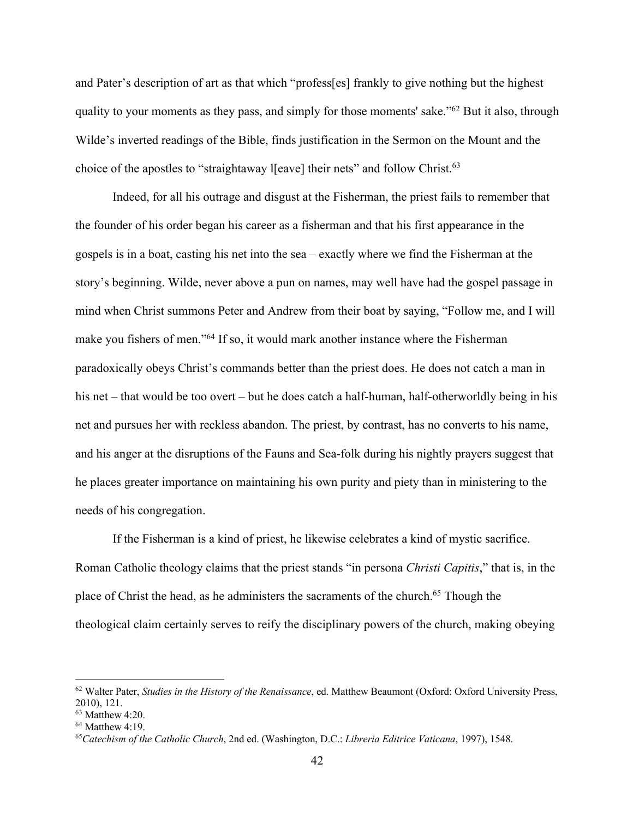and Pater's description of art as that which "profess[es] frankly to give nothing but the highest quality to your moments as they pass, and simply for those moments' sake."62 But it also, through Wilde's inverted readings of the Bible, finds justification in the Sermon on the Mount and the choice of the apostles to "straightaway I[eave] their nets" and follow Christ.<sup>63</sup>

Indeed, for all his outrage and disgust at the Fisherman, the priest fails to remember that the founder of his order began his career as a fisherman and that his first appearance in the gospels is in a boat, casting his net into the sea – exactly where we find the Fisherman at the story's beginning. Wilde, never above a pun on names, may well have had the gospel passage in mind when Christ summons Peter and Andrew from their boat by saying, "Follow me, and I will make you fishers of men."64 If so, it would mark another instance where the Fisherman paradoxically obeys Christ's commands better than the priest does. He does not catch a man in his net – that would be too overt – but he does catch a half-human, half-otherworldly being in his net and pursues her with reckless abandon. The priest, by contrast, has no converts to his name, and his anger at the disruptions of the Fauns and Sea-folk during his nightly prayers suggest that he places greater importance on maintaining his own purity and piety than in ministering to the needs of his congregation.

If the Fisherman is a kind of priest, he likewise celebrates a kind of mystic sacrifice. Roman Catholic theology claims that the priest stands "in persona *Christi Capitis*," that is, in the place of Christ the head, as he administers the sacraments of the church.<sup>65</sup> Though the theological claim certainly serves to reify the disciplinary powers of the church, making obeying

<sup>62</sup> Walter Pater, *Studies in the History of the Renaissance*, ed. Matthew Beaumont (Oxford: Oxford University Press, 2010), 121.

<sup>63</sup> Matthew 4:20. 64 Matthew 4:19. 65*Catechism of the Catholic Church*, 2nd ed. (Washington, D.C.: *Libreria Editrice Vaticana*, 1997), 1548.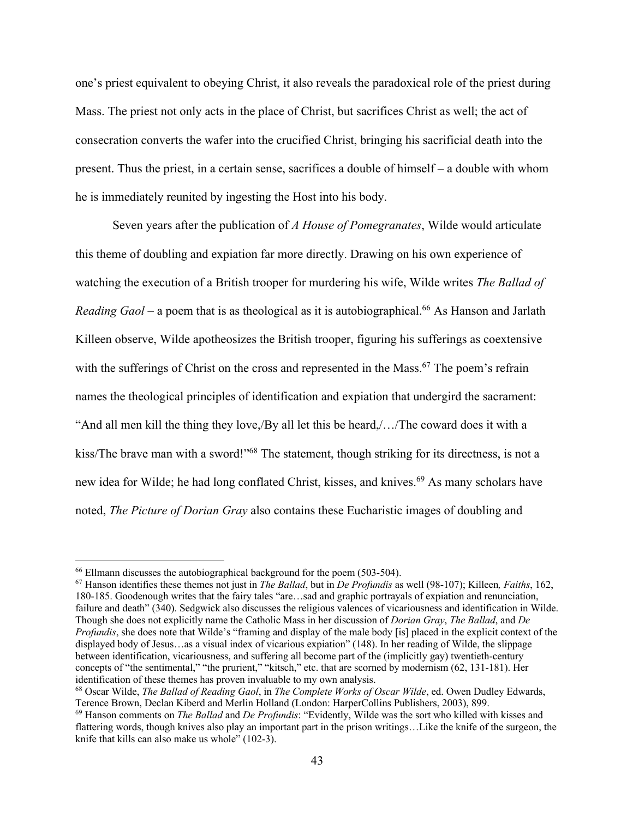one's priest equivalent to obeying Christ, it also reveals the paradoxical role of the priest during Mass. The priest not only acts in the place of Christ, but sacrifices Christ as well; the act of consecration converts the wafer into the crucified Christ, bringing his sacrificial death into the present. Thus the priest, in a certain sense, sacrifices a double of himself – a double with whom he is immediately reunited by ingesting the Host into his body.

Seven years after the publication of *A House of Pomegranates*, Wilde would articulate this theme of doubling and expiation far more directly. Drawing on his own experience of watching the execution of a British trooper for murdering his wife, Wilde writes *The Ballad of Reading Gaol* – a poem that is as theological as it is autobiographical.<sup>66</sup> As Hanson and Jarlath Killeen observe, Wilde apotheosizes the British trooper, figuring his sufferings as coextensive with the sufferings of Christ on the cross and represented in the Mass.<sup>67</sup> The poem's refrain names the theological principles of identification and expiation that undergird the sacrament: "And all men kill the thing they love,/By all let this be heard,/…/The coward does it with a kiss/The brave man with a sword!"<sup>68</sup> The statement, though striking for its directness, is not a new idea for Wilde; he had long conflated Christ, kisses, and knives.<sup>69</sup> As many scholars have noted, *The Picture of Dorian Gray* also contains these Eucharistic images of doubling and

<sup>&</sup>lt;sup>66</sup> Ellmann discusses the autobiographical background for the poem (503-504).

<sup>67</sup> Hanson identifies these themes not just in *The Ballad*, but in *De Profundis* as well (98-107); Killeen*, Faiths*, 162, 180-185. Goodenough writes that the fairy tales "are…sad and graphic portrayals of expiation and renunciation, failure and death" (340). Sedgwick also discusses the religious valences of vicariousness and identification in Wilde. Though she does not explicitly name the Catholic Mass in her discussion of *Dorian Gray*, *The Ballad*, and *De Profundis*, she does note that Wilde's "framing and display of the male body [is] placed in the explicit context of the displayed body of Jesus…as a visual index of vicarious expiation" (148). In her reading of Wilde, the slippage between identification, vicariousness, and suffering all become part of the (implicitly gay) twentieth-century concepts of "the sentimental," "the prurient," "kitsch," etc. that are scorned by modernism (62, 131-181). Her identification of these themes has proven invaluable to my own analysis.<br><sup>68</sup> Oscar Wilde, *The Ballad of Reading Gaol*, in *The Complete Works of Oscar Wilde*, ed. Owen Dudley Edwards,

Terence Brown, Declan Kiberd and Merlin Holland (London: HarperCollins Publishers, 2003), 899.

<sup>69</sup> Hanson comments on *The Ballad* and *De Profundis*: "Evidently, Wilde was the sort who killed with kisses and flattering words, though knives also play an important part in the prison writings…Like the knife of the surgeon, the knife that kills can also make us whole" (102-3).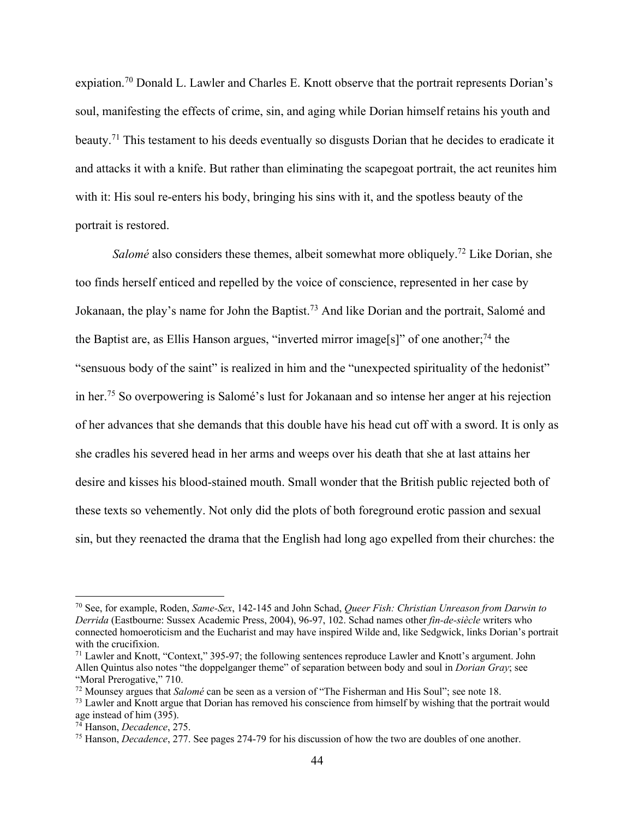expiation.70 Donald L. Lawler and Charles E. Knott observe that the portrait represents Dorian's soul, manifesting the effects of crime, sin, and aging while Dorian himself retains his youth and beauty.71 This testament to his deeds eventually so disgusts Dorian that he decides to eradicate it and attacks it with a knife. But rather than eliminating the scapegoat portrait, the act reunites him with it: His soul re-enters his body, bringing his sins with it, and the spotless beauty of the portrait is restored.

*Salomé* also considers these themes, albeit somewhat more obliquely.<sup>72</sup> Like Dorian, she too finds herself enticed and repelled by the voice of conscience, represented in her case by Jokanaan, the play's name for John the Baptist.73 And like Dorian and the portrait, Salomé and the Baptist are, as Ellis Hanson argues, "inverted mirror image[s]" of one another;<sup>74</sup> the "sensuous body of the saint" is realized in him and the "unexpected spirituality of the hedonist" in her.75 So overpowering is Salomé's lust for Jokanaan and so intense her anger at his rejection of her advances that she demands that this double have his head cut off with a sword. It is only as she cradles his severed head in her arms and weeps over his death that she at last attains her desire and kisses his blood-stained mouth. Small wonder that the British public rejected both of these texts so vehemently. Not only did the plots of both foreground erotic passion and sexual sin, but they reenacted the drama that the English had long ago expelled from their churches: the

<sup>70</sup> See, for example, Roden, *Same-Sex*, 142-145 and John Schad, *Queer Fish: Christian Unreason from Darwin to Derrida* (Eastbourne: Sussex Academic Press, 2004), 96-97, 102. Schad names other *fin-de-siècle* writers who connected homoeroticism and the Eucharist and may have inspired Wilde and, like Sedgwick, links Dorian's portrait with the crucifixion.

<sup>71</sup> Lawler and Knott, "Context," 395-97; the following sentences reproduce Lawler and Knott's argument. John Allen Quintus also notes "the doppelganger theme" of separation between body and soul in *Dorian Gray*; see "Moral Prerogative," 710.<br><sup>72</sup> Mounsey argues that *Salomé* can be seen as a version of "The Fisherman and His Soul"; see note 18.

<sup>&</sup>lt;sup>73</sup> Lawler and Knott argue that *Dorian has removed his conscience from himself by wishing that the portrait would* age instead of him (395).<br><sup>74</sup> Hanson, *Decadence*, 275.

<sup>&</sup>lt;sup>75</sup> Hanson, *Decadence*, 277. See pages 274-79 for his discussion of how the two are doubles of one another.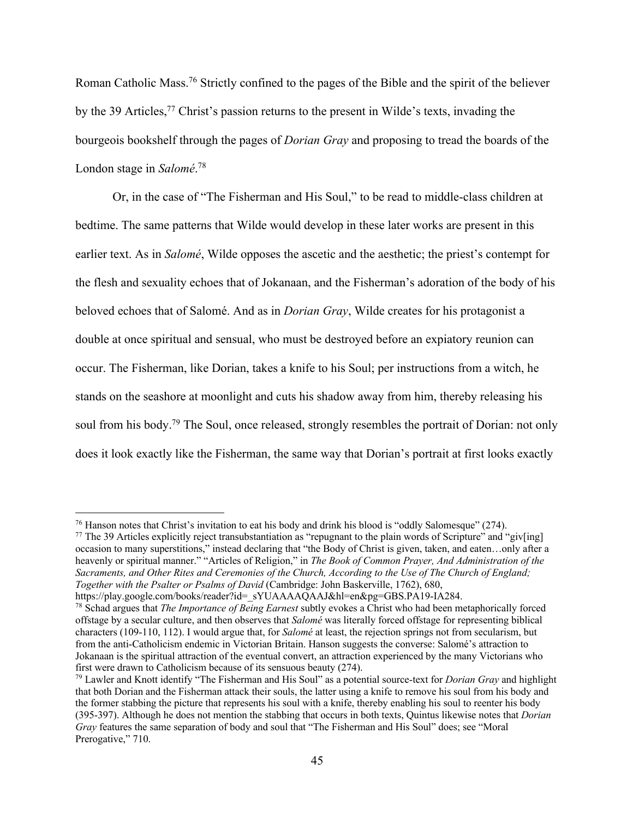Roman Catholic Mass.76 Strictly confined to the pages of the Bible and the spirit of the believer by the 39 Articles,<sup>77</sup> Christ's passion returns to the present in Wilde's texts, invading the bourgeois bookshelf through the pages of *Dorian Gray* and proposing to tread the boards of the London stage in *Salomé*. 78

Or, in the case of "The Fisherman and His Soul," to be read to middle-class children at bedtime. The same patterns that Wilde would develop in these later works are present in this earlier text. As in *Salomé*, Wilde opposes the ascetic and the aesthetic; the priest's contempt for the flesh and sexuality echoes that of Jokanaan, and the Fisherman's adoration of the body of his beloved echoes that of Salomé. And as in *Dorian Gray*, Wilde creates for his protagonist a double at once spiritual and sensual, who must be destroyed before an expiatory reunion can occur. The Fisherman, like Dorian, takes a knife to his Soul; per instructions from a witch, he stands on the seashore at moonlight and cuts his shadow away from him, thereby releasing his soul from his body.<sup>79</sup> The Soul, once released, strongly resembles the portrait of Dorian: not only does it look exactly like the Fisherman, the same way that Dorian's portrait at first looks exactly

<sup>&</sup>lt;sup>76</sup> Hanson notes that Christ's invitation to eat his body and drink his blood is "oddly Salomesque" (274).<br><sup>77</sup> The 39 Articles explicitly reject transubstantiation as "repugnant to the plain words of Scripture" and "giv

occasion to many superstitions," instead declaring that "the Body of Christ is given, taken, and eaten…only after a heavenly or spiritual manner." "Articles of Religion," in *The Book of Common Prayer, And Administration of the Sacraments, and Other Rites and Ceremonies of the Church, According to the Use of The Church of England; Together with the Psalter or Psalms of David* (Cambridge: John Baskerville, 1762), 680, https://play.google.com/books/reader?id= sYUAAAAQAAJ&hl=en&pg=GBS.PA19-IA284.

<sup>&</sup>lt;sup>78</sup> Schad argues that *The Importance of Being Earnest* subtly evokes a Christ who had been metaphorically forced offstage by a secular culture, and then observes that *Salomé* was literally forced offstage for representing biblical characters (109-110, 112). I would argue that, for *Salomé* at least, the rejection springs not from secularism, but from the anti-Catholicism endemic in Victorian Britain. Hanson suggests the converse: Salomé's attraction to Jokanaan is the spiritual attraction of the eventual convert, an attraction experienced by the many Victorians who first were drawn to Catholicism because of its sensuous beauty (274).

<sup>79</sup> Lawler and Knott identify "The Fisherman and His Soul" as a potential source-text for *Dorian Gray* and highlight that both Dorian and the Fisherman attack their souls, the latter using a knife to remove his soul from his body and the former stabbing the picture that represents his soul with a knife, thereby enabling his soul to reenter his body (395-397). Although he does not mention the stabbing that occurs in both texts, Quintus likewise notes that *Dorian Gray* features the same separation of body and soul that "The Fisherman and His Soul" does; see "Moral Prerogative," 710.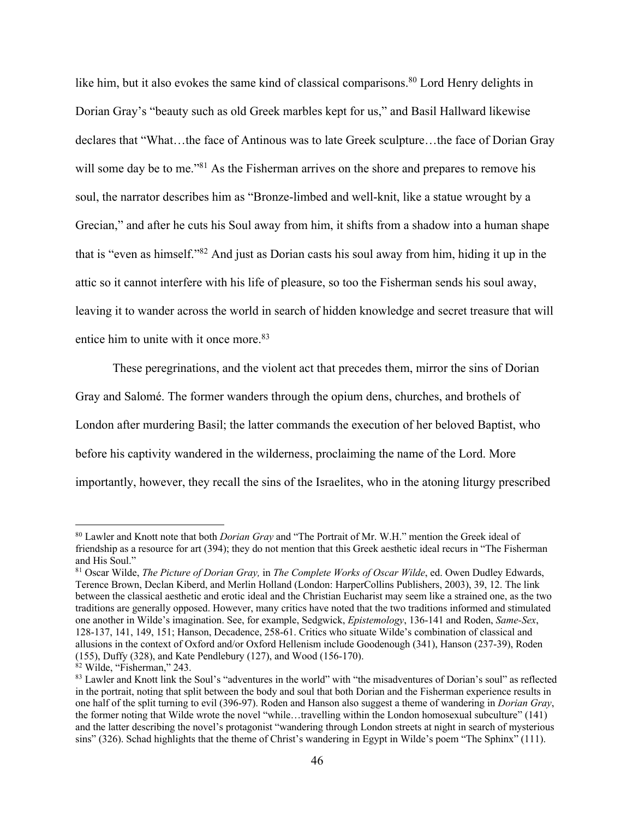like him, but it also evokes the same kind of classical comparisons.<sup>80</sup> Lord Henry delights in Dorian Gray's "beauty such as old Greek marbles kept for us," and Basil Hallward likewise declares that "What…the face of Antinous was to late Greek sculpture…the face of Dorian Gray will some day be to me."<sup>81</sup> As the Fisherman arrives on the shore and prepares to remove his soul, the narrator describes him as "Bronze-limbed and well-knit, like a statue wrought by a Grecian," and after he cuts his Soul away from him, it shifts from a shadow into a human shape that is "even as himself."82 And just as Dorian casts his soul away from him, hiding it up in the attic so it cannot interfere with his life of pleasure, so too the Fisherman sends his soul away, leaving it to wander across the world in search of hidden knowledge and secret treasure that will entice him to unite with it once more.<sup>83</sup>

These peregrinations, and the violent act that precedes them, mirror the sins of Dorian Gray and Salomé. The former wanders through the opium dens, churches, and brothels of London after murdering Basil; the latter commands the execution of her beloved Baptist, who before his captivity wandered in the wilderness, proclaiming the name of the Lord. More importantly, however, they recall the sins of the Israelites, who in the atoning liturgy prescribed

<sup>80</sup> Lawler and Knott note that both *Dorian Gray* and "The Portrait of Mr. W.H." mention the Greek ideal of friendship as a resource for art (394); they do not mention that this Greek aesthetic ideal recurs in "The Fisherman and His Soul."

<sup>81</sup> Oscar Wilde, *The Picture of Dorian Gray,* in *The Complete Works of Oscar Wilde*, ed. Owen Dudley Edwards, Terence Brown, Declan Kiberd, and Merlin Holland (London: HarperCollins Publishers, 2003), 39, 12. The link between the classical aesthetic and erotic ideal and the Christian Eucharist may seem like a strained one, as the two traditions are generally opposed. However, many critics have noted that the two traditions informed and stimulated one another in Wilde's imagination. See, for example, Sedgwick, *Epistemology*, 136-141 and Roden, *Same-Sex*, 128-137, 141, 149, 151; Hanson, Decadence, 258-61. Critics who situate Wilde's combination of classical and allusions in the context of Oxford and/or Oxford Hellenism include Goodenough (341), Hanson (237-39), Roden (155), Duffy (328), and Kate Pendlebury (127), and Wood (156-170).

<sup>&</sup>lt;sup>82</sup> Wilde, "Fisherman," 243.<br><sup>83</sup> Lawler and Knott link the Soul's "adventures in the world" with "the misadventures of Dorian's soul" as reflected in the portrait, noting that split between the body and soul that both Dorian and the Fisherman experience results in one half of the split turning to evil (396-97). Roden and Hanson also suggest a theme of wandering in *Dorian Gray*, the former noting that Wilde wrote the novel "while…travelling within the London homosexual subculture" (141) and the latter describing the novel's protagonist "wandering through London streets at night in search of mysterious sins" (326). Schad highlights that the theme of Christ's wandering in Egypt in Wilde's poem "The Sphinx" (111).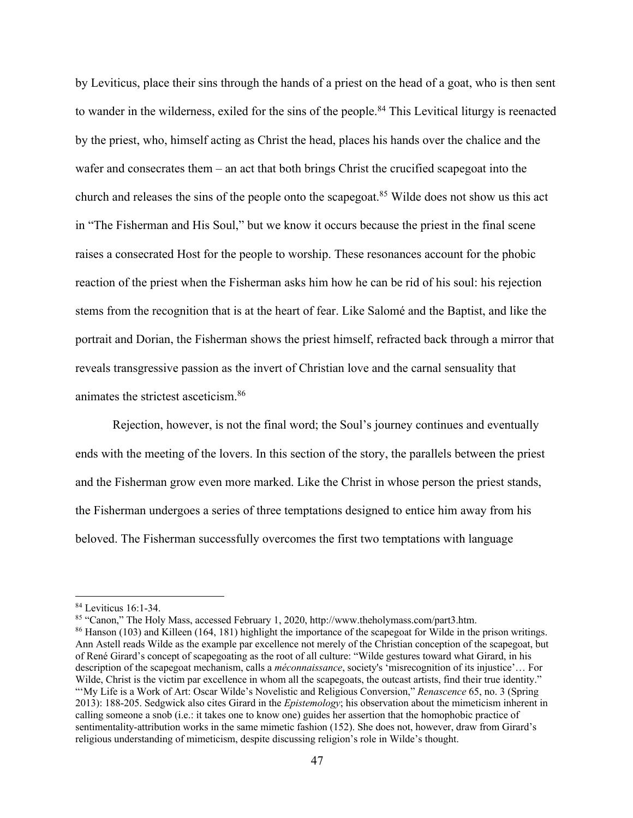by Leviticus, place their sins through the hands of a priest on the head of a goat, who is then sent to wander in the wilderness, exiled for the sins of the people.<sup>84</sup> This Levitical liturgy is reenacted by the priest, who, himself acting as Christ the head, places his hands over the chalice and the wafer and consecrates them – an act that both brings Christ the crucified scapegoat into the church and releases the sins of the people onto the scapegoat.85 Wilde does not show us this act in "The Fisherman and His Soul," but we know it occurs because the priest in the final scene raises a consecrated Host for the people to worship. These resonances account for the phobic reaction of the priest when the Fisherman asks him how he can be rid of his soul: his rejection stems from the recognition that is at the heart of fear. Like Salomé and the Baptist, and like the portrait and Dorian, the Fisherman shows the priest himself, refracted back through a mirror that reveals transgressive passion as the invert of Christian love and the carnal sensuality that animates the strictest asceticism.86

Rejection, however, is not the final word; the Soul's journey continues and eventually ends with the meeting of the lovers. In this section of the story, the parallels between the priest and the Fisherman grow even more marked. Like the Christ in whose person the priest stands, the Fisherman undergoes a series of three temptations designed to entice him away from his beloved. The Fisherman successfully overcomes the first two temptations with language

<sup>84</sup> Leviticus 16:1-34. 85 "Canon," The Holy Mass, accessed February 1, 2020, http://www.theholymass.com/part3.htm.

<sup>86</sup> Hanson (103) and Killeen (164, 181) highlight the importance of the scapegoat for Wilde in the prison writings. Ann Astell reads Wilde as the example par excellence not merely of the Christian conception of the scapegoat, but of René Girard's concept of scapegoating as the root of all culture: "Wilde gestures toward what Girard, in his description of the scapegoat mechanism, calls a *méconnaissance*, society's 'misrecognition of its injustice'… For Wilde, Christ is the victim par excellence in whom all the scapegoats, the outcast artists, find their true identity." "'My Life is a Work of Art: Oscar Wilde's Novelistic and Religious Conversion," *Renascence* 65, no. 3 (Spring 2013): 188-205. Sedgwick also cites Girard in the *Epistemology*; his observation about the mimeticism inherent in calling someone a snob (i.e.: it takes one to know one) guides her assertion that the homophobic practice of sentimentality-attribution works in the same mimetic fashion (152). She does not, however, draw from Girard's religious understanding of mimeticism, despite discussing religion's role in Wilde's thought.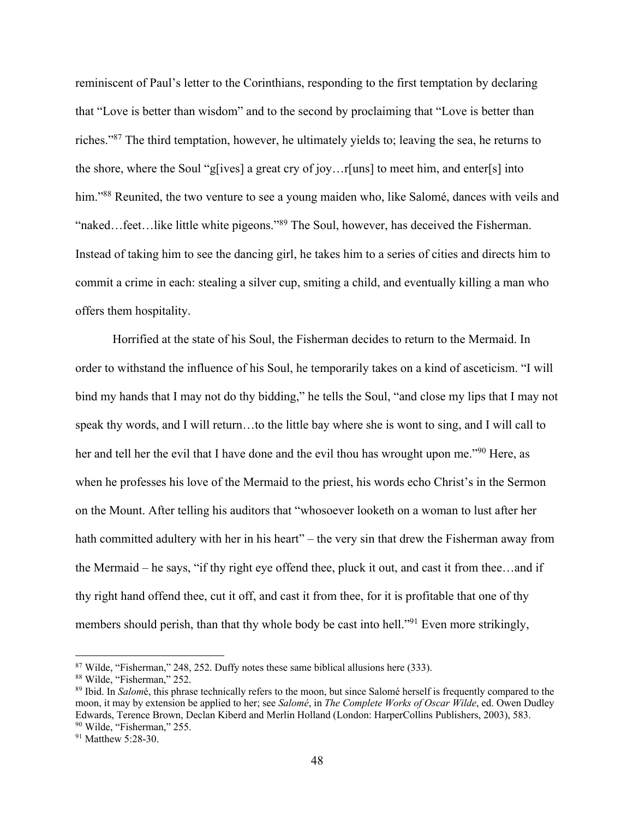reminiscent of Paul's letter to the Corinthians, responding to the first temptation by declaring that "Love is better than wisdom" and to the second by proclaiming that "Love is better than riches."87 The third temptation, however, he ultimately yields to; leaving the sea, he returns to the shore, where the Soul "g[ives] a great cry of joy…r[uns] to meet him, and enter[s] into him."<sup>88</sup> Reunited, the two venture to see a young maiden who, like Salomé, dances with veils and "naked...feet...like little white pigeons."<sup>89</sup> The Soul, however, has deceived the Fisherman. Instead of taking him to see the dancing girl, he takes him to a series of cities and directs him to commit a crime in each: stealing a silver cup, smiting a child, and eventually killing a man who offers them hospitality.

Horrified at the state of his Soul, the Fisherman decides to return to the Mermaid. In order to withstand the influence of his Soul, he temporarily takes on a kind of asceticism. "I will bind my hands that I may not do thy bidding," he tells the Soul, "and close my lips that I may not speak thy words, and I will return…to the little bay where she is wont to sing, and I will call to her and tell her the evil that I have done and the evil thou has wrought upon me."<sup>90</sup> Here, as when he professes his love of the Mermaid to the priest, his words echo Christ's in the Sermon on the Mount. After telling his auditors that "whosoever looketh on a woman to lust after her hath committed adultery with her in his heart" – the very sin that drew the Fisherman away from the Mermaid – he says, "if thy right eye offend thee, pluck it out, and cast it from thee…and if thy right hand offend thee, cut it off, and cast it from thee, for it is profitable that one of thy members should perish, than that thy whole body be cast into hell."<sup>91</sup> Even more strikingly,

<sup>&</sup>lt;sup>87</sup> Wilde, "Fisherman," 248, 252. Duffy notes these same biblical allusions here (333).<br><sup>88</sup> Wilde, "Fisherman," 252.<br><sup>89</sup> Ibid. In *Salom*é, this phrase technically refers to the moon, but since Salomé herself is freque moon, it may by extension be applied to her; see *Salomé*, in *The Complete Works of Oscar Wilde*, ed. Owen Dudley Edwards, Terence Brown, Declan Kiberd and Merlin Holland (London: HarperCollins Publishers, 2003), 583.  $90$  Wilde, "Fisherman," 255.<br> $91$  Matthew 5:28-30.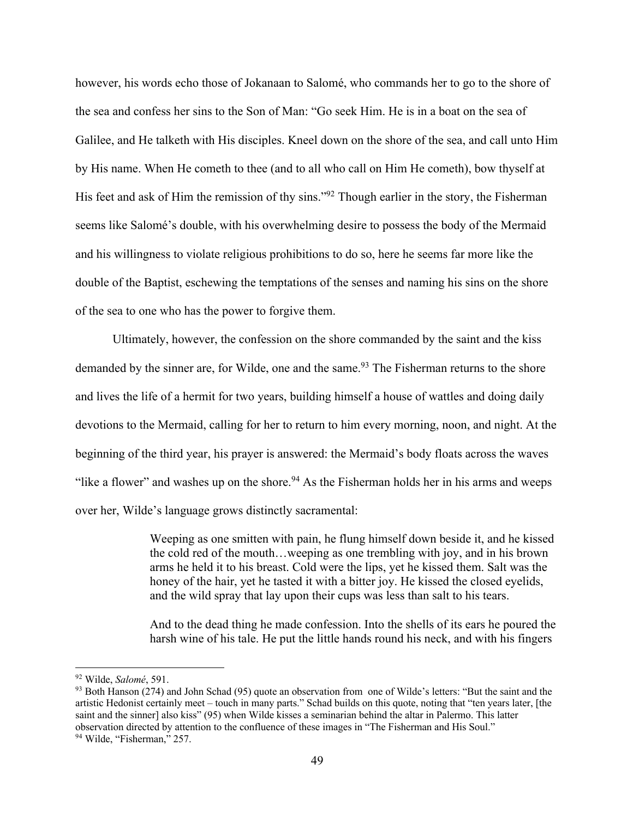however, his words echo those of Jokanaan to Salomé, who commands her to go to the shore of the sea and confess her sins to the Son of Man: "Go seek Him. He is in a boat on the sea of Galilee, and He talketh with His disciples. Kneel down on the shore of the sea, and call unto Him by His name. When He cometh to thee (and to all who call on Him He cometh), bow thyself at His feet and ask of Him the remission of thy sins."<sup>92</sup> Though earlier in the story, the Fisherman seems like Salomé's double, with his overwhelming desire to possess the body of the Mermaid and his willingness to violate religious prohibitions to do so, here he seems far more like the double of the Baptist, eschewing the temptations of the senses and naming his sins on the shore of the sea to one who has the power to forgive them.

Ultimately, however, the confession on the shore commanded by the saint and the kiss demanded by the sinner are, for Wilde, one and the same.<sup>93</sup> The Fisherman returns to the shore and lives the life of a hermit for two years, building himself a house of wattles and doing daily devotions to the Mermaid, calling for her to return to him every morning, noon, and night. At the beginning of the third year, his prayer is answered: the Mermaid's body floats across the waves "like a flower" and washes up on the shore.<sup>94</sup> As the Fisherman holds her in his arms and weeps over her, Wilde's language grows distinctly sacramental:

> Weeping as one smitten with pain, he flung himself down beside it, and he kissed the cold red of the mouth…weeping as one trembling with joy, and in his brown arms he held it to his breast. Cold were the lips, yet he kissed them. Salt was the honey of the hair, yet he tasted it with a bitter joy. He kissed the closed eyelids, and the wild spray that lay upon their cups was less than salt to his tears.

> And to the dead thing he made confession. Into the shells of its ears he poured the harsh wine of his tale. He put the little hands round his neck, and with his fingers

<sup>92</sup> Wilde, *Salomé*, 591.

 $93$  Both Hanson (274) and John Schad (95) quote an observation from one of Wilde's letters: "But the saint and the artistic Hedonist certainly meet – touch in many parts." Schad builds on this quote, noting that "ten years later, [the saint and the sinner] also kiss" (95) when Wilde kisses a seminarian behind the altar in Palermo. This latter observation directed by attention to the confluence of these images in "The Fisherman and His Soul." 94 Wilde, "Fisherman," 257.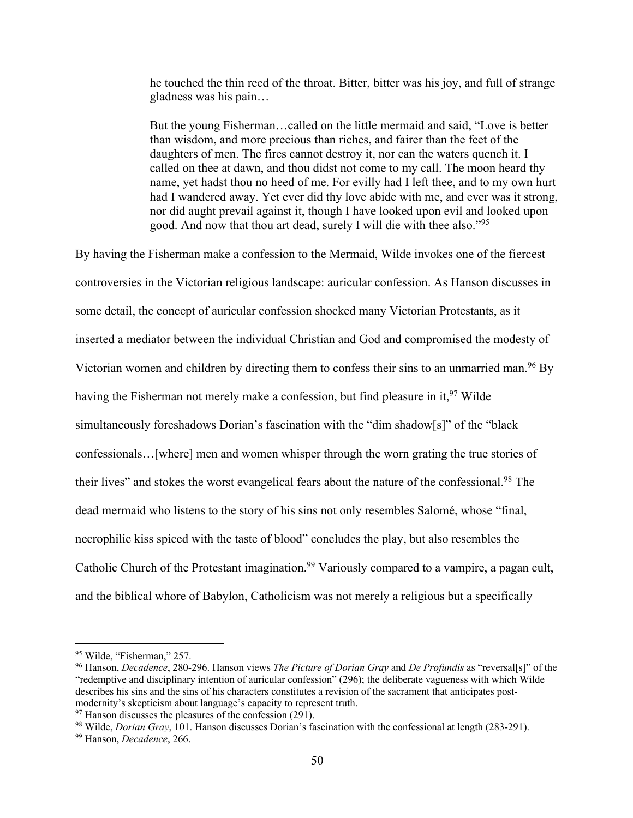he touched the thin reed of the throat. Bitter, bitter was his joy, and full of strange gladness was his pain…

But the young Fisherman…called on the little mermaid and said, "Love is better than wisdom, and more precious than riches, and fairer than the feet of the daughters of men. The fires cannot destroy it, nor can the waters quench it. I called on thee at dawn, and thou didst not come to my call. The moon heard thy name, yet hadst thou no heed of me. For evilly had I left thee, and to my own hurt had I wandered away. Yet ever did thy love abide with me, and ever was it strong, nor did aught prevail against it, though I have looked upon evil and looked upon good. And now that thou art dead, surely I will die with thee also."95

By having the Fisherman make a confession to the Mermaid, Wilde invokes one of the fiercest controversies in the Victorian religious landscape: auricular confession. As Hanson discusses in some detail, the concept of auricular confession shocked many Victorian Protestants, as it inserted a mediator between the individual Christian and God and compromised the modesty of Victorian women and children by directing them to confess their sins to an unmarried man.<sup>96</sup> By having the Fisherman not merely make a confession, but find pleasure in it,  $97$  Wilde simultaneously foreshadows Dorian's fascination with the "dim shadow[s]" of the "black confessionals…[where] men and women whisper through the worn grating the true stories of their lives" and stokes the worst evangelical fears about the nature of the confessional.98 The dead mermaid who listens to the story of his sins not only resembles Salomé, whose "final, necrophilic kiss spiced with the taste of blood" concludes the play, but also resembles the Catholic Church of the Protestant imagination.<sup>99</sup> Variously compared to a vampire, a pagan cult, and the biblical whore of Babylon, Catholicism was not merely a religious but a specifically

<sup>&</sup>lt;sup>95</sup> Wilde, "Fisherman," 257.<br><sup>96</sup> Hanson, *Decadence*, 280-296. Hanson views *The Picture of Dorian Gray* and *De Profundis* as "reversal[s]" of the "redemptive and disciplinary intention of auricular confession" (296); the deliberate vagueness with which Wilde describes his sins and the sins of his characters constitutes a revision of the sacrament that anticipates postmodernity's skepticism about language's capacity to represent truth.<br><sup>97</sup> Hanson discusses the pleasures of the confession (291).<br><sup>98</sup> Wilde, *Dorian Gray*, 101. Hanson discusses Dorian's fascination with the confessional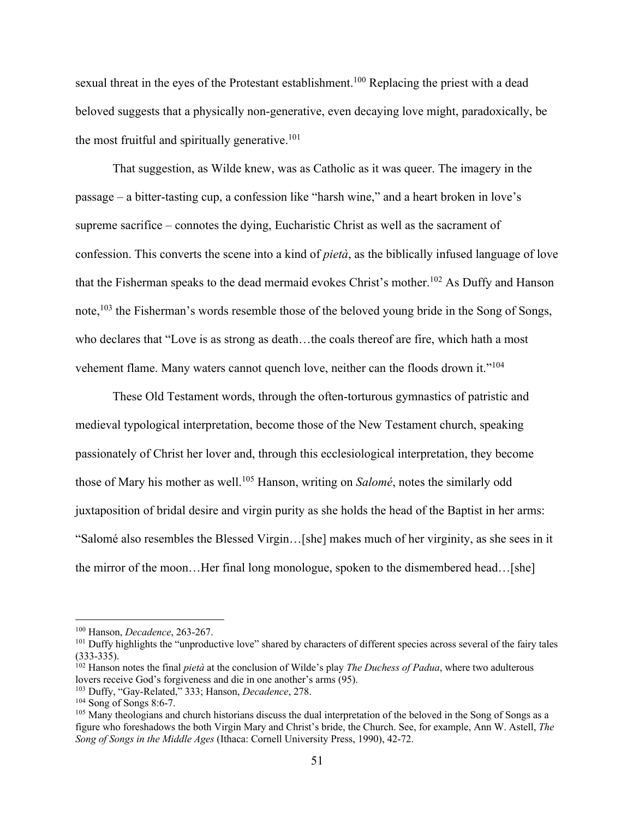sexual threat in the eyes of the Protestant establishment.<sup>100</sup> Replacing the priest with a dead beloved suggests that a physically non-generative, even decaying love might, paradoxically, be the most fruitful and spiritually generative. $101$ 

That suggestion, as Wilde knew, was as Catholic as it was queer. The imagery in the passage – a bitter-tasting cup, a confession like "harsh wine," and a heart broken in love's supreme sacrifice – connotes the dying, Eucharistic Christ as well as the sacrament of confession. This converts the scene into a kind of *pietà*, as the biblically infused language of love that the Fisherman speaks to the dead mermaid evokes Christ's mother.<sup>102</sup> As Duffy and Hanson note,<sup>103</sup> the Fisherman's words resemble those of the beloved young bride in the Song of Songs, who declares that "Love is as strong as death…the coals thereof are fire, which hath a most vehement flame. Many waters cannot quench love, neither can the floods drown it."104

These Old Testament words, through the often-torturous gymnastics of patristic and medieval typological interpretation, become those of the New Testament church, speaking passionately of Christ her lover and, through this ecclesiological interpretation, they become those of Mary his mother as well.105 Hanson, writing on *Salomé*, notes the similarly odd juxtaposition of bridal desire and virgin purity as she holds the head of the Baptist in her arms: "Salomé also resembles the Blessed Virgin…[she] makes much of her virginity, as she sees in it the mirror of the moon…Her final long monologue, spoken to the dismembered head…[she]

<sup>&</sup>lt;sup>100</sup> Hanson, *Decadence*, 263-267.<br><sup>101</sup> Duffy highlights the "unproductive love" shared by characters of different species across several of the fairy tales (333-335). 102 Hanson notes the final *pietà* at the conclusion of Wilde's play *The Duchess of Padua*, where two adulterous

lovers receive God's forgiveness and die in one another's arms (95).<br><sup>103</sup> Duffy, "Gay-Related," 333; Hanson, *Decadence*, 278.

<sup>&</sup>lt;sup>104</sup> Song of Songs 8:6-7.<br><sup>105</sup> Many theologians and church historians discuss the dual interpretation of the beloved in the Song of Songs as a figure who foreshadows the both Virgin Mary and Christ's bride, the Church. See, for example, Ann W. Astell, *The Song of Songs in the Middle Ages* (Ithaca: Cornell University Press, 1990), 42-72.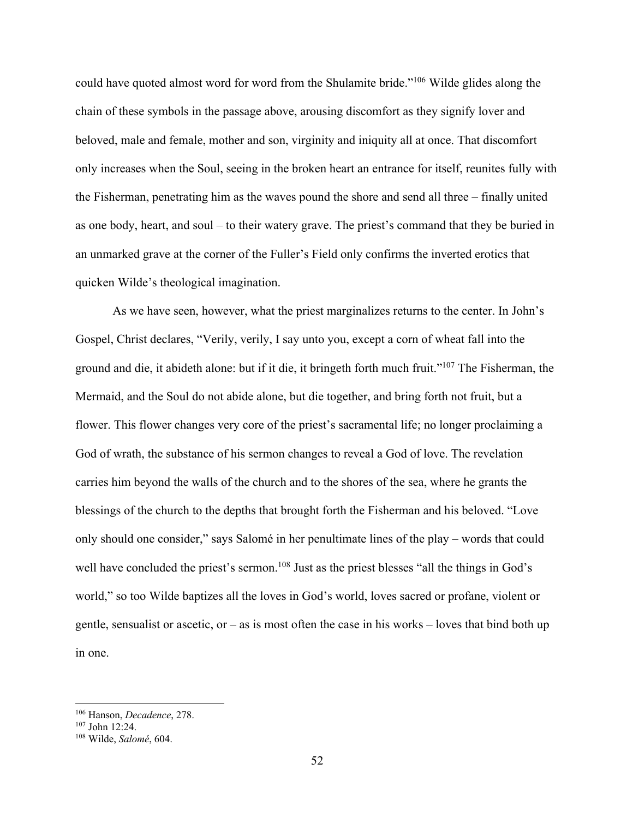could have quoted almost word for word from the Shulamite bride."106 Wilde glides along the chain of these symbols in the passage above, arousing discomfort as they signify lover and beloved, male and female, mother and son, virginity and iniquity all at once. That discomfort only increases when the Soul, seeing in the broken heart an entrance for itself, reunites fully with the Fisherman, penetrating him as the waves pound the shore and send all three – finally united as one body, heart, and soul – to their watery grave. The priest's command that they be buried in an unmarked grave at the corner of the Fuller's Field only confirms the inverted erotics that quicken Wilde's theological imagination.

As we have seen, however, what the priest marginalizes returns to the center. In John's Gospel, Christ declares, "Verily, verily, I say unto you, except a corn of wheat fall into the ground and die, it abideth alone: but if it die, it bringeth forth much fruit."107 The Fisherman, the Mermaid, and the Soul do not abide alone, but die together, and bring forth not fruit, but a flower. This flower changes very core of the priest's sacramental life; no longer proclaiming a God of wrath, the substance of his sermon changes to reveal a God of love. The revelation carries him beyond the walls of the church and to the shores of the sea, where he grants the blessings of the church to the depths that brought forth the Fisherman and his beloved. "Love only should one consider," says Salomé in her penultimate lines of the play – words that could well have concluded the priest's sermon.<sup>108</sup> Just as the priest blesses "all the things in God's world," so too Wilde baptizes all the loves in God's world, loves sacred or profane, violent or gentle, sensualist or ascetic, or  $-$  as is most often the case in his works  $-$  loves that bind both up in one.

<sup>106</sup> Hanson, *Decadence*, 278. 107 John 12:24. 108 Wilde, *Salomé*, 604.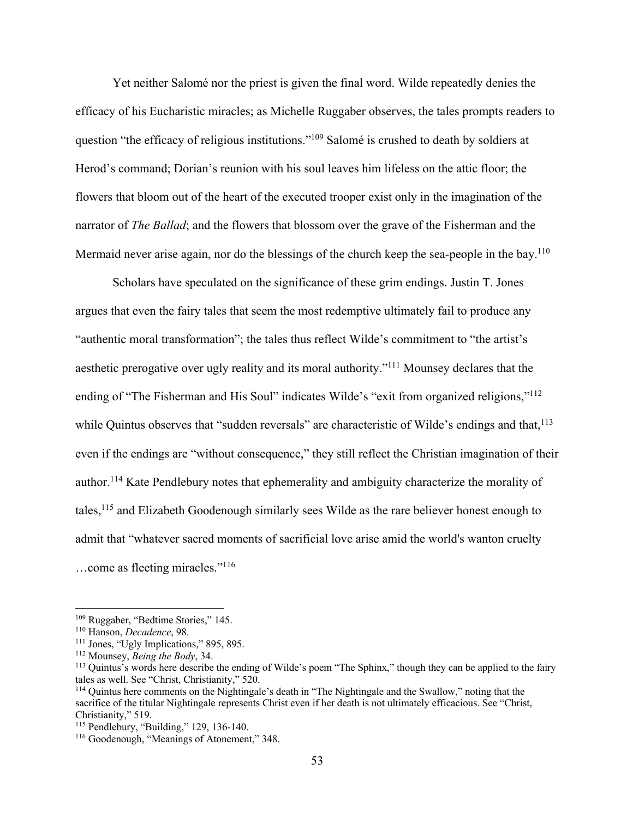Yet neither Salomé nor the priest is given the final word. Wilde repeatedly denies the efficacy of his Eucharistic miracles; as Michelle Ruggaber observes, the tales prompts readers to question "the efficacy of religious institutions."109 Salomé is crushed to death by soldiers at Herod's command; Dorian's reunion with his soul leaves him lifeless on the attic floor; the flowers that bloom out of the heart of the executed trooper exist only in the imagination of the narrator of *The Ballad*; and the flowers that blossom over the grave of the Fisherman and the Mermaid never arise again, nor do the blessings of the church keep the sea-people in the bay.<sup>110</sup>

Scholars have speculated on the significance of these grim endings. Justin T. Jones argues that even the fairy tales that seem the most redemptive ultimately fail to produce any "authentic moral transformation"; the tales thus reflect Wilde's commitment to "the artist's aesthetic prerogative over ugly reality and its moral authority."111 Mounsey declares that the ending of "The Fisherman and His Soul" indicates Wilde's "exit from organized religions,"<sup>112</sup> while Quintus observes that "sudden reversals" are characteristic of Wilde's endings and that,  $^{113}$ even if the endings are "without consequence," they still reflect the Christian imagination of their author.114 Kate Pendlebury notes that ephemerality and ambiguity characterize the morality of tales,115 and Elizabeth Goodenough similarly sees Wilde as the rare believer honest enough to admit that "whatever sacred moments of sacrificial love arise amid the world's wanton cruelty …come as fleeting miracles."116

<sup>&</sup>lt;sup>109</sup> Ruggaber, "Bedtime Stories," 145.<br><sup>110</sup> Hanson, *Decadence*, 98.<br><sup>111</sup> Jones, "Ugly Implications," 895, 895.<br><sup>112</sup> Mounsey, *Being the Body*, 34.<br><sup>113</sup> Quintus's words here describe the ending of Wilde's poem "The Sp tales as well. See "Christ, Christianity," 520.

<sup>&</sup>lt;sup>114</sup> Quintus here comments on the Nightingale's death in "The Nightingale and the Swallow," noting that the sacrifice of the titular Nightingale represents Christ even if her death is not ultimately efficacious. See "Christ, Christianity," 519.<br><sup>115</sup> Pendlebury, "Building," 129, 136-140.

 $116$  Goodenough, "Meanings of Atonement," 348.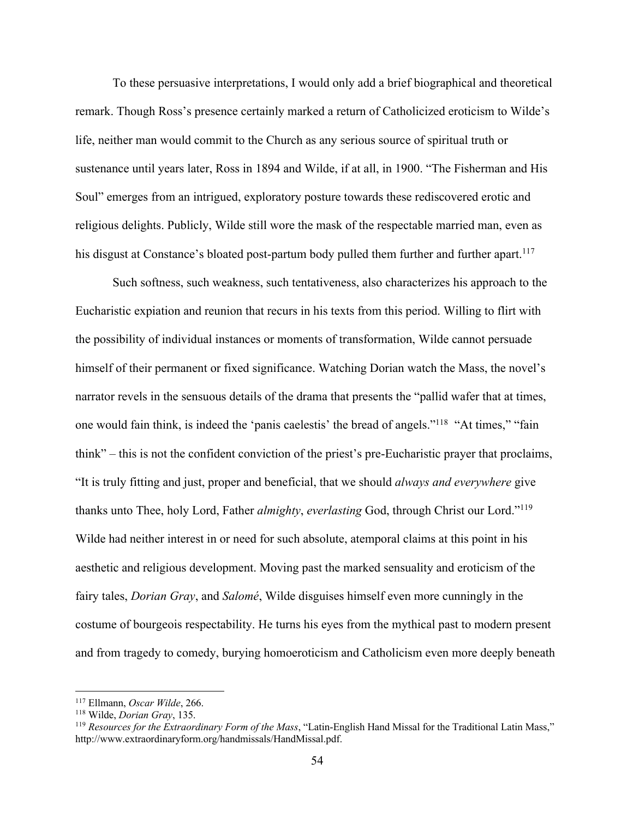To these persuasive interpretations, I would only add a brief biographical and theoretical remark. Though Ross's presence certainly marked a return of Catholicized eroticism to Wilde's life, neither man would commit to the Church as any serious source of spiritual truth or sustenance until years later, Ross in 1894 and Wilde, if at all, in 1900. "The Fisherman and His Soul" emerges from an intrigued, exploratory posture towards these rediscovered erotic and religious delights. Publicly, Wilde still wore the mask of the respectable married man, even as his disgust at Constance's bloated post-partum body pulled them further and further apart.<sup>117</sup>

Such softness, such weakness, such tentativeness, also characterizes his approach to the Eucharistic expiation and reunion that recurs in his texts from this period. Willing to flirt with the possibility of individual instances or moments of transformation, Wilde cannot persuade himself of their permanent or fixed significance. Watching Dorian watch the Mass, the novel's narrator revels in the sensuous details of the drama that presents the "pallid wafer that at times, one would fain think, is indeed the 'panis caelestis' the bread of angels."118 "At times," "fain think" – this is not the confident conviction of the priest's pre-Eucharistic prayer that proclaims, "It is truly fitting and just, proper and beneficial, that we should *always and everywhere* give thanks unto Thee, holy Lord, Father *almighty*, *everlasting* God, through Christ our Lord."119 Wilde had neither interest in or need for such absolute, atemporal claims at this point in his aesthetic and religious development. Moving past the marked sensuality and eroticism of the fairy tales, *Dorian Gray*, and *Salomé*, Wilde disguises himself even more cunningly in the costume of bourgeois respectability. He turns his eyes from the mythical past to modern present and from tragedy to comedy, burying homoeroticism and Catholicism even more deeply beneath

<sup>&</sup>lt;sup>117</sup> Ellmann, *Oscar Wilde*, 266.<br><sup>118</sup> Wilde, *Dorian Gray*, 135.<br><sup>119</sup> *Resources for the Extraordinary Form of the Mass*, "Latin-English Hand Missal for the Traditional Latin Mass," http://www.extraordinaryform.org/handmissals/HandMissal.pdf.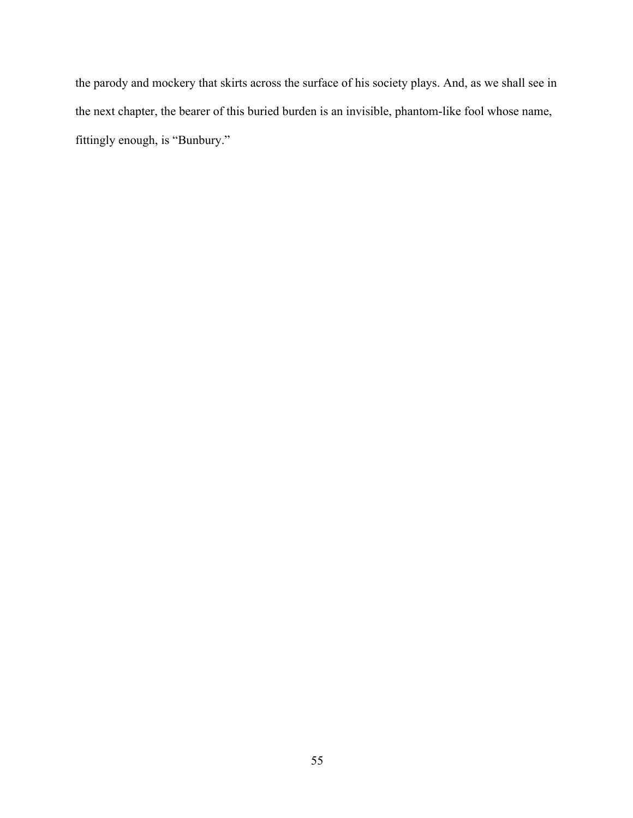the parody and mockery that skirts across the surface of his society plays. And, as we shall see in the next chapter, the bearer of this buried burden is an invisible, phantom-like fool whose name, fittingly enough, is "Bunbury."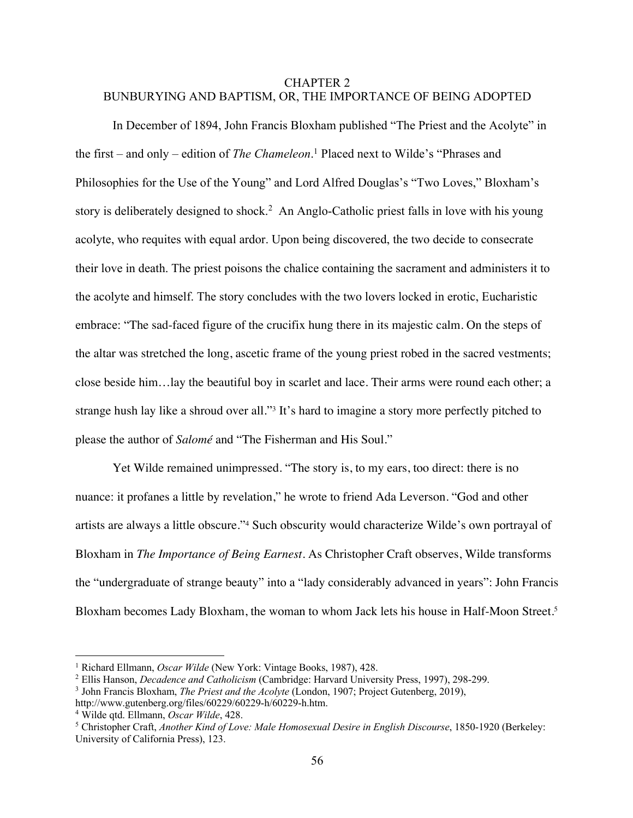## CHAPTER 2 BUNBURYING AND BAPTISM, OR, THE IMPORTANCE OF BEING ADOPTED

In December of 1894, John Francis Bloxham published "The Priest and the Acolyte" in the first – and only – edition of *The Chameleon*. <sup>1</sup> Placed next to Wilde's "Phrases and Philosophies for the Use of the Young" and Lord Alfred Douglas's "Two Loves," Bloxham's story is deliberately designed to shock.<sup>2</sup> An Anglo-Catholic priest falls in love with his young acolyte, who requites with equal ardor. Upon being discovered, the two decide to consecrate their love in death. The priest poisons the chalice containing the sacrament and administers it to the acolyte and himself. The story concludes with the two lovers locked in erotic, Eucharistic embrace: "The sad-faced figure of the crucifix hung there in its majestic calm. On the steps of the altar was stretched the long, ascetic frame of the young priest robed in the sacred vestments; close beside him…lay the beautiful boy in scarlet and lace. Their arms were round each other; a strange hush lay like a shroud over all."3 It's hard to imagine a story more perfectly pitched to please the author of *Salomé* and "The Fisherman and His Soul."

Yet Wilde remained unimpressed. "The story is, to my ears, too direct: there is no nuance: it profanes a little by revelation," he wrote to friend Ada Leverson. "God and other artists are always a little obscure."4 Such obscurity would characterize Wilde's own portrayal of Bloxham in *The Importance of Being Earnest*. As Christopher Craft observes, Wilde transforms the "undergraduate of strange beauty" into a "lady considerably advanced in years": John Francis Bloxham becomes Lady Bloxham, the woman to whom Jack lets his house in Half-Moon Street.<sup>5</sup>

<sup>&</sup>lt;sup>1</sup> Richard Ellmann, *Oscar Wilde* (New York: Vintage Books, 1987), 428.<br>
<sup>2</sup> Ellis Hanson, *Decadence and Catholicism* (Cambridge: Harvard University Press, 1997), 298-299.<br>
<sup>3</sup> John Francis Bloxham, *The Priest and the* 

<sup>&</sup>lt;sup>4</sup> Wilde qtd. Ellmann, *Oscar Wilde*, 428. *Secure quarties as a Wilde qtd. Ellmann, Oscar Wilde, 428.* 5 Christopher Craft, *Another Kind of Love: Male Homosexual Desire in English Discourse*, 1850-1920 (Berkeley: University of California Press), 123.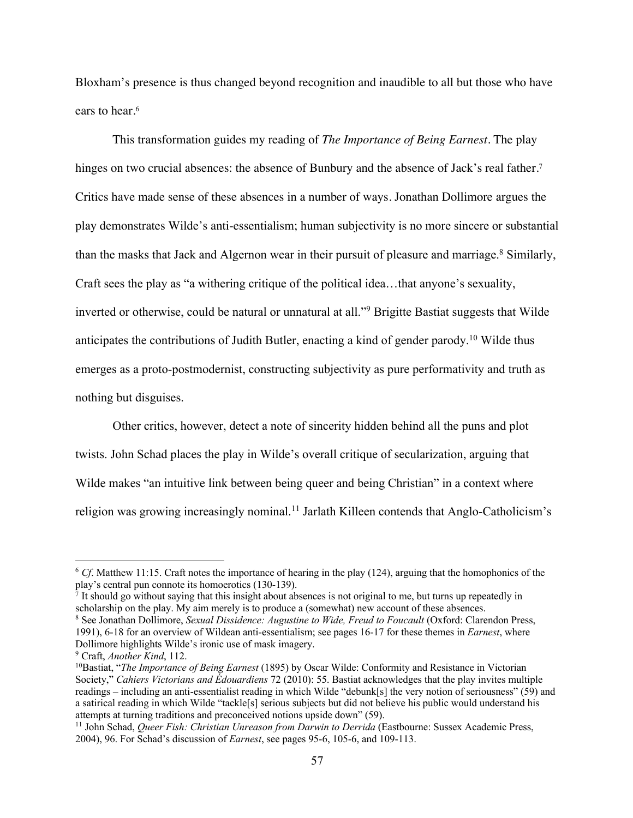Bloxham's presence is thus changed beyond recognition and inaudible to all but those who have ears to hear.<sup>6</sup>

This transformation guides my reading of *The Importance of Being Earnest*. The play hinges on two crucial absences: the absence of Bunbury and the absence of Jack's real father.<sup>7</sup> Critics have made sense of these absences in a number of ways. Jonathan Dollimore argues the play demonstrates Wilde's anti-essentialism; human subjectivity is no more sincere or substantial than the masks that Jack and Algernon wear in their pursuit of pleasure and marriage.<sup>8</sup> Similarly, Craft sees the play as "a withering critique of the political idea…that anyone's sexuality, inverted or otherwise, could be natural or unnatural at all."<sup>9</sup> Brigitte Bastiat suggests that Wilde anticipates the contributions of Judith Butler, enacting a kind of gender parody.10 Wilde thus emerges as a proto-postmodernist, constructing subjectivity as pure performativity and truth as nothing but disguises.

Other critics, however, detect a note of sincerity hidden behind all the puns and plot twists. John Schad places the play in Wilde's overall critique of secularization, arguing that Wilde makes "an intuitive link between being queer and being Christian" in a context where religion was growing increasingly nominal.<sup>11</sup> Jarlath Killeen contends that Anglo-Catholicism's

scholarship on the play. My aim merely is to produce a (somewhat) new account of these absences.

<sup>8</sup> See Jonathan Dollimore, *Sexual Dissidence: Augustine to Wide, Freud to Foucault* (Oxford: Clarendon Press, 1991), 6-18 for an overview of Wildean anti-essentialism; see pages 16-17 for these themes in *Earnest*, where Dollimore highlights Wilde's ironic use of mask imagery.

<sup>&</sup>lt;sup>6</sup> *Cf*. Matthew 11:15. Craft notes the importance of hearing in the play (124), arguing that the homophonics of the play's central pun connote its homoerotics (130-139).<br><sup>7</sup> It should go without saying that this insight about absences is not original to me, but turns up repeatedly in

<sup>9</sup> Craft, *Another Kind*, 112.

<sup>10</sup>Bastiat, "*The Importance of Being Earnest* (1895) by Oscar Wilde: Conformity and Resistance in Victorian Society," *Cahiers Victorians and Édouardiens* 72 (2010): 55. Bastiat acknowledges that the play invites multiple readings – including an anti-essentialist reading in which Wilde "debunk[s] the very notion of seriousness" (59) and a satirical reading in which Wilde "tackle[s] serious subjects but did not believe his public would understand his attempts at turning traditions and preconceived notions upside down" (59).<br><sup>11</sup> John Schad, *Queer Fish: Christian Unreason from Darwin to Derrida* (Eastbourne: Sussex Academic Press,

<sup>2004), 96.</sup> For Schad's discussion of *Earnest*, see pages 95-6, 105-6, and 109-113.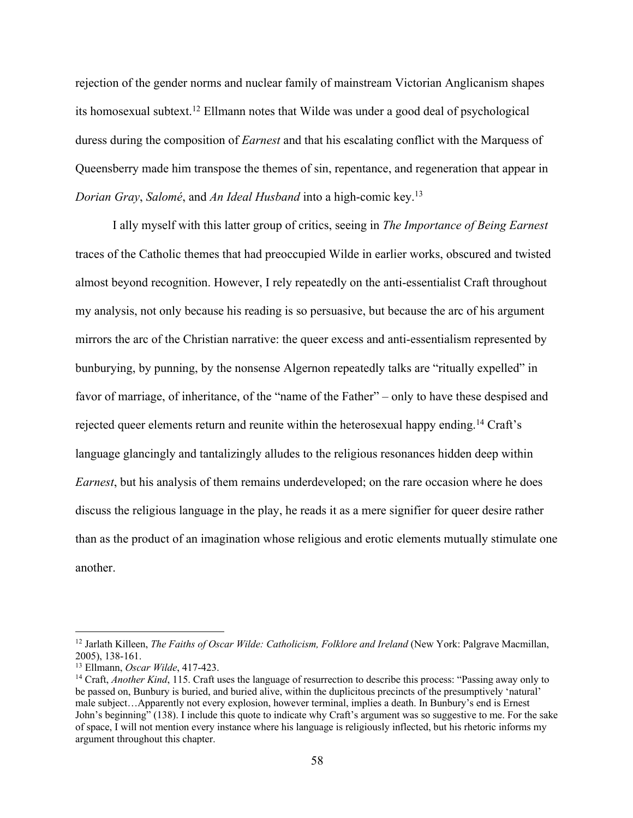rejection of the gender norms and nuclear family of mainstream Victorian Anglicanism shapes its homosexual subtext.12 Ellmann notes that Wilde was under a good deal of psychological duress during the composition of *Earnest* and that his escalating conflict with the Marquess of Queensberry made him transpose the themes of sin, repentance, and regeneration that appear in *Dorian Gray*, *Salomé*, and *An Ideal Husband* into a high-comic key.13

I ally myself with this latter group of critics, seeing in *The Importance of Being Earnest* traces of the Catholic themes that had preoccupied Wilde in earlier works, obscured and twisted almost beyond recognition. However, I rely repeatedly on the anti-essentialist Craft throughout my analysis, not only because his reading is so persuasive, but because the arc of his argument mirrors the arc of the Christian narrative: the queer excess and anti-essentialism represented by bunburying, by punning, by the nonsense Algernon repeatedly talks are "ritually expelled" in favor of marriage, of inheritance, of the "name of the Father" – only to have these despised and rejected queer elements return and reunite within the heterosexual happy ending.<sup>14</sup> Craft's language glancingly and tantalizingly alludes to the religious resonances hidden deep within *Earnest*, but his analysis of them remains underdeveloped; on the rare occasion where he does discuss the religious language in the play, he reads it as a mere signifier for queer desire rather than as the product of an imagination whose religious and erotic elements mutually stimulate one another.

<sup>&</sup>lt;sup>12</sup> Jarlath Killeen, *The Faiths of Oscar Wilde: Catholicism, Folklore and Ireland* (New York: Palgrave Macmillan, 2005), 138-161.

<sup>&</sup>lt;sup>13</sup> Ellmann, *Oscar Wilde*, 417-423.<br><sup>14</sup> Craft, *Another Kind*, 115. Craft uses the language of resurrection to describe this process: "Passing away only to be passed on, Bunbury is buried, and buried alive, within the duplicitous precincts of the presumptively 'natural' male subject…Apparently not every explosion, however terminal, implies a death. In Bunbury's end is Ernest John's beginning" (138). I include this quote to indicate why Craft's argument was so suggestive to me. For the sake of space, I will not mention every instance where his language is religiously inflected, but his rhetoric informs my argument throughout this chapter.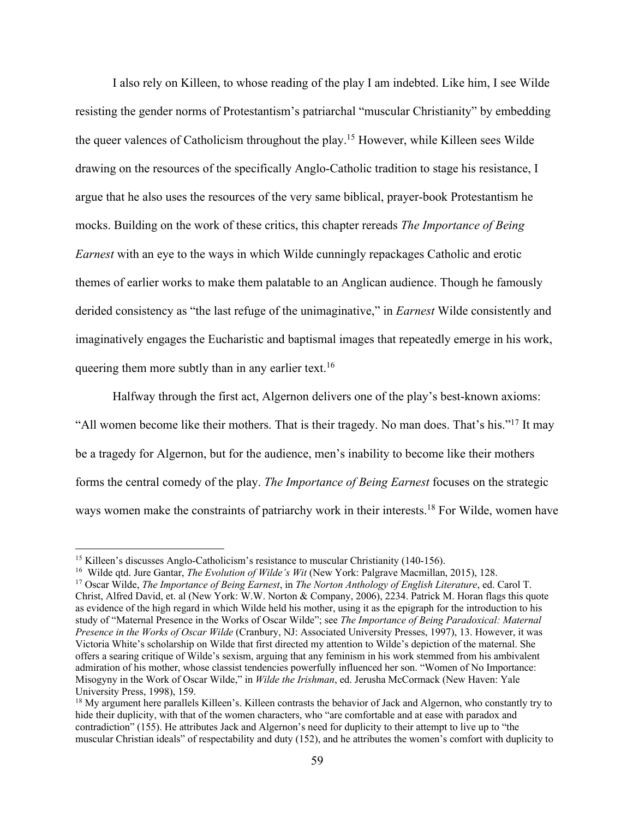I also rely on Killeen, to whose reading of the play I am indebted. Like him, I see Wilde resisting the gender norms of Protestantism's patriarchal "muscular Christianity" by embedding the queer valences of Catholicism throughout the play.15 However, while Killeen sees Wilde drawing on the resources of the specifically Anglo-Catholic tradition to stage his resistance, I argue that he also uses the resources of the very same biblical, prayer-book Protestantism he mocks. Building on the work of these critics, this chapter rereads *The Importance of Being Earnest* with an eye to the ways in which Wilde cunningly repackages Catholic and erotic themes of earlier works to make them palatable to an Anglican audience. Though he famously derided consistency as "the last refuge of the unimaginative," in *Earnest* Wilde consistently and imaginatively engages the Eucharistic and baptismal images that repeatedly emerge in his work, queering them more subtly than in any earlier text.<sup>16</sup>

Halfway through the first act, Algernon delivers one of the play's best-known axioms: "All women become like their mothers. That is their tragedy. No man does. That's his."17 It may be a tragedy for Algernon, but for the audience, men's inability to become like their mothers forms the central comedy of the play. *The Importance of Being Earnest* focuses on the strategic ways women make the constraints of patriarchy work in their interests.<sup>18</sup> For Wilde, women have

<sup>&</sup>lt;sup>15</sup> Killeen's discusses Anglo-Catholicism's resistance to muscular Christianity (140-156).

<sup>&</sup>lt;sup>16</sup> Wilde qtd. Jure Gantar, *The Evolution of Wilde's Wit* (New York: Palgrave Macmillan, 2015), 128.<br><sup>17</sup> Oscar Wilde, *The Importance of Being Earnest*, in *The Norton Anthology of English Literature*, ed. Carol T. Christ, Alfred David, et. al (New York: W.W. Norton & Company, 2006), 2234. Patrick M. Horan flags this quote as evidence of the high regard in which Wilde held his mother, using it as the epigraph for the introduction to his study of "Maternal Presence in the Works of Oscar Wilde"; see *The Importance of Being Paradoxical: Maternal Presence in the Works of Oscar Wilde* (Cranbury, NJ: Associated University Presses, 1997), 13. However, it was Victoria White's scholarship on Wilde that first directed my attention to Wilde's depiction of the maternal. She offers a searing critique of Wilde's sexism, arguing that any feminism in his work stemmed from his ambivalent admiration of his mother, whose classist tendencies powerfully influenced her son. "Women of No Importance: Misogyny in the Work of Oscar Wilde," in *Wilde the Irishman*, ed. Jerusha McCormack (New Haven: Yale University Press, 1998), 159.

<sup>&</sup>lt;sup>18</sup> My argument here parallels Killeen's. Killeen contrasts the behavior of Jack and Algernon, who constantly try to hide their duplicity, with that of the women characters, who "are comfortable and at ease with paradox and contradiction" (155). He attributes Jack and Algernon's need for duplicity to their attempt to live up to "the muscular Christian ideals" of respectability and duty (152), and he attributes the women's comfort with duplicity to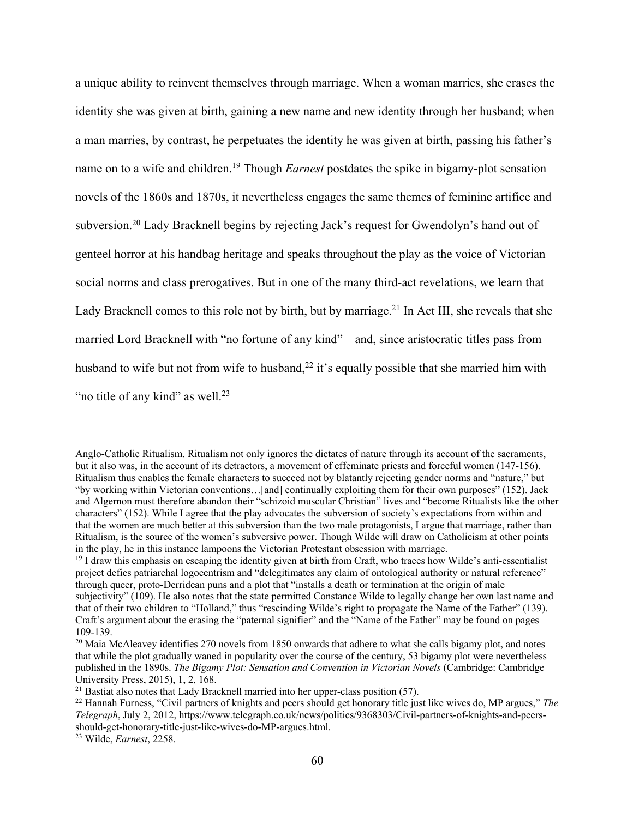a unique ability to reinvent themselves through marriage. When a woman marries, she erases the identity she was given at birth, gaining a new name and new identity through her husband; when a man marries, by contrast, he perpetuates the identity he was given at birth, passing his father's name on to a wife and children.19 Though *Earnest* postdates the spike in bigamy-plot sensation novels of the 1860s and 1870s, it nevertheless engages the same themes of feminine artifice and subversion.20 Lady Bracknell begins by rejecting Jack's request for Gwendolyn's hand out of genteel horror at his handbag heritage and speaks throughout the play as the voice of Victorian social norms and class prerogatives. But in one of the many third-act revelations, we learn that Lady Bracknell comes to this role not by birth, but by marriage.<sup>21</sup> In Act III, she reveals that she married Lord Bracknell with "no fortune of any kind" – and, since aristocratic titles pass from husband to wife but not from wife to husband,  $2<sup>2</sup>$  it's equally possible that she married him with "no title of any kind" as well. $23$ 

Anglo-Catholic Ritualism. Ritualism not only ignores the dictates of nature through its account of the sacraments, but it also was, in the account of its detractors, a movement of effeminate priests and forceful women (147-156). Ritualism thus enables the female characters to succeed not by blatantly rejecting gender norms and "nature," but "by working within Victorian conventions…[and] continually exploiting them for their own purposes" (152). Jack and Algernon must therefore abandon their "schizoid muscular Christian" lives and "become Ritualists like the other characters" (152). While I agree that the play advocates the subversion of society's expectations from within and that the women are much better at this subversion than the two male protagonists, I argue that marriage, rather than Ritualism, is the source of the women's subversive power. Though Wilde will draw on Catholicism at other points in the play, he in this instance lampoons the Victorian Protestant obsession with marriage. 19 I draw this emphasis on escaping the identity given at birth from Craft, who traces how Wilde's anti-essentialist

project defies patriarchal logocentrism and "delegitimates any claim of ontological authority or natural reference" through queer, proto-Derridean puns and a plot that "installs a death or termination at the origin of male subjectivity" (109). He also notes that the state permitted Constance Wilde to legally change her own last name and that of their two children to "Holland," thus "rescinding Wilde's right to propagate the Name of the Father" (139). Craft's argument about the erasing the "paternal signifier" and the "Name of the Father" may be found on pages 109-139.<br><sup>20</sup> Maia McAleavey identifies 270 novels from 1850 onwards that adhere to what she calls bigamy plot, and notes

that while the plot gradually waned in popularity over the course of the century, 53 bigamy plot were nevertheless published in the 1890s. *The Bigamy Plot: Sensation and Convention in Victorian Novels* (Cambridge: Cambridge University Press, 2015), 1, 2, 168.<br><sup>21</sup> Bastiat also notes that Lady Bracknell married into her upper-class position (57).

<sup>&</sup>lt;sup>22</sup> Hannah Furness, "Civil partners of knights and peers should get honorary title just like wives do, MP argues," *The Telegraph*, July 2, 2012, https://www.telegraph.co.uk/news/politics/9368303/Civil-partners-of-knights-and-peersshould-get-honorary-title-just-like-wives-do-MP-argues.html. 23 Wilde, *Earnest*, 2258.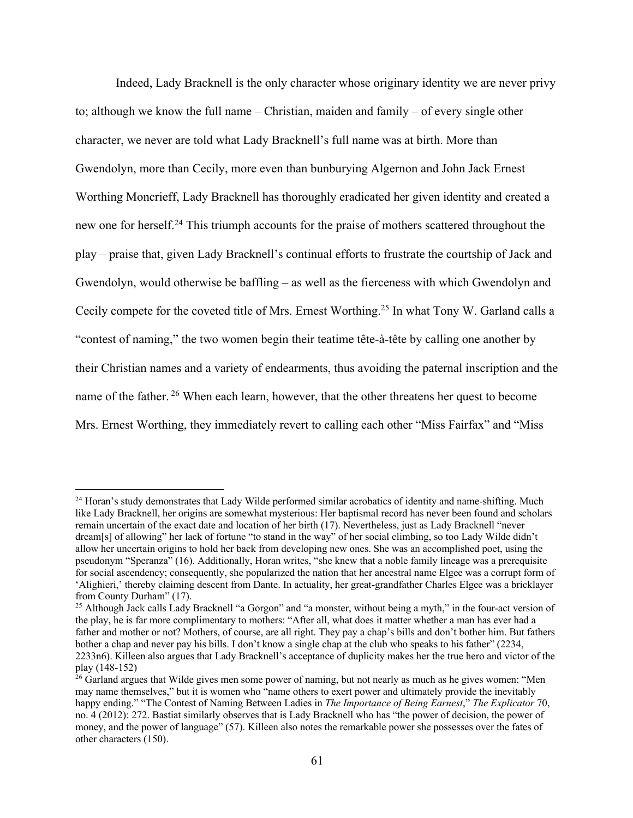Indeed, Lady Bracknell is the only character whose originary identity we are never privy to; although we know the full name – Christian, maiden and family – of every single other character, we never are told what Lady Bracknell's full name was at birth. More than Gwendolyn, more than Cecily, more even than bunburying Algernon and John Jack Ernest Worthing Moncrieff, Lady Bracknell has thoroughly eradicated her given identity and created a new one for herself.24 This triumph accounts for the praise of mothers scattered throughout the play – praise that, given Lady Bracknell's continual efforts to frustrate the courtship of Jack and Gwendolyn, would otherwise be baffling – as well as the fierceness with which Gwendolyn and Cecily compete for the coveted title of Mrs. Ernest Worthing.25 In what Tony W. Garland calls a "contest of naming," the two women begin their teatime tête-à-tête by calling one another by their Christian names and a variety of endearments, thus avoiding the paternal inscription and the name of the father. <sup>26</sup> When each learn, however, that the other threatens her quest to become Mrs. Ernest Worthing, they immediately revert to calling each other "Miss Fairfax" and "Miss

<sup>&</sup>lt;sup>24</sup> Horan's study demonstrates that Lady Wilde performed similar acrobatics of identity and name-shifting. Much like Lady Bracknell, her origins are somewhat mysterious: Her baptismal record has never been found and scholars remain uncertain of the exact date and location of her birth (17). Nevertheless, just as Lady Bracknell "never dream[s] of allowing" her lack of fortune "to stand in the way" of her social climbing, so too Lady Wilde didn't allow her uncertain origins to hold her back from developing new ones. She was an accomplished poet, using the pseudonym "Speranza" (16). Additionally, Horan writes, "she knew that a noble family lineage was a prerequisite for social ascendency; consequently, she popularized the nation that her ancestral name Elgee was a corrupt form of 'Alighieri,' thereby claiming descent from Dante. In actuality, her great-grandfather Charles Elgee was a bricklayer from County Durham" (17).

<sup>&</sup>lt;sup>25</sup> Although Jack calls Lady Bracknell "a Gorgon" and "a monster, without being a myth," in the four-act version of the play, he is far more complimentary to mothers: "After all, what does it matter whether a man has ever had a father and mother or not? Mothers, of course, are all right. They pay a chap's bills and don't bother him. But fathers bother a chap and never pay his bills. I don't know a single chap at the club who speaks to his father" (2234, 2233n6). Killeen also argues that Lady Bracknell's acceptance of duplicity makes her the true hero and victor of the play (148-152)<br><sup>26</sup> Garland argues that Wilde gives men some power of naming, but not nearly as much as he gives women: "Men

may name themselves," but it is women who "name others to exert power and ultimately provide the inevitably happy ending." "The Contest of Naming Between Ladies in *The Importance of Being Earnest*," *The Explicator* 70, no. 4 (2012): 272. Bastiat similarly observes that is Lady Bracknell who has "the power of decision, the power of money, and the power of language" (57). Killeen also notes the remarkable power she possesses over the fates of other characters (150).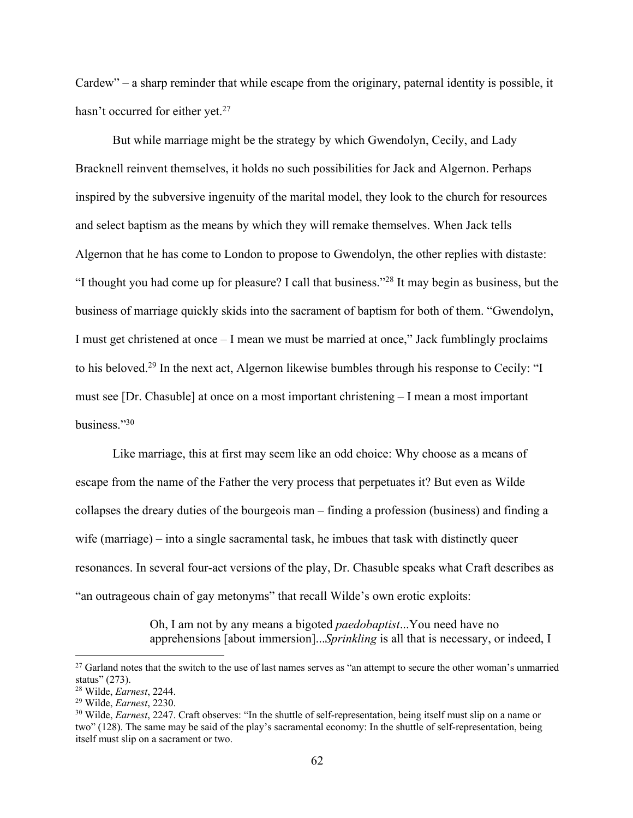Cardew" – a sharp reminder that while escape from the originary, paternal identity is possible, it hasn't occurred for either yet.<sup>27</sup>

But while marriage might be the strategy by which Gwendolyn, Cecily, and Lady Bracknell reinvent themselves, it holds no such possibilities for Jack and Algernon. Perhaps inspired by the subversive ingenuity of the marital model, they look to the church for resources and select baptism as the means by which they will remake themselves. When Jack tells Algernon that he has come to London to propose to Gwendolyn, the other replies with distaste: "I thought you had come up for pleasure? I call that business."28 It may begin as business, but the business of marriage quickly skids into the sacrament of baptism for both of them. "Gwendolyn, I must get christened at once – I mean we must be married at once," Jack fumblingly proclaims to his beloved.<sup>29</sup> In the next act, Algernon likewise bumbles through his response to Cecily: "I must see [Dr. Chasuble] at once on a most important christening – I mean a most important business."30

Like marriage, this at first may seem like an odd choice: Why choose as a means of escape from the name of the Father the very process that perpetuates it? But even as Wilde collapses the dreary duties of the bourgeois man – finding a profession (business) and finding a wife (marriage) – into a single sacramental task, he imbues that task with distinctly queer resonances. In several four-act versions of the play, Dr. Chasuble speaks what Craft describes as "an outrageous chain of gay metonyms" that recall Wilde's own erotic exploits:

> Oh, I am not by any means a bigoted *paedobaptist*...You need have no apprehensions [about immersion]...*Sprinkling* is all that is necessary, or indeed, I

<sup>&</sup>lt;sup>27</sup> Garland notes that the switch to the use of last names serves as "an attempt to secure the other woman's unmarried status" (273).

<sup>&</sup>lt;sup>28</sup> Wilde, *Earnest*, 2244.<br><sup>29</sup> Wilde, *Earnest*, 2230.<br><sup>30</sup> Wilde, *Earnest*, 2247. Craft observes: "In the shuttle of self-representation, being itself must slip on a name or two" (128). The same may be said of the play's sacramental economy: In the shuttle of self-representation, being itself must slip on a sacrament or two.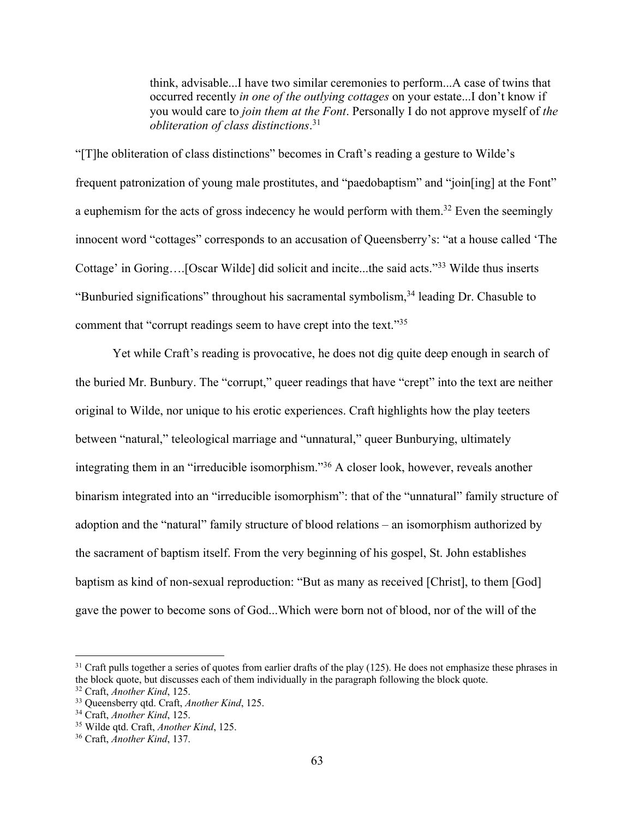think, advisable...I have two similar ceremonies to perform...A case of twins that occurred recently *in one of the outlying cottages* on your estate...I don't know if you would care to *join them at the Font*. Personally I do not approve myself of *the obliteration of class distinctions*. 31

"[T]he obliteration of class distinctions" becomes in Craft's reading a gesture to Wilde's frequent patronization of young male prostitutes, and "paedobaptism" and "join[ing] at the Font" a euphemism for the acts of gross indecency he would perform with them.<sup>32</sup> Even the seemingly innocent word "cottages" corresponds to an accusation of Queensberry's: "at a house called 'The Cottage' in Goring….[Oscar Wilde] did solicit and incite...the said acts."33 Wilde thus inserts "Bunburied significations" throughout his sacramental symbolism,<sup>34</sup> leading Dr. Chasuble to comment that "corrupt readings seem to have crept into the text."35

Yet while Craft's reading is provocative, he does not dig quite deep enough in search of the buried Mr. Bunbury. The "corrupt," queer readings that have "crept" into the text are neither original to Wilde, nor unique to his erotic experiences. Craft highlights how the play teeters between "natural," teleological marriage and "unnatural," queer Bunburying, ultimately integrating them in an "irreducible isomorphism."36 A closer look, however, reveals another binarism integrated into an "irreducible isomorphism": that of the "unnatural" family structure of adoption and the "natural" family structure of blood relations – an isomorphism authorized by the sacrament of baptism itself. From the very beginning of his gospel, St. John establishes baptism as kind of non-sexual reproduction: "But as many as received [Christ], to them [God] gave the power to become sons of God...Which were born not of blood, nor of the will of the

 $31$  Craft pulls together a series of quotes from earlier drafts of the play (125). He does not emphasize these phrases in the block quote, but discusses each of them individually in the paragraph following the block quote.

<sup>&</sup>lt;sup>32</sup> Craft, *Another Kind*, 125.<br><sup>33</sup> Oueensberry gtd. Craft, *Another Kind*, 125.

<sup>&</sup>lt;sup>34</sup> Craft, *Another Kind*, 125.<br><sup>35</sup> Wilde qtd. Craft, *Another Kind*, 125.<br><sup>36</sup> Craft, *Another Kind*, 137.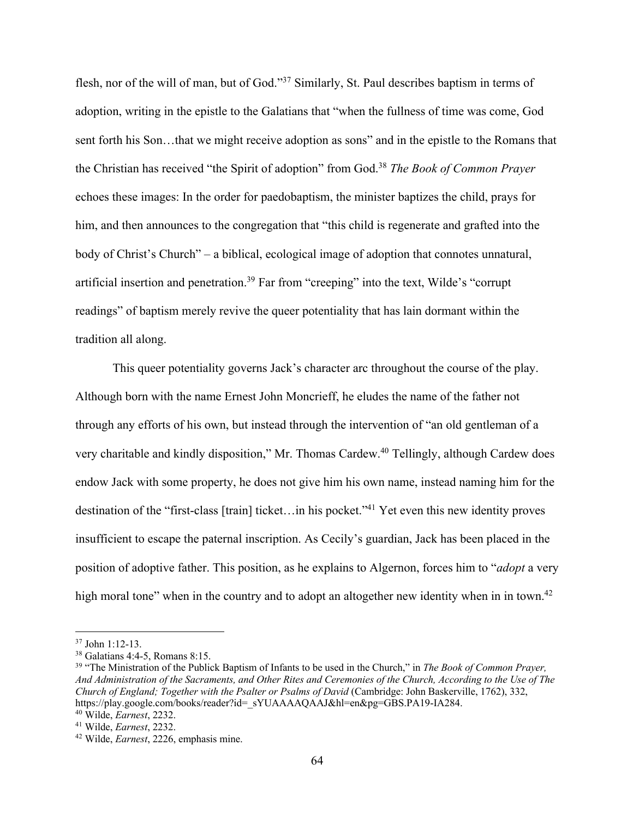flesh, nor of the will of man, but of God."<sup>37</sup> Similarly, St. Paul describes baptism in terms of adoption, writing in the epistle to the Galatians that "when the fullness of time was come, God sent forth his Son…that we might receive adoption as sons" and in the epistle to the Romans that the Christian has received "the Spirit of adoption" from God.38 *The Book of Common Prayer* echoes these images: In the order for paedobaptism, the minister baptizes the child, prays for him, and then announces to the congregation that "this child is regenerate and grafted into the body of Christ's Church" – a biblical, ecological image of adoption that connotes unnatural, artificial insertion and penetration.<sup>39</sup> Far from "creeping" into the text, Wilde's "corrupt readings" of baptism merely revive the queer potentiality that has lain dormant within the tradition all along.

This queer potentiality governs Jack's character arc throughout the course of the play. Although born with the name Ernest John Moncrieff, he eludes the name of the father not through any efforts of his own, but instead through the intervention of "an old gentleman of a very charitable and kindly disposition," Mr. Thomas Cardew. <sup>40</sup> Tellingly, although Cardew does endow Jack with some property, he does not give him his own name, instead naming him for the destination of the "first-class [train] ticket…in his pocket."41 Yet even this new identity proves insufficient to escape the paternal inscription. As Cecily's guardian, Jack has been placed in the position of adoptive father. This position, as he explains to Algernon, forces him to "*adopt* a very high moral tone" when in the country and to adopt an altogether new identity when in in town.<sup>42</sup>

<sup>&</sup>lt;sup>37</sup> John 1:12-13.<br><sup>38</sup> Galatians 4:4-5, Romans 8:15.<br><sup>39</sup> "The Ministration of the Publick Baptism of Infants to be used in the Church," in *The Book of Common Prayer*, *And Administration of the Sacraments, and Other Rites and Ceremonies of the Church, According to the Use of The Church of England; Together with the Psalter or Psalms of David* (Cambridge: John Baskerville, 1762), 332, https://play.google.com/books/reader?id=\_sYUAAAAQAAJ&hl=en&pg=GBS.PA19-IA284. 40 Wilde, *Earnest*, 2232.

<sup>41</sup> Wilde, *Earnest*, 2232.

<sup>42</sup> Wilde, *Earnest*, 2226, emphasis mine.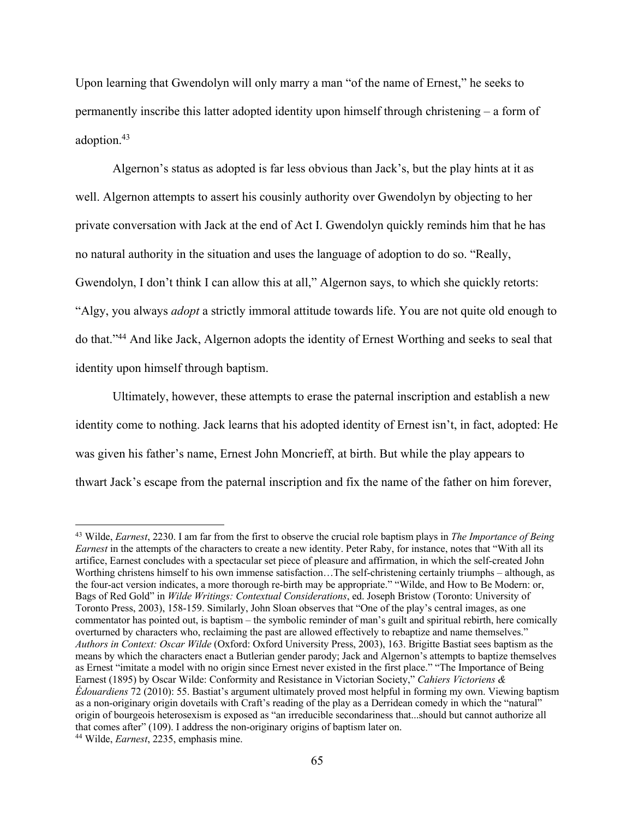Upon learning that Gwendolyn will only marry a man "of the name of Ernest," he seeks to permanently inscribe this latter adopted identity upon himself through christening – a form of adoption.43

Algernon's status as adopted is far less obvious than Jack's, but the play hints at it as well. Algernon attempts to assert his cousinly authority over Gwendolyn by objecting to her private conversation with Jack at the end of Act I. Gwendolyn quickly reminds him that he has no natural authority in the situation and uses the language of adoption to do so. "Really, Gwendolyn, I don't think I can allow this at all," Algernon says, to which she quickly retorts: "Algy, you always *adopt* a strictly immoral attitude towards life. You are not quite old enough to do that."44 And like Jack, Algernon adopts the identity of Ernest Worthing and seeks to seal that identity upon himself through baptism.

Ultimately, however, these attempts to erase the paternal inscription and establish a new identity come to nothing. Jack learns that his adopted identity of Ernest isn't, in fact, adopted: He was given his father's name, Ernest John Moncrieff, at birth. But while the play appears to thwart Jack's escape from the paternal inscription and fix the name of the father on him forever,

<sup>43</sup> Wilde, *Earnest*, 2230. I am far from the first to observe the crucial role baptism plays in *The Importance of Being Earnest* in the attempts of the characters to create a new identity. Peter Raby, for instance, notes that "With all its artifice, Earnest concludes with a spectacular set piece of pleasure and affirmation, in which the self-created John Worthing christens himself to his own immense satisfaction…The self-christening certainly triumphs – although, as the four-act version indicates, a more thorough re-birth may be appropriate." "Wilde, and How to Be Modern: or, Bags of Red Gold" in *Wilde Writings: Contextual Considerations*, ed. Joseph Bristow (Toronto: University of Toronto Press, 2003), 158-159. Similarly, John Sloan observes that "One of the play's central images, as one commentator has pointed out, is baptism – the symbolic reminder of man's guilt and spiritual rebirth, here comically overturned by characters who, reclaiming the past are allowed effectively to rebaptize and name themselves." *Authors in Context: Oscar Wilde* (Oxford: Oxford University Press, 2003), 163. Brigitte Bastiat sees baptism as the means by which the characters enact a Butlerian gender parody; Jack and Algernon's attempts to baptize themselves as Ernest "imitate a model with no origin since Ernest never existed in the first place." "The Importance of Being Earnest (1895) by Oscar Wilde: Conformity and Resistance in Victorian Society," *Cahiers Victoriens & Édouardiens* 72 (2010): 55. Bastiat's argument ultimately proved most helpful in forming my own. Viewing baptism as a non-originary origin dovetails with Craft's reading of the play as a Derridean comedy in which the "natural" origin of bourgeois heterosexism is exposed as "an irreducible secondariness that...should but cannot authorize all that comes after" (109). I address the non-originary origins of baptism later on. 44 Wilde, *Earnest*, 2235, emphasis mine.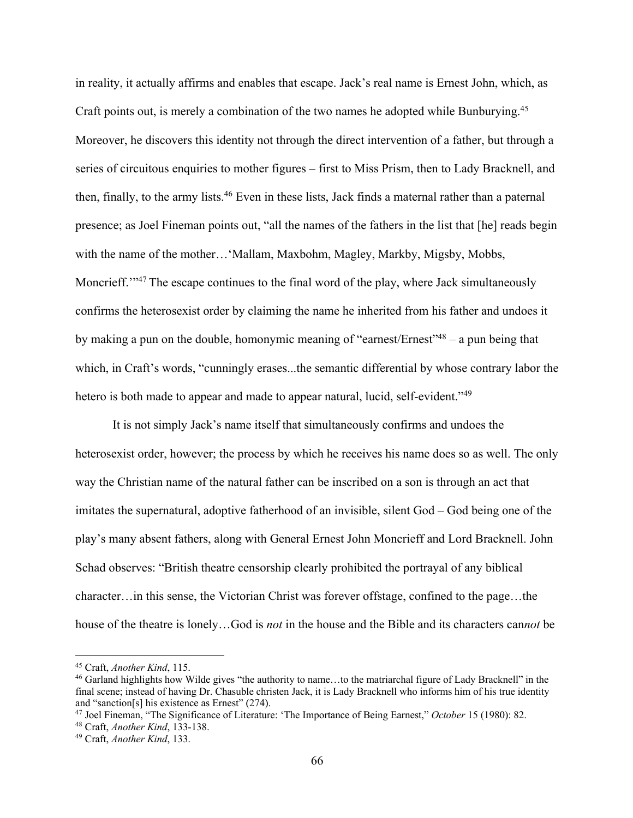in reality, it actually affirms and enables that escape. Jack's real name is Ernest John, which, as Craft points out, is merely a combination of the two names he adopted while Bunburying.<sup>45</sup> Moreover, he discovers this identity not through the direct intervention of a father, but through a series of circuitous enquiries to mother figures – first to Miss Prism, then to Lady Bracknell, and then, finally, to the army lists.<sup>46</sup> Even in these lists, Jack finds a maternal rather than a paternal presence; as Joel Fineman points out, "all the names of the fathers in the list that [he] reads begin with the name of the mother... 'Mallam, Maxbohm, Magley, Markby, Migsby, Mobbs, Moncrieff."<sup>47</sup> The escape continues to the final word of the play, where Jack simultaneously confirms the heterosexist order by claiming the name he inherited from his father and undoes it by making a pun on the double, homonymic meaning of "earnest/Ernest"<sup>48</sup> – a pun being that which, in Craft's words, "cunningly erases...the semantic differential by whose contrary labor the hetero is both made to appear and made to appear natural, lucid, self-evident."<sup>49</sup>

It is not simply Jack's name itself that simultaneously confirms and undoes the heterosexist order, however; the process by which he receives his name does so as well. The only way the Christian name of the natural father can be inscribed on a son is through an act that imitates the supernatural, adoptive fatherhood of an invisible, silent God – God being one of the play's many absent fathers, along with General Ernest John Moncrieff and Lord Bracknell. John Schad observes: "British theatre censorship clearly prohibited the portrayal of any biblical character…in this sense, the Victorian Christ was forever offstage, confined to the page…the house of the theatre is lonely…God is *not* in the house and the Bible and its characters can*not* be

<sup>&</sup>lt;sup>45</sup> Craft, *Another Kind*, 115.<br><sup>46</sup> Garland highlights how Wilde gives "the authority to name...to the matriarchal figure of Lady Bracknell" in the final scene; instead of having Dr. Chasuble christen Jack, it is Lady Bracknell who informs him of his true identity and "sanction[s] his existence as Ernest" (274).

<sup>47</sup> Joel Fineman, "The Significance of Literature: 'The Importance of Being Earnest," *October* 15 (1980): 82.

<sup>48</sup> Craft, *Another Kind*, 133-138. 49 Craft, *Another Kind*, 133.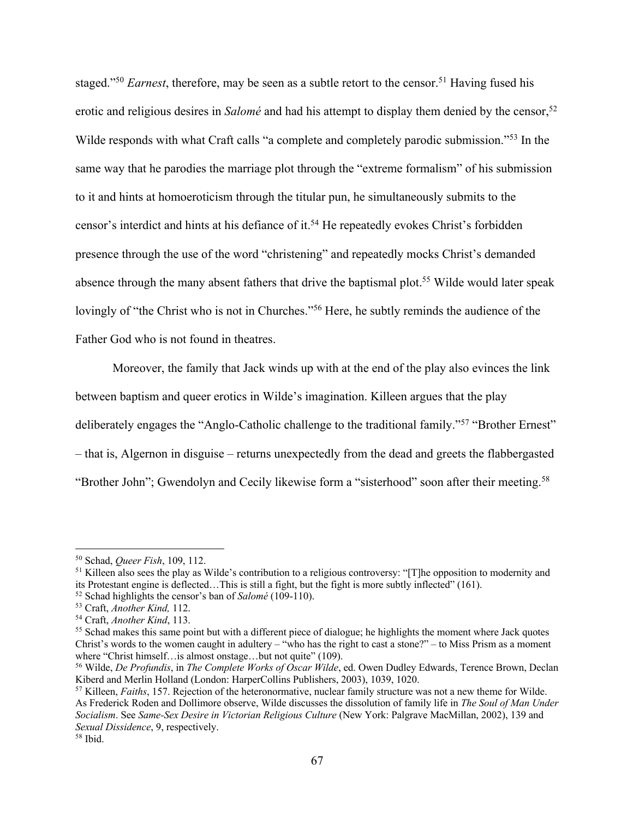staged."<sup>50</sup> *Earnest*, therefore, may be seen as a subtle retort to the censor.<sup>51</sup> Having fused his erotic and religious desires in *Salomé* and had his attempt to display them denied by the censor,<sup>52</sup> Wilde responds with what Craft calls "a complete and completely parodic submission."<sup>53</sup> In the same way that he parodies the marriage plot through the "extreme formalism" of his submission to it and hints at homoeroticism through the titular pun, he simultaneously submits to the censor's interdict and hints at his defiance of it.<sup>54</sup> He repeatedly evokes Christ's forbidden presence through the use of the word "christening" and repeatedly mocks Christ's demanded absence through the many absent fathers that drive the baptismal plot.<sup>55</sup> Wilde would later speak lovingly of "the Christ who is not in Churches."<sup>56</sup> Here, he subtly reminds the audience of the Father God who is not found in theatres.

Moreover, the family that Jack winds up with at the end of the play also evinces the link between baptism and queer erotics in Wilde's imagination. Killeen argues that the play deliberately engages the "Anglo-Catholic challenge to the traditional family."57 "Brother Ernest" – that is, Algernon in disguise – returns unexpectedly from the dead and greets the flabbergasted "Brother John"; Gwendolyn and Cecily likewise form a "sisterhood" soon after their meeting.<sup>58</sup>

<sup>&</sup>lt;sup>50</sup> Schad, *Queer Fish*, 109, 112.<br><sup>51</sup> Killeen also sees the play as Wilde's contribution to a religious controversy: "[T]he opposition to modernity and its Protestant engine is deflected…This is still a fight, but the fight is more subtly inflected" (161).<br><sup>52</sup> Schad highlights the censor's ban of *Salomé* (109-110).

<sup>&</sup>lt;sup>53</sup> Craft, *Another Kind*, 112.<br><sup>54</sup> Craft, *Another Kind*, 113.<br><sup>55</sup> Schad makes this same point but with a different piece of dialogue; he highlights the moment where Jack quotes Christ's words to the women caught in adultery – "who has the right to cast a stone?" – to Miss Prism as a moment where "Christ himself... is almost onstage... but not quite" (109).

<sup>56</sup> Wilde, *De Profundis*, in *The Complete Works of Oscar Wilde*, ed. Owen Dudley Edwards, Terence Brown, Declan Kiberd and Merlin Holland (London: HarperCollins Publishers, 2003), 1039, 1020.<br><sup>57</sup> Killeen, *Faiths*, 157. Rejection of the heteronormative, nuclear family structure was not a new theme for Wilde.

As Frederick Roden and Dollimore observe, Wilde discusses the dissolution of family life in *The Soul of Man Under Socialism*. See *Same-Sex Desire in Victorian Religious Culture* (New York: Palgrave MacMillan, 2002), 139 and *Sexual Dissidence*, 9, respectively. 58 Ibid.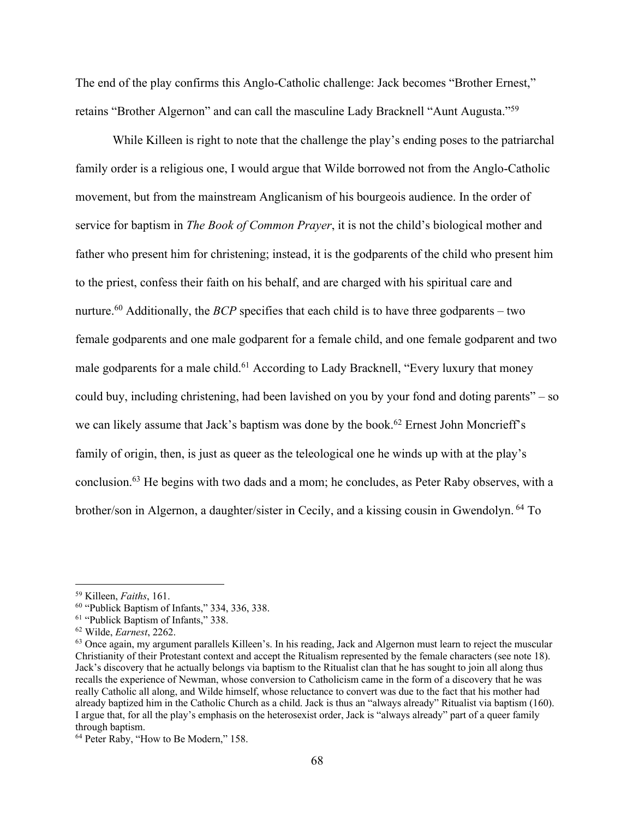The end of the play confirms this Anglo-Catholic challenge: Jack becomes "Brother Ernest," retains "Brother Algernon" and can call the masculine Lady Bracknell "Aunt Augusta."59

While Killeen is right to note that the challenge the play's ending poses to the patriarchal family order is a religious one, I would argue that Wilde borrowed not from the Anglo-Catholic movement, but from the mainstream Anglicanism of his bourgeois audience. In the order of service for baptism in *The Book of Common Prayer*, it is not the child's biological mother and father who present him for christening; instead, it is the godparents of the child who present him to the priest, confess their faith on his behalf, and are charged with his spiritual care and nurture.<sup>60</sup> Additionally, the *BCP* specifies that each child is to have three godparents – two female godparents and one male godparent for a female child, and one female godparent and two male godparents for a male child.<sup>61</sup> According to Lady Bracknell, "Every luxury that money could buy, including christening, had been lavished on you by your fond and doting parents" – so we can likely assume that Jack's baptism was done by the book.<sup>62</sup> Ernest John Moncrieff's family of origin, then, is just as queer as the teleological one he winds up with at the play's conclusion.63 He begins with two dads and a mom; he concludes, as Peter Raby observes, with a brother/son in Algernon, a daughter/sister in Cecily, and a kissing cousin in Gwendolyn. <sup>64</sup> To

<sup>&</sup>lt;sup>59</sup> Killeen, *Faiths*, 161.<br><sup>60</sup> "Publick Baptism of Infants," 334, 336, 338.<br><sup>61</sup> "Publick Baptism of Infants," 338.<br><sup>62</sup> Wilde, *Earnest*, 2262.<br><sup>63</sup> Once again, my argument parallels Killeen's. In his reading, Jack an Christianity of their Protestant context and accept the Ritualism represented by the female characters (see note 18). Jack's discovery that he actually belongs via baptism to the Ritualist clan that he has sought to join all along thus recalls the experience of Newman, whose conversion to Catholicism came in the form of a discovery that he was really Catholic all along, and Wilde himself, whose reluctance to convert was due to the fact that his mother had already baptized him in the Catholic Church as a child. Jack is thus an "always already" Ritualist via baptism (160). I argue that, for all the play's emphasis on the heterosexist order, Jack is "always already" part of a queer family through baptism.

<sup>&</sup>lt;sup>64</sup> Peter Raby, "How to Be Modern," 158.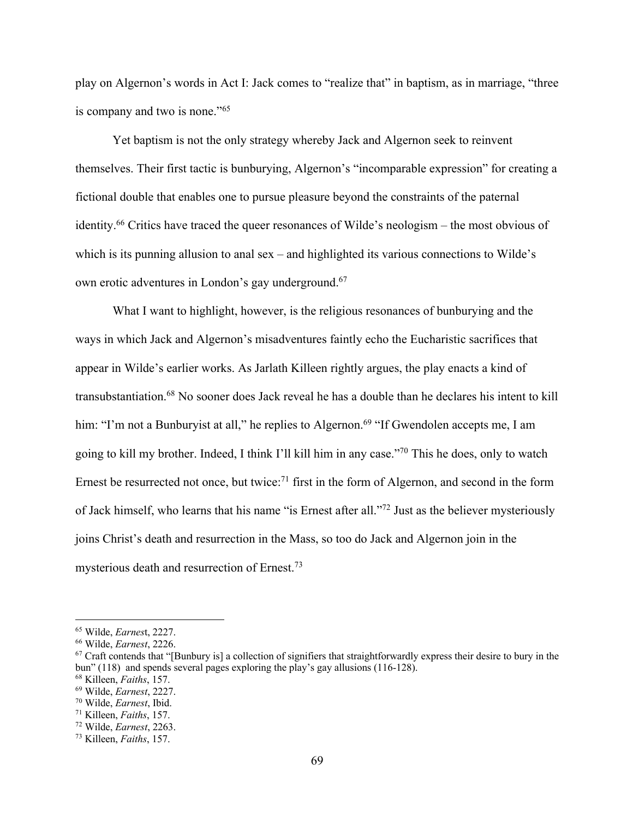play on Algernon's words in Act I: Jack comes to "realize that" in baptism, as in marriage, "three is company and two is none."65

Yet baptism is not the only strategy whereby Jack and Algernon seek to reinvent themselves. Their first tactic is bunburying, Algernon's "incomparable expression" for creating a fictional double that enables one to pursue pleasure beyond the constraints of the paternal identity.66 Critics have traced the queer resonances of Wilde's neologism – the most obvious of which is its punning allusion to anal sex – and highlighted its various connections to Wilde's own erotic adventures in London's gay underground.67

What I want to highlight, however, is the religious resonances of bunburying and the ways in which Jack and Algernon's misadventures faintly echo the Eucharistic sacrifices that appear in Wilde's earlier works. As Jarlath Killeen rightly argues, the play enacts a kind of transubstantiation.68 No sooner does Jack reveal he has a double than he declares his intent to kill him: "I'm not a Bunburyist at all," he replies to Algernon.<sup>69</sup> "If Gwendolen accepts me, I am going to kill my brother. Indeed, I think I'll kill him in any case."70 This he does, only to watch Ernest be resurrected not once, but twice:<sup>71</sup> first in the form of Algernon, and second in the form of Jack himself, who learns that his name "is Ernest after all."72 Just as the believer mysteriously joins Christ's death and resurrection in the Mass, so too do Jack and Algernon join in the mysterious death and resurrection of Ernest.73

<sup>65</sup> Wilde, *Earnes*t, 2227.

<sup>&</sup>lt;sup>67</sup> Craft contends that "[Bunbury is] a collection of signifiers that straightforwardly express their desire to bury in the bun" (118) and spends several pages exploring the play's gay allusions (116-128). 68 Killeen, *Faiths*, 157. 69 Wilde, *Earnest*, 2227. 70 Wilde, *Earnest*, Ibid.

<sup>71</sup> Killeen, *Faiths*, 157.

<sup>72</sup> Wilde, *Earnest*, 2263. 73 Killeen, *Faiths*, 157.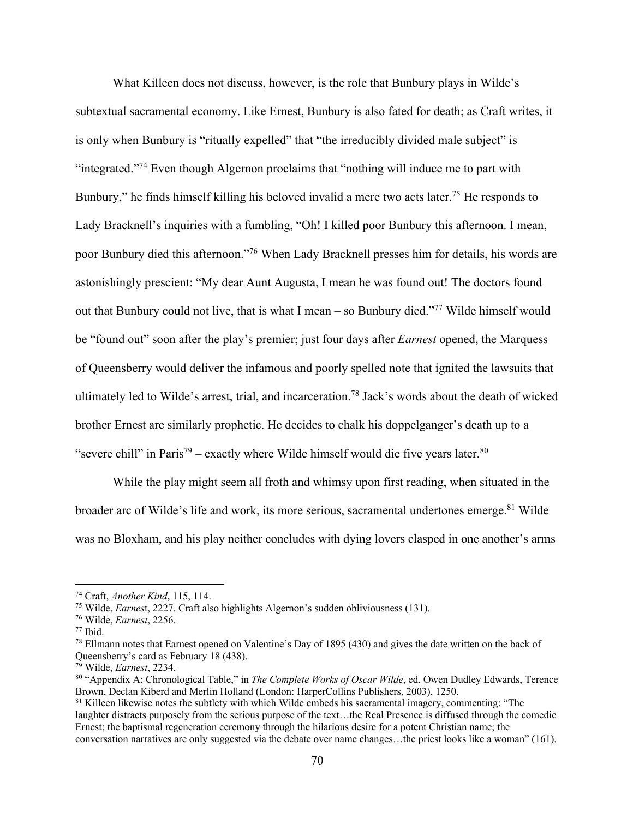What Killeen does not discuss, however, is the role that Bunbury plays in Wilde's subtextual sacramental economy. Like Ernest, Bunbury is also fated for death; as Craft writes, it is only when Bunbury is "ritually expelled" that "the irreducibly divided male subject" is "integrated."74 Even though Algernon proclaims that "nothing will induce me to part with Bunbury," he finds himself killing his beloved invalid a mere two acts later.<sup>75</sup> He responds to Lady Bracknell's inquiries with a fumbling, "Oh! I killed poor Bunbury this afternoon. I mean, poor Bunbury died this afternoon."76 When Lady Bracknell presses him for details, his words are astonishingly prescient: "My dear Aunt Augusta, I mean he was found out! The doctors found out that Bunbury could not live, that is what I mean – so Bunbury died."77 Wilde himself would be "found out" soon after the play's premier; just four days after *Earnest* opened, the Marquess of Queensberry would deliver the infamous and poorly spelled note that ignited the lawsuits that ultimately led to Wilde's arrest, trial, and incarceration.78 Jack's words about the death of wicked brother Ernest are similarly prophetic. He decides to chalk his doppelganger's death up to a "severe chill" in Paris<sup>79</sup> – exactly where Wilde himself would die five years later.<sup>80</sup>

While the play might seem all froth and whimsy upon first reading, when situated in the broader arc of Wilde's life and work, its more serious, sacramental undertones emerge.<sup>81</sup> Wilde was no Bloxham, and his play neither concludes with dying lovers clasped in one another's arms

<sup>&</sup>lt;sup>74</sup> Craft, *Another Kind*, 115, 114.<br><sup>75</sup> Wilde, *Earnest*, 2227. Craft also highlights Algernon's sudden obliviousness (131).<br><sup>76</sup> Wilde, *Earnest*, 2256.<br><sup>77</sup> Ibid.<br><sup>78</sup> Ellmann notes that Earnest opened on Valentine's Queensberry's card as February 18 (438).

<sup>&</sup>lt;sup>79</sup> Wilde, *Earnest*, 2234.<br><sup>80</sup> "Appendix A: Chronological Table," in *The Complete Works of Oscar Wilde*, ed. Owen Dudley Edwards, Terence Brown, Declan Kiberd and Merlin Holland (London: HarperCollins Publishers, 2003), 1250.<br><sup>81</sup> Killeen likewise notes the subtlety with which Wilde embeds his sacramental imagery, commenting: "The

laughter distracts purposely from the serious purpose of the text…the Real Presence is diffused through the comedic Ernest; the baptismal regeneration ceremony through the hilarious desire for a potent Christian name; the conversation narratives are only suggested via the debate over name changes…the priest looks like a woman" (161).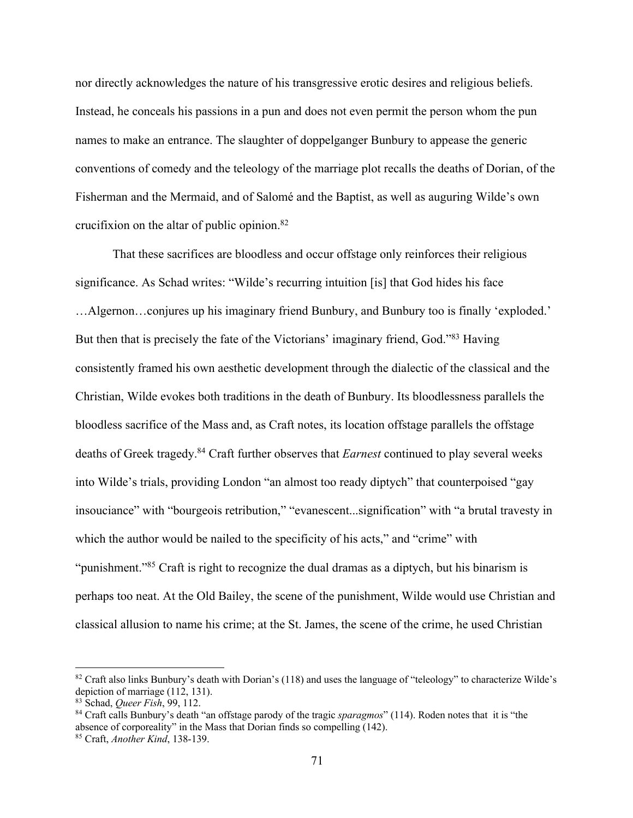nor directly acknowledges the nature of his transgressive erotic desires and religious beliefs. Instead, he conceals his passions in a pun and does not even permit the person whom the pun names to make an entrance. The slaughter of doppelganger Bunbury to appease the generic conventions of comedy and the teleology of the marriage plot recalls the deaths of Dorian, of the Fisherman and the Mermaid, and of Salomé and the Baptist, as well as auguring Wilde's own crucifixion on the altar of public opinion. $82$ 

That these sacrifices are bloodless and occur offstage only reinforces their religious significance. As Schad writes: "Wilde's recurring intuition [is] that God hides his face …Algernon…conjures up his imaginary friend Bunbury, and Bunbury too is finally 'exploded.' But then that is precisely the fate of the Victorians' imaginary friend, God."<sup>83</sup> Having consistently framed his own aesthetic development through the dialectic of the classical and the Christian, Wilde evokes both traditions in the death of Bunbury. Its bloodlessness parallels the bloodless sacrifice of the Mass and, as Craft notes, its location offstage parallels the offstage deaths of Greek tragedy.84 Craft further observes that *Earnest* continued to play several weeks into Wilde's trials, providing London "an almost too ready diptych" that counterpoised "gay insouciance" with "bourgeois retribution," "evanescent...signification" with "a brutal travesty in which the author would be nailed to the specificity of his acts," and "crime" with "punishment."85 Craft is right to recognize the dual dramas as a diptych, but his binarism is perhaps too neat. At the Old Bailey, the scene of the punishment, Wilde would use Christian and classical allusion to name his crime; at the St. James, the scene of the crime, he used Christian

<sup>82</sup> Craft also links Bunbury's death with Dorian's (118) and uses the language of "teleology" to characterize Wilde's depiction of marriage (112, 131).<br><sup>83</sup> Schad, *Oueer Fish*, 99, 112.

<sup>&</sup>lt;sup>84</sup> Craft calls Bunbury's death "an offstage parody of the tragic *sparagmos*" (114). Roden notes that it is "the absence of corporeality" in the Mass that Dorian finds so compelling (142). <sup>85</sup> Craft, *Another Kind*, 138-139.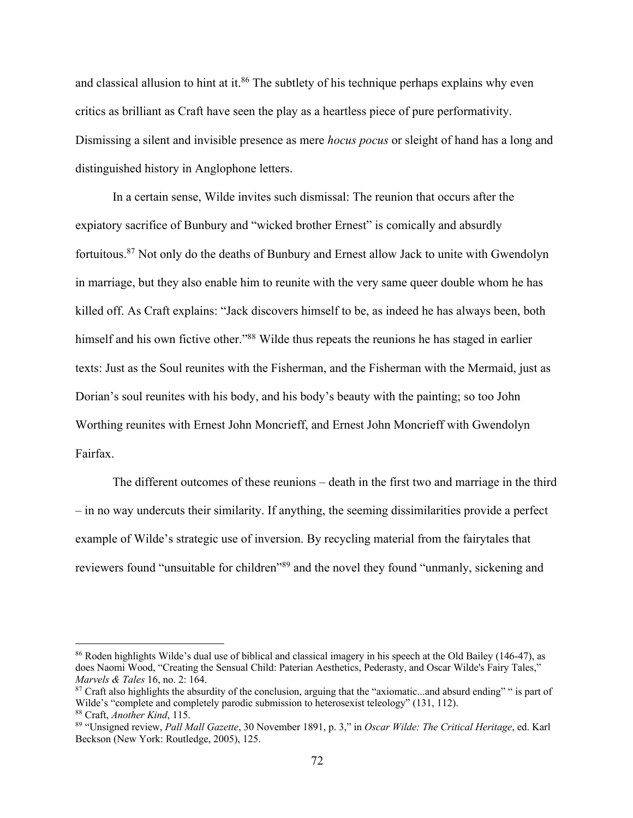and classical allusion to hint at it.<sup>86</sup> The subtlety of his technique perhaps explains why even critics as brilliant as Craft have seen the play as a heartless piece of pure performativity. Dismissing a silent and invisible presence as mere *hocus pocus* or sleight of hand has a long and distinguished history in Anglophone letters.

In a certain sense, Wilde invites such dismissal: The reunion that occurs after the expiatory sacrifice of Bunbury and "wicked brother Ernest" is comically and absurdly fortuitous.87 Not only do the deaths of Bunbury and Ernest allow Jack to unite with Gwendolyn in marriage, but they also enable him to reunite with the very same queer double whom he has killed off. As Craft explains: "Jack discovers himself to be, as indeed he has always been, both himself and his own fictive other."<sup>88</sup> Wilde thus repeats the reunions he has staged in earlier texts: Just as the Soul reunites with the Fisherman, and the Fisherman with the Mermaid, just as Dorian's soul reunites with his body, and his body's beauty with the painting; so too John Worthing reunites with Ernest John Moncrieff, and Ernest John Moncrieff with Gwendolyn Fairfax.

The different outcomes of these reunions – death in the first two and marriage in the third – in no way undercuts their similarity. If anything, the seeming dissimilarities provide a perfect example of Wilde's strategic use of inversion. By recycling material from the fairytales that reviewers found "unsuitable for children"89 and the novel they found "unmanly, sickening and

<sup>86</sup> Roden highlights Wilde's dual use of biblical and classical imagery in his speech at the Old Bailey (146-47), as does Naomi Wood, "Creating the Sensual Child: Paterian Aesthetics, Pederasty, and Oscar Wilde's Fairy Tales," *Marvels & Tales* 16, no. 2: 164.<br><sup>87</sup> Craft also highlights the absurdity of the conclusion, arguing that the "axiomatic...and absurd ending" " is part of

Wilde's "complete and completely parodic submission to heterosexist teleology" (131, 112).

<sup>88</sup> Craft, *Another Kind*, 115. 89 "Unsigned review, *Pall Mall Gazette*, 30 November 1891, p. 3," in *Oscar Wilde: The Critical Heritage*, ed. Karl Beckson (New York: Routledge, 2005), 125.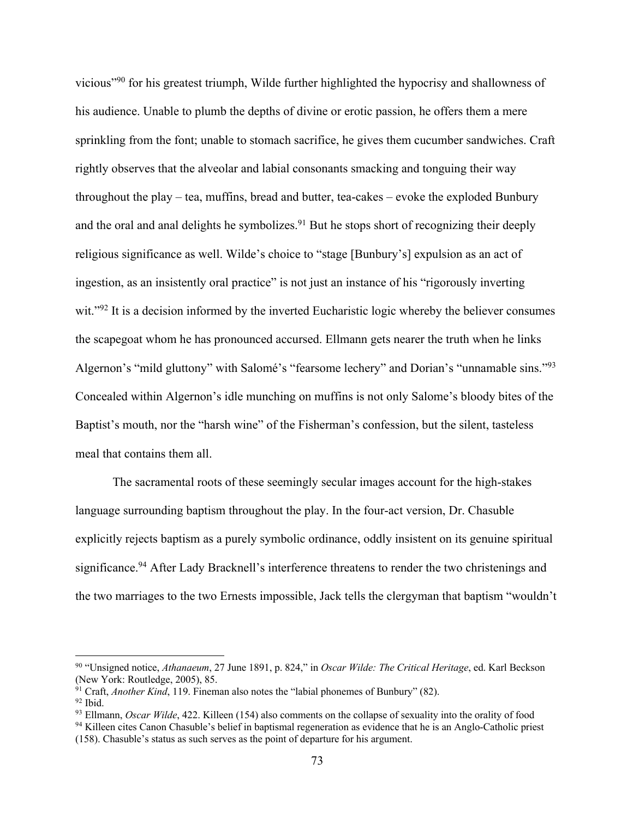vicious"90 for his greatest triumph, Wilde further highlighted the hypocrisy and shallowness of his audience. Unable to plumb the depths of divine or erotic passion, he offers them a mere sprinkling from the font; unable to stomach sacrifice, he gives them cucumber sandwiches. Craft rightly observes that the alveolar and labial consonants smacking and tonguing their way throughout the play – tea, muffins, bread and butter, tea-cakes – evoke the exploded Bunbury and the oral and anal delights he symbolizes.<sup>91</sup> But he stops short of recognizing their deeply religious significance as well. Wilde's choice to "stage [Bunbury's] expulsion as an act of ingestion, as an insistently oral practice" is not just an instance of his "rigorously inverting wit."<sup>92</sup> It is a decision informed by the inverted Eucharistic logic whereby the believer consumes the scapegoat whom he has pronounced accursed. Ellmann gets nearer the truth when he links Algernon's "mild gluttony" with Salomé's "fearsome lechery" and Dorian's "unnamable sins."93 Concealed within Algernon's idle munching on muffins is not only Salome's bloody bites of the Baptist's mouth, nor the "harsh wine" of the Fisherman's confession, but the silent, tasteless meal that contains them all.

The sacramental roots of these seemingly secular images account for the high-stakes language surrounding baptism throughout the play. In the four-act version, Dr. Chasuble explicitly rejects baptism as a purely symbolic ordinance, oddly insistent on its genuine spiritual significance.<sup>94</sup> After Lady Bracknell's interference threatens to render the two christenings and the two marriages to the two Ernests impossible, Jack tells the clergyman that baptism "wouldn't

<sup>90</sup> "Unsigned notice, *Athanaeum*, 27 June 1891, p. 824," in *Oscar Wilde: The Critical Heritage*, ed. Karl Beckson (New York: Routledge, 2005), 85.<br><sup>91</sup> Craft, *Another Kind*, 119. Fineman also notes the "labial phonemes of Bunbury" (82).

<sup>&</sup>lt;sup>92</sup> Ibid.<br><sup>93</sup> Ellmann, *Oscar Wilde*, 422. Killeen (154) also comments on the collapse of sexuality into the orality of food

<sup>&</sup>lt;sup>94</sup> Killeen cites Canon Chasuble's belief in baptismal regeneration as evidence that he is an Anglo-Catholic priest (158). Chasuble's status as such serves as the point of departure for his argument.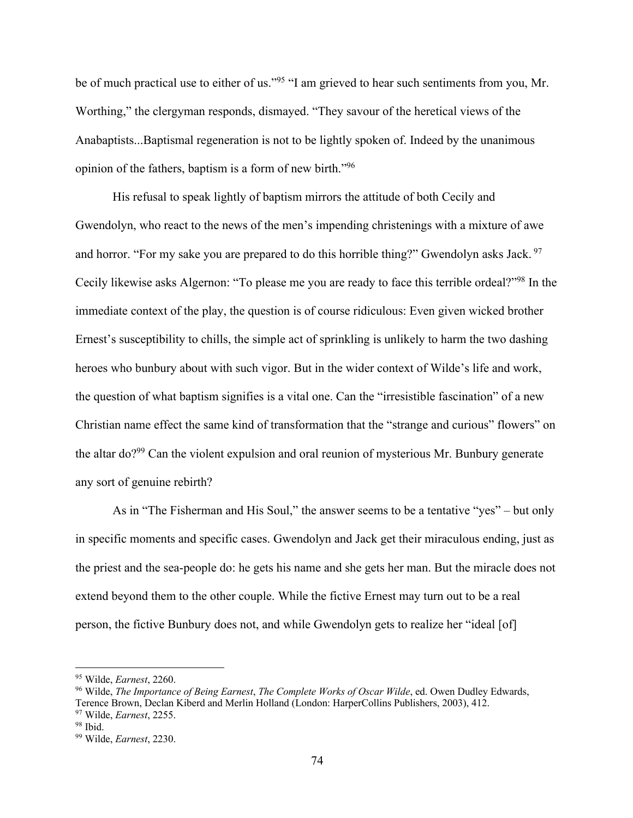be of much practical use to either of us."<sup>95</sup> "I am grieved to hear such sentiments from you, Mr. Worthing," the clergyman responds, dismayed. "They savour of the heretical views of the Anabaptists...Baptismal regeneration is not to be lightly spoken of. Indeed by the unanimous opinion of the fathers, baptism is a form of new birth."96

His refusal to speak lightly of baptism mirrors the attitude of both Cecily and Gwendolyn, who react to the news of the men's impending christenings with a mixture of awe and horror. "For my sake you are prepared to do this horrible thing?" Gwendolyn asks Jack. <sup>97</sup> Cecily likewise asks Algernon: "To please me you are ready to face this terrible ordeal?"98 In the immediate context of the play, the question is of course ridiculous: Even given wicked brother Ernest's susceptibility to chills, the simple act of sprinkling is unlikely to harm the two dashing heroes who bunbury about with such vigor. But in the wider context of Wilde's life and work, the question of what baptism signifies is a vital one. Can the "irresistible fascination" of a new Christian name effect the same kind of transformation that the "strange and curious" flowers" on the altar do?99 Can the violent expulsion and oral reunion of mysterious Mr. Bunbury generate any sort of genuine rebirth?

As in "The Fisherman and His Soul," the answer seems to be a tentative "yes" – but only in specific moments and specific cases. Gwendolyn and Jack get their miraculous ending, just as the priest and the sea-people do: he gets his name and she gets her man. But the miracle does not extend beyond them to the other couple. While the fictive Ernest may turn out to be a real person, the fictive Bunbury does not, and while Gwendolyn gets to realize her "ideal [of]

<sup>&</sup>lt;sup>95</sup> Wilde, *Earnest*, 2260.<br><sup>96</sup> Wilde, *The Importance of Being Earnest*, *The Complete Works of Oscar Wilde*, ed. Owen Dudley Edwards, Terence Brown, Declan Kiberd and Merlin Holland (London: HarperCollins Publishers, 2003), 412. 97 Wilde, *Earnest*, 2255. 98 Ibid. 99 Wilde, *Earnest*, 2230.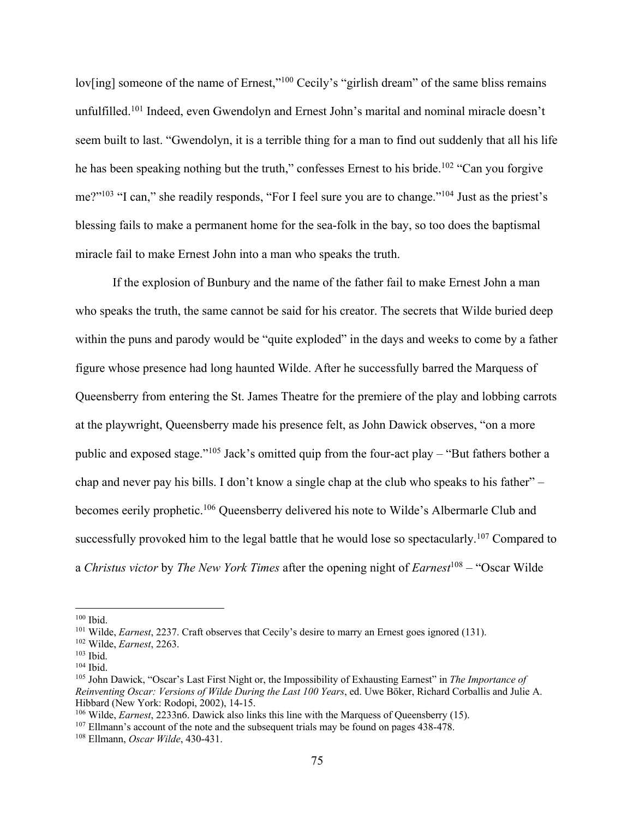lov[ing] someone of the name of Ernest,"<sup>100</sup> Cecily's "girlish dream" of the same bliss remains unfulfilled.101 Indeed, even Gwendolyn and Ernest John's marital and nominal miracle doesn't seem built to last. "Gwendolyn, it is a terrible thing for a man to find out suddenly that all his life he has been speaking nothing but the truth," confesses Ernest to his bride.<sup>102</sup> "Can you forgive me?"<sup>103</sup> "I can," she readily responds, "For I feel sure you are to change."<sup>104</sup> Just as the priest's blessing fails to make a permanent home for the sea-folk in the bay, so too does the baptismal miracle fail to make Ernest John into a man who speaks the truth.

If the explosion of Bunbury and the name of the father fail to make Ernest John a man who speaks the truth, the same cannot be said for his creator. The secrets that Wilde buried deep within the puns and parody would be "quite exploded" in the days and weeks to come by a father figure whose presence had long haunted Wilde. After he successfully barred the Marquess of Queensberry from entering the St. James Theatre for the premiere of the play and lobbing carrots at the playwright, Queensberry made his presence felt, as John Dawick observes, "on a more public and exposed stage."105 Jack's omitted quip from the four-act play – "But fathers bother a chap and never pay his bills. I don't know a single chap at the club who speaks to his father" – becomes eerily prophetic.106 Queensberry delivered his note to Wilde's Albermarle Club and successfully provoked him to the legal battle that he would lose so spectacularly.<sup>107</sup> Compared to a *Christus victor* by *The New York Times* after the opening night of *Earnest*<sup>108</sup> – "Oscar Wilde

<sup>&</sup>lt;sup>100</sup> Ibid.<br><sup>101</sup> Wilde, *Earnest*, 2237. Craft observes that Cecily's desire to marry an Ernest goes ignored (131).<br><sup>102</sup> Wilde, *Earnest*, 2263.<br><sup>103</sup> Ibid.<br><sup>104</sup> Ibid.<br><sup>104</sup> Ibid.<br><sup>104</sup> Ibid.

*Reinventing Oscar: Versions of Wilde During the Last 100 Years*, ed. Uwe Böker, Richard Corballis and Julie A. Hibbard (New York: Rodopi, 2002), 14-15.<br><sup>106</sup> Wilde, *Earnest*, 2233n6. Dawick also links this line with the Marquess of Queensberry (15).<br><sup>107</sup> Ellmann's account of the note and the subsequent trials may be found on page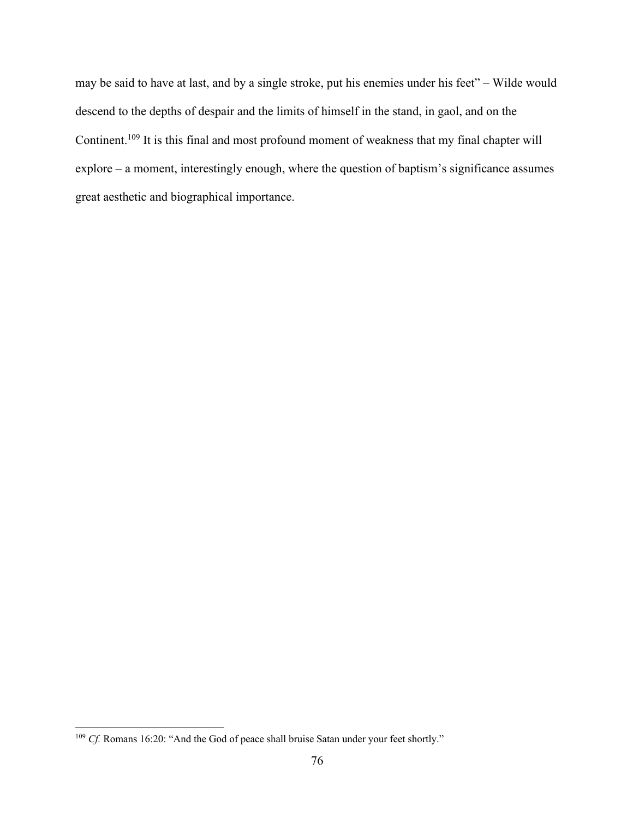may be said to have at last, and by a single stroke, put his enemies under his feet" – Wilde would descend to the depths of despair and the limits of himself in the stand, in gaol, and on the Continent.109 It is this final and most profound moment of weakness that my final chapter will explore – a moment, interestingly enough, where the question of baptism's significance assumes great aesthetic and biographical importance.

<sup>&</sup>lt;sup>109</sup> *Cf.* Romans 16:20: "And the God of peace shall bruise Satan under your feet shortly."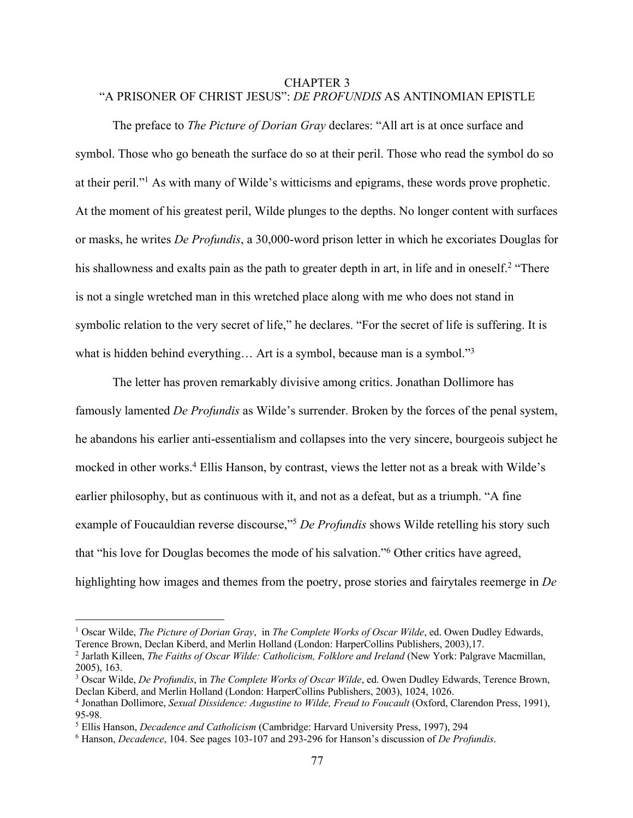## CHAPTER 3 "A PRISONER OF CHRIST JESUS": *DE PROFUNDIS* AS ANTINOMIAN EPISTLE

The preface to *The Picture of Dorian Gray* declares: "All art is at once surface and symbol. Those who go beneath the surface do so at their peril. Those who read the symbol do so at their peril."1 As with many of Wilde's witticisms and epigrams, these words prove prophetic. At the moment of his greatest peril, Wilde plunges to the depths. No longer content with surfaces or masks, he writes *De Profundis*, a 30,000-word prison letter in which he excoriates Douglas for his shallowness and exalts pain as the path to greater depth in art, in life and in oneself.<sup>2</sup> "There is not a single wretched man in this wretched place along with me who does not stand in symbolic relation to the very secret of life," he declares. "For the secret of life is suffering. It is what is hidden behind everything... Art is a symbol, because man is a symbol."<sup>3</sup>

The letter has proven remarkably divisive among critics. Jonathan Dollimore has famously lamented *De Profundis* as Wilde's surrender. Broken by the forces of the penal system, he abandons his earlier anti-essentialism and collapses into the very sincere, bourgeois subject he mocked in other works.<sup>4</sup> Ellis Hanson, by contrast, views the letter not as a break with Wilde's earlier philosophy, but as continuous with it, and not as a defeat, but as a triumph. "A fine example of Foucauldian reverse discourse,"5 *De Profundis* shows Wilde retelling his story such that "his love for Douglas becomes the mode of his salvation."6 Other critics have agreed, highlighting how images and themes from the poetry, prose stories and fairytales reemerge in *De* 

<sup>&</sup>lt;sup>1</sup> Oscar Wilde, *The Picture of Dorian Gray*, in *The Complete Works of Oscar Wilde*, ed. Owen Dudley Edwards, Terence Brown, Declan Kiberd, and Merlin Holland (London: HarperCollins Publishers, 2003),17.

<sup>&</sup>lt;sup>2</sup> Jarlath Killeen, *The Faiths of Oscar Wilde: Catholicism, Folklore and Ireland* (New York: Palgrave Macmillan, 2005), 163.

<sup>3</sup> Oscar Wilde, *De Profundis*, in *The Complete Works of Oscar Wilde*, ed. Owen Dudley Edwards, Terence Brown, Declan Kiberd, and Merlin Holland (London: HarperCollins Publishers, 2003), 1024, 1026. 4 Jonathan Dollimore, *Sexual Dissidence: Augustine to Wilde, Freud to Foucault* (Oxford, Clarendon Press, 1991),

<sup>95-98. 5</sup> Ellis Hanson, *Decadence and Catholicism* (Cambridge: Harvard University Press, 1997), 294

<sup>6</sup> Hanson, *Decadence*, 104. See pages 103-107 and 293-296 for Hanson's discussion of *De Profundis*.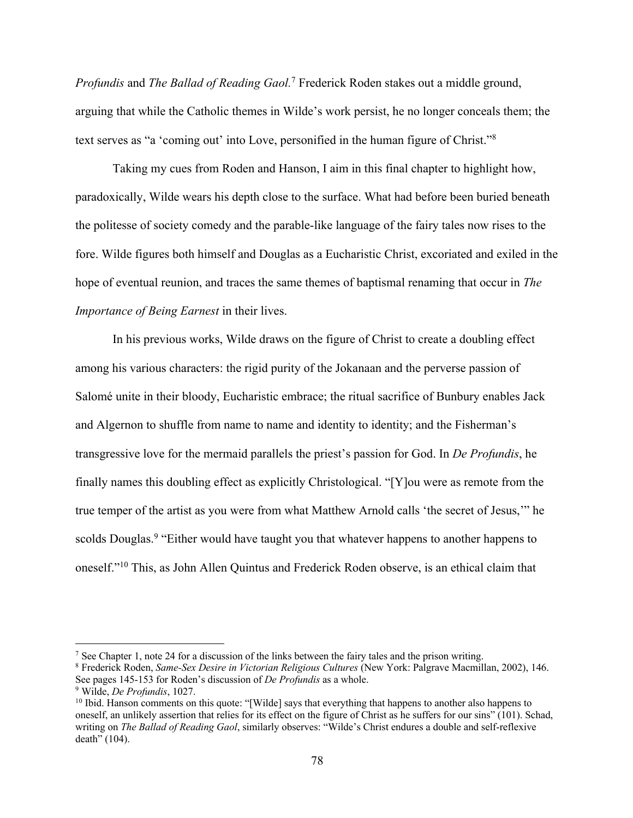*Profundis* and *The Ballad of Reading Gaol.*<sup>7</sup> Frederick Roden stakes out a middle ground, arguing that while the Catholic themes in Wilde's work persist, he no longer conceals them; the text serves as "a 'coming out' into Love, personified in the human figure of Christ."8

Taking my cues from Roden and Hanson, I aim in this final chapter to highlight how, paradoxically, Wilde wears his depth close to the surface. What had before been buried beneath the politesse of society comedy and the parable-like language of the fairy tales now rises to the fore. Wilde figures both himself and Douglas as a Eucharistic Christ, excoriated and exiled in the hope of eventual reunion, and traces the same themes of baptismal renaming that occur in *The Importance of Being Earnest* in their lives.

In his previous works, Wilde draws on the figure of Christ to create a doubling effect among his various characters: the rigid purity of the Jokanaan and the perverse passion of Salomé unite in their bloody, Eucharistic embrace; the ritual sacrifice of Bunbury enables Jack and Algernon to shuffle from name to name and identity to identity; and the Fisherman's transgressive love for the mermaid parallels the priest's passion for God. In *De Profundis*, he finally names this doubling effect as explicitly Christological. "[Y]ou were as remote from the true temper of the artist as you were from what Matthew Arnold calls 'the secret of Jesus,'" he scolds Douglas.<sup>9</sup> "Either would have taught you that whatever happens to another happens to oneself."10 This, as John Allen Quintus and Frederick Roden observe, is an ethical claim that

<sup>7</sup> See Chapter 1, note 24 for a discussion of the links between the fairy tales and the prison writing. 8 Frederick Roden, *Same-Sex Desire in Victorian Religious Cultures* (New York: Palgrave Macmillan, 2002), 146. See pages 145-153 for Roden's discussion of *De Profundis* as a whole. 9 Wilde, *De Profundis*, 1027.

<sup>&</sup>lt;sup>10</sup> Ibid. Hanson comments on this quote: "[Wilde] says that everything that happens to another also happens to oneself, an unlikely assertion that relies for its effect on the figure of Christ as he suffers for our sins" (101). Schad, writing on *The Ballad of Reading Gaol*, similarly observes: "Wilde's Christ endures a double and self-reflexive death" (104).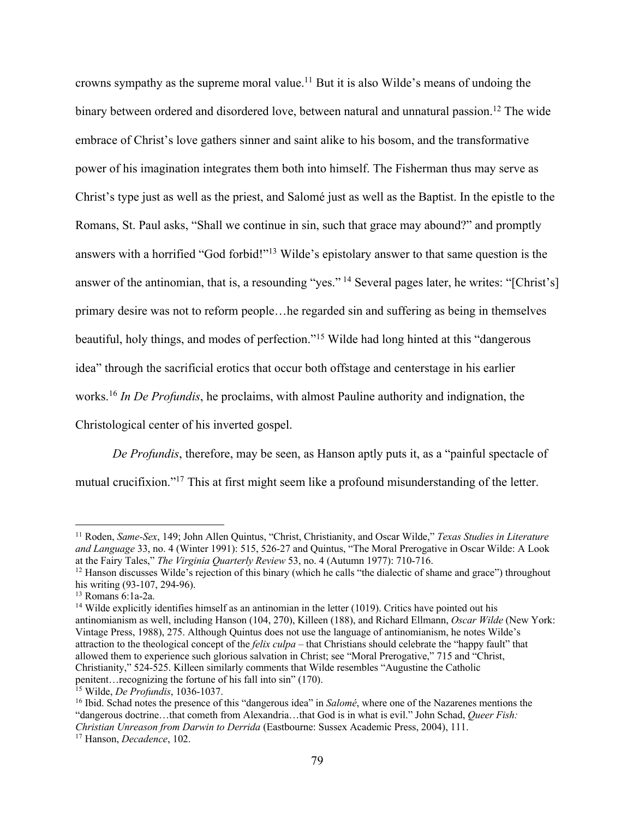crowns sympathy as the supreme moral value.11 But it is also Wilde's means of undoing the binary between ordered and disordered love, between natural and unnatural passion.<sup>12</sup> The wide embrace of Christ's love gathers sinner and saint alike to his bosom, and the transformative power of his imagination integrates them both into himself. The Fisherman thus may serve as Christ's type just as well as the priest, and Salomé just as well as the Baptist. In the epistle to the Romans, St. Paul asks, "Shall we continue in sin, such that grace may abound?" and promptly answers with a horrified "God forbid!"<sup>13</sup> Wilde's epistolary answer to that same question is the answer of the antinomian, that is, a resounding "yes." <sup>14</sup> Several pages later, he writes: "[Christ's] primary desire was not to reform people…he regarded sin and suffering as being in themselves beautiful, holy things, and modes of perfection."15 Wilde had long hinted at this "dangerous idea" through the sacrificial erotics that occur both offstage and centerstage in his earlier works.16 *In De Profundis*, he proclaims, with almost Pauline authority and indignation, the Christological center of his inverted gospel.

*De Profundis*, therefore, may be seen, as Hanson aptly puts it, as a "painful spectacle of mutual crucifixion."<sup>17</sup> This at first might seem like a profound misunderstanding of the letter.

<sup>11</sup> Roden, *Same-Sex*, 149; John Allen Quintus, "Christ, Christianity, and Oscar Wilde," *Texas Studies in Literature and Language* 33, no. 4 (Winter 1991): 515, 526-27 and Quintus, "The Moral Prerogative in Oscar Wilde: A Look at the Fairy Tales," *The Virginia Quarterly Review* 53, no. 4 (Autumn 1977): 710-716.<br><sup>12</sup> Hanson discusses Wilde's rejection of this binary (which he calls "the dialectic of shame and grace") throughout

his writing (93-107, 294-96).<br><sup>13</sup> Romans 6:1a-2a.<br><sup>14</sup> Wilde explicitly identifies himself as an antinomian in the letter (1019). Critics have pointed out his

antinomianism as well, including Hanson (104, 270), Killeen (188), and Richard Ellmann, *Oscar Wilde* (New York: Vintage Press, 1988), 275. Although Quintus does not use the language of antinomianism, he notes Wilde's attraction to the theological concept of the *felix culpa* – that Christians should celebrate the "happy fault" that allowed them to experience such glorious salvation in Christ; see "Moral Prerogative," 715 and "Christ, Christianity," 524-525. Killeen similarly comments that Wilde resembles "Augustine the Catholic penitent…recognizing the fortune of his fall into sin" (170).

<sup>&</sup>lt;sup>15</sup> Wilde, *De Profundis*, 1036-1037.<br><sup>16</sup> Ibid. Schad notes the presence of this "dangerous idea" in *Salomé*, where one of the Nazarenes mentions the "dangerous doctrine…that cometh from Alexandria…that God is in what is evil." John Schad, *Queer Fish: Christian Unreason from Darwin to Derrida* (Eastbourne: Sussex Academic Press, 2004), 111. 17 Hanson, *Decadence*, 102.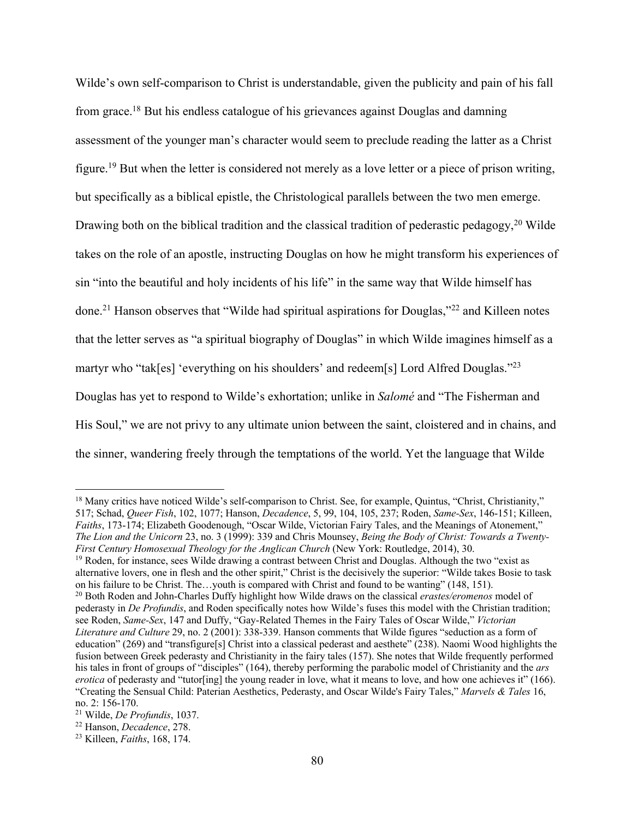Wilde's own self-comparison to Christ is understandable, given the publicity and pain of his fall from grace.18 But his endless catalogue of his grievances against Douglas and damning assessment of the younger man's character would seem to preclude reading the latter as a Christ figure.19 But when the letter is considered not merely as a love letter or a piece of prison writing, but specifically as a biblical epistle, the Christological parallels between the two men emerge. Drawing both on the biblical tradition and the classical tradition of pederastic pedagogy,<sup>20</sup> Wilde takes on the role of an apostle, instructing Douglas on how he might transform his experiences of sin "into the beautiful and holy incidents of his life" in the same way that Wilde himself has done.21 Hanson observes that "Wilde had spiritual aspirations for Douglas,"22 and Killeen notes that the letter serves as "a spiritual biography of Douglas" in which Wilde imagines himself as a martyr who "tak[es] 'everything on his shoulders' and redeem[s] Lord Alfred Douglas."<sup>23</sup> Douglas has yet to respond to Wilde's exhortation; unlike in *Salomé* and "The Fisherman and His Soul," we are not privy to any ultimate union between the saint, cloistered and in chains, and the sinner, wandering freely through the temptations of the world. Yet the language that Wilde

<sup>&</sup>lt;sup>18</sup> Many critics have noticed Wilde's self-comparison to Christ. See, for example, Quintus, "Christ, Christianity," 517; Schad, *Queer Fish*, 102, 1077; Hanson, *Decadence*, 5, 99, 104, 105, 237; Roden, *Same-Sex*, 146-151; Killeen, *Faiths*, 173-174; Elizabeth Goodenough, "Oscar Wilde, Victorian Fairy Tales, and the Meanings of Atonement," *The Lion and the Unicorn* 23, no. 3 (1999): 339 and Chris Mounsey, *Being the Body of Christ: Towards a Twenty-First Century Homosexual Theology for the Anglican Church* (New York: Routledge, 2014), 30.

<sup>&</sup>lt;sup>19</sup> Roden, for instance, sees Wilde drawing a contrast between Christ and Douglas. Although the two "exist as alternative lovers, one in flesh and the other spirit," Christ is the decisively the superior: "Wilde takes Bosie to task on his failure to be Christ. The…youth is compared with Christ and found to be wanting" (148, 151).

<sup>20</sup> Both Roden and John-Charles Duffy highlight how Wilde draws on the classical *erastes/eromenos* model of pederasty in *De Profundis*, and Roden specifically notes how Wilde's fuses this model with the Christian tradition; see Roden, *Same-Sex*, 147 and Duffy, "Gay-Related Themes in the Fairy Tales of Oscar Wilde," *Victorian Literature and Culture* 29, no. 2 (2001): 338-339. Hanson comments that Wilde figures "seduction as a form of education" (269) and "transfigure[s] Christ into a classical pederast and aesthete" (238). Naomi Wood highlights the fusion between Greek pederasty and Christianity in the fairy tales (157). She notes that Wilde frequently performed his tales in front of groups of "disciples" (164), thereby performing the parabolic model of Christianity and the *ars erotica* of pederasty and "tutor[ing] the young reader in love, what it means to love, and how one achieves it" (166). "Creating the Sensual Child: Paterian Aesthetics, Pederasty, and Oscar Wilde's Fairy Tales," *Marvels & Tales* 16, no. 2: 156-170. 21 Wilde, *De Profundis*, 1037. 22 Hanson, *Decadence*, 278. 23 Killeen, *Faiths*, 168, 174.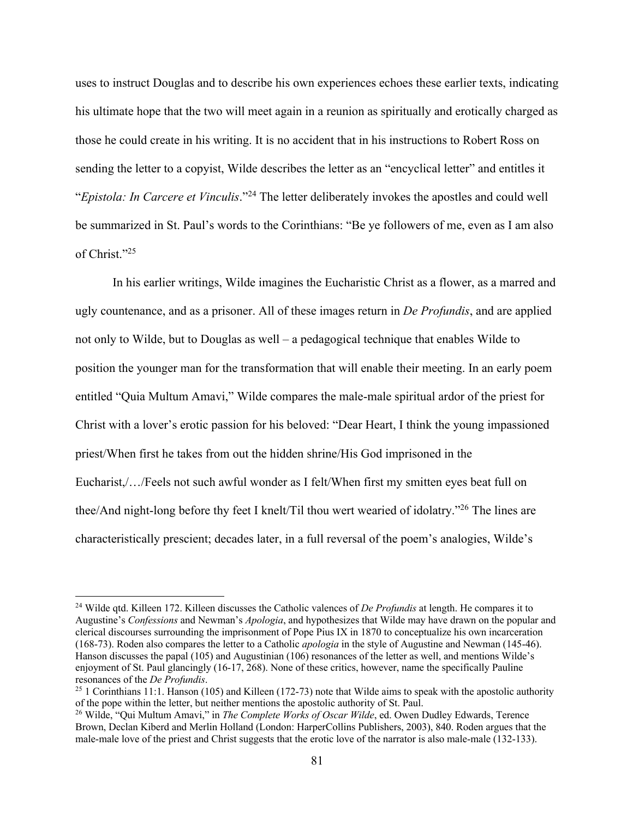uses to instruct Douglas and to describe his own experiences echoes these earlier texts, indicating his ultimate hope that the two will meet again in a reunion as spiritually and erotically charged as those he could create in his writing. It is no accident that in his instructions to Robert Ross on sending the letter to a copyist, Wilde describes the letter as an "encyclical letter" and entitles it "*Epistola: In Carcere et Vinculis*."24 The letter deliberately invokes the apostles and could well be summarized in St. Paul's words to the Corinthians: "Be ye followers of me, even as I am also of Christ."25

In his earlier writings, Wilde imagines the Eucharistic Christ as a flower, as a marred and ugly countenance, and as a prisoner. All of these images return in *De Profundis*, and are applied not only to Wilde, but to Douglas as well – a pedagogical technique that enables Wilde to position the younger man for the transformation that will enable their meeting. In an early poem entitled "Quia Multum Amavi," Wilde compares the male-male spiritual ardor of the priest for Christ with a lover's erotic passion for his beloved: "Dear Heart, I think the young impassioned priest/When first he takes from out the hidden shrine/His God imprisoned in the Eucharist,/…/Feels not such awful wonder as I felt/When first my smitten eyes beat full on thee/And night-long before thy feet I knelt/Til thou wert wearied of idolatry."26 The lines are characteristically prescient; decades later, in a full reversal of the poem's analogies, Wilde's

<sup>24</sup> Wilde qtd. Killeen 172. Killeen discusses the Catholic valences of *De Profundis* at length. He compares it to Augustine's *Confessions* and Newman's *Apologia*, and hypothesizes that Wilde may have drawn on the popular and clerical discourses surrounding the imprisonment of Pope Pius IX in 1870 to conceptualize his own incarceration (168-73). Roden also compares the letter to a Catholic *apologia* in the style of Augustine and Newman (145-46). Hanson discusses the papal (105) and Augustinian (106) resonances of the letter as well, and mentions Wilde's enjoyment of St. Paul glancingly (16-17, 268). None of these critics, however, name the specifically Pauline resonances of the *De Profundis*. 25 1 Corinthians 11:1. Hanson (105) and Killeen (172-73) note that Wilde aims to speak with the apostolic authority

of the pope within the letter, but neither mentions the apostolic authority of St. Paul.

<sup>26</sup> Wilde, "Qui Multum Amavi," in *The Complete Works of Oscar Wilde*, ed. Owen Dudley Edwards, Terence Brown, Declan Kiberd and Merlin Holland (London: HarperCollins Publishers, 2003), 840. Roden argues that the male-male love of the priest and Christ suggests that the erotic love of the narrator is also male-male (132-133).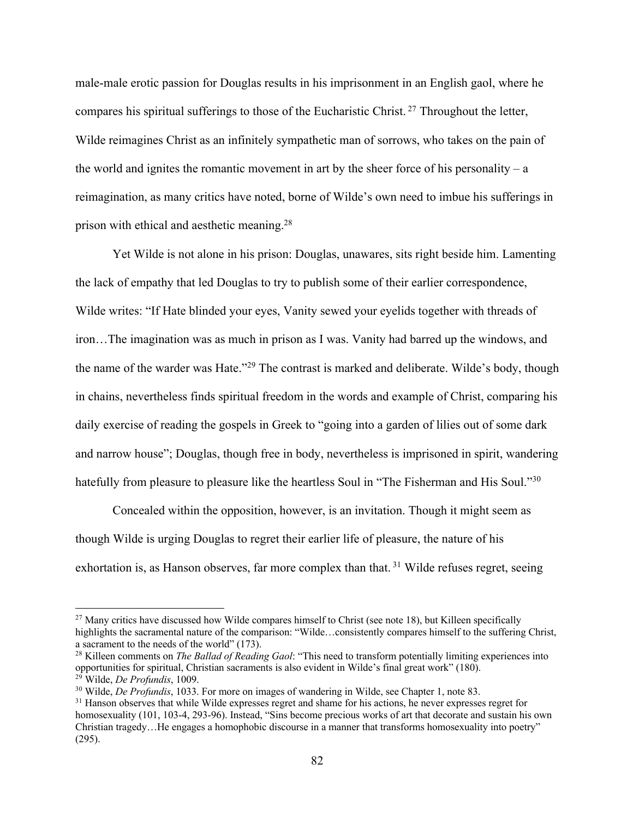male-male erotic passion for Douglas results in his imprisonment in an English gaol, where he compares his spiritual sufferings to those of the Eucharistic Christ.<sup>27</sup> Throughout the letter, Wilde reimagines Christ as an infinitely sympathetic man of sorrows, who takes on the pain of the world and ignites the romantic movement in art by the sheer force of his personality – a reimagination, as many critics have noted, borne of Wilde's own need to imbue his sufferings in prison with ethical and aesthetic meaning.28

Yet Wilde is not alone in his prison: Douglas, unawares, sits right beside him. Lamenting the lack of empathy that led Douglas to try to publish some of their earlier correspondence, Wilde writes: "If Hate blinded your eyes, Vanity sewed your eyelids together with threads of iron…The imagination was as much in prison as I was. Vanity had barred up the windows, and the name of the warder was Hate."29 The contrast is marked and deliberate. Wilde's body, though in chains, nevertheless finds spiritual freedom in the words and example of Christ, comparing his daily exercise of reading the gospels in Greek to "going into a garden of lilies out of some dark and narrow house"; Douglas, though free in body, nevertheless is imprisoned in spirit, wandering hatefully from pleasure to pleasure like the heartless Soul in "The Fisherman and His Soul."<sup>30</sup>

Concealed within the opposition, however, is an invitation. Though it might seem as though Wilde is urging Douglas to regret their earlier life of pleasure, the nature of his exhortation is, as Hanson observes, far more complex than that.<sup>31</sup> Wilde refuses regret, seeing

 $27$  Many critics have discussed how Wilde compares himself to Christ (see note 18), but Killeen specifically highlights the sacramental nature of the comparison: "Wilde...consistently compares himself to the suffering Christ, a sacrament to the needs of the world" (173).

<sup>28</sup> Killeen comments on *The Ballad of Reading Gaol*: "This need to transform potentially limiting experiences into opportunities for spiritual, Christian sacraments is also evident in Wilde's final great work" (180).

<sup>&</sup>lt;sup>29</sup> Wilde, *De Profundis*, 1009.<br><sup>30</sup> Wilde, *De Profundis*, 1033. For more on images of wandering in Wilde, see Chapter 1, note 83.<br><sup>31</sup> Hanson observes that while Wilde expresses regret and shame for his actions, he ne homosexuality (101, 103-4, 293-96). Instead, "Sins become precious works of art that decorate and sustain his own Christian tragedy…He engages a homophobic discourse in a manner that transforms homosexuality into poetry" (295).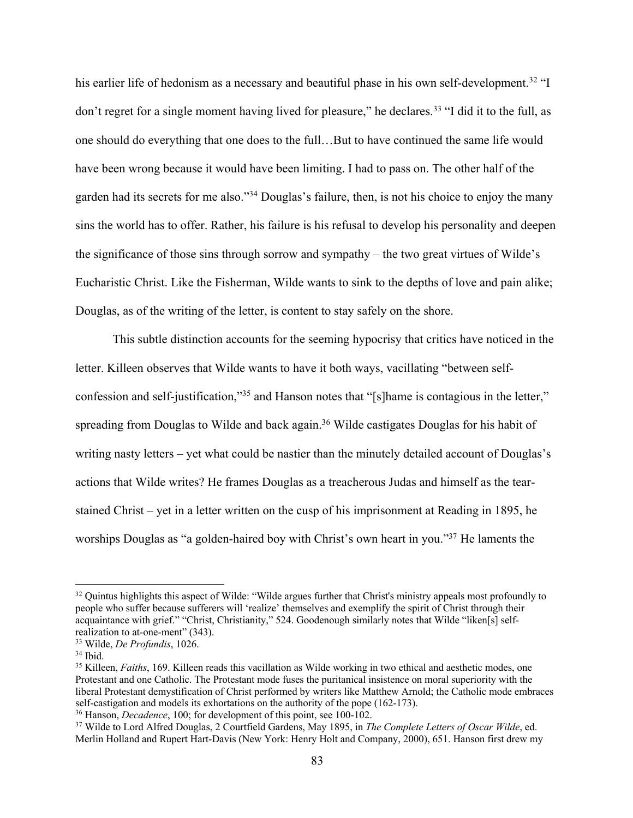his earlier life of hedonism as a necessary and beautiful phase in his own self-development.<sup>32</sup> "I don't regret for a single moment having lived for pleasure," he declares.<sup>33</sup> "I did it to the full, as one should do everything that one does to the full…But to have continued the same life would have been wrong because it would have been limiting. I had to pass on. The other half of the garden had its secrets for me also."34 Douglas's failure, then, is not his choice to enjoy the many sins the world has to offer. Rather, his failure is his refusal to develop his personality and deepen the significance of those sins through sorrow and sympathy – the two great virtues of Wilde's Eucharistic Christ. Like the Fisherman, Wilde wants to sink to the depths of love and pain alike; Douglas, as of the writing of the letter, is content to stay safely on the shore.

This subtle distinction accounts for the seeming hypocrisy that critics have noticed in the letter. Killeen observes that Wilde wants to have it both ways, vacillating "between selfconfession and self-justification,"35 and Hanson notes that "[s]hame is contagious in the letter," spreading from Douglas to Wilde and back again.<sup>36</sup> Wilde castigates Douglas for his habit of writing nasty letters – yet what could be nastier than the minutely detailed account of Douglas's actions that Wilde writes? He frames Douglas as a treacherous Judas and himself as the tearstained Christ – yet in a letter written on the cusp of his imprisonment at Reading in 1895, he worships Douglas as "a golden-haired boy with Christ's own heart in you."37 He laments the

<sup>&</sup>lt;sup>32</sup> Quintus highlights this aspect of Wilde: "Wilde argues further that Christ's ministry appeals most profoundly to people who suffer because sufferers will 'realize' themselves and exemplify the spirit of Christ through their acquaintance with grief." "Christ, Christianity," 524. Goodenough similarly notes that Wilde "liken[s] selfrealization to at-one-ment" (343).<br><sup>33</sup> Wilde, *De Profundis*, 1026.<br><sup>34</sup> Ibid.<br><sup>35</sup> Killeen, *Faiths*, 169. Killeen reads this vacillation as Wilde working in two ethical and aesthetic modes, one

Protestant and one Catholic. The Protestant mode fuses the puritanical insistence on moral superiority with the liberal Protestant demystification of Christ performed by writers like Matthew Arnold; the Catholic mode embraces self-castigation and models its exhortations on the authority of the pope (162-173).<br><sup>36</sup> Hanson, *Decadence*, 100; for development of this point, see 100-102.<br><sup>37</sup> Wilde to Lord Alfred Douglas, 2 Courtfield Gardens, May 1

Merlin Holland and Rupert Hart-Davis (New York: Henry Holt and Company, 2000), 651. Hanson first drew my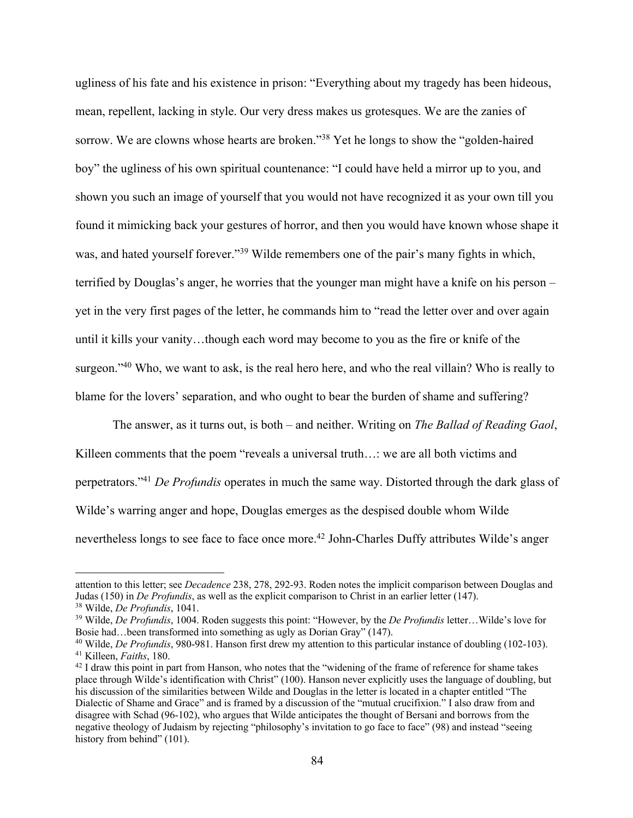ugliness of his fate and his existence in prison: "Everything about my tragedy has been hideous, mean, repellent, lacking in style. Our very dress makes us grotesques. We are the zanies of sorrow. We are clowns whose hearts are broken."38 Yet he longs to show the "golden-haired boy" the ugliness of his own spiritual countenance: "I could have held a mirror up to you, and shown you such an image of yourself that you would not have recognized it as your own till you found it mimicking back your gestures of horror, and then you would have known whose shape it was, and hated yourself forever."<sup>39</sup> Wilde remembers one of the pair's many fights in which, terrified by Douglas's anger, he worries that the younger man might have a knife on his person – yet in the very first pages of the letter, he commands him to "read the letter over and over again until it kills your vanity…though each word may become to you as the fire or knife of the surgeon."<sup>40</sup> Who, we want to ask, is the real hero here, and who the real villain? Who is really to blame for the lovers' separation, and who ought to bear the burden of shame and suffering?

The answer, as it turns out, is both – and neither. Writing on *The Ballad of Reading Gaol*, Killeen comments that the poem "reveals a universal truth...: we are all both victims and perpetrators."41 *De Profundis* operates in much the same way. Distorted through the dark glass of Wilde's warring anger and hope, Douglas emerges as the despised double whom Wilde nevertheless longs to see face to face once more.<sup>42</sup> John-Charles Duffy attributes Wilde's anger

attention to this letter; see *Decadence* 238, 278, 292-93. Roden notes the implicit comparison between Douglas and Judas (150) in *De Profundis*, as well as the explicit comparison to Christ in an earlier letter (147).

<sup>&</sup>lt;sup>38</sup> Wilde, *De Profundis*, 1041.<br><sup>39</sup> Wilde, *De Profundis*, 1004. Roden suggests this point: "However, by the *De Profundis* letter...Wilde's love for Bosie had…been transformed into something as ugly as Dorian Gray" (147).

<sup>&</sup>lt;sup>40</sup> Wilde, *De Profundis*, 980-981. Hanson first drew my attention to this particular instance of doubling (102-103).<br><sup>41</sup> Killeen, *Faiths*, 180.<br><sup>42</sup> I draw this point in part from Hanson, who notes that the "widening

place through Wilde's identification with Christ" (100). Hanson never explicitly uses the language of doubling, but his discussion of the similarities between Wilde and Douglas in the letter is located in a chapter entitled "The Dialectic of Shame and Grace" and is framed by a discussion of the "mutual crucifixion." I also draw from and disagree with Schad (96-102), who argues that Wilde anticipates the thought of Bersani and borrows from the negative theology of Judaism by rejecting "philosophy's invitation to go face to face" (98) and instead "seeing history from behind" (101).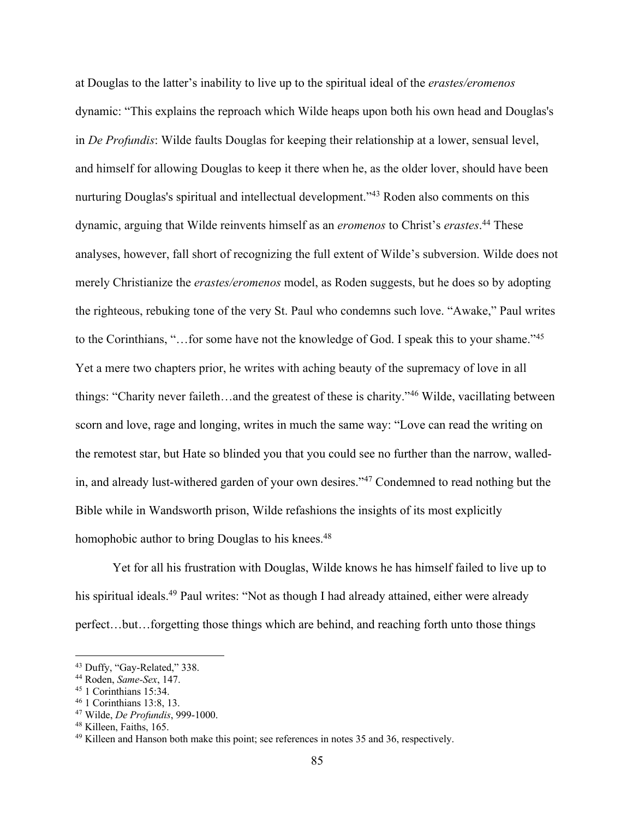at Douglas to the latter's inability to live up to the spiritual ideal of the *erastes/eromenos* dynamic: "This explains the reproach which Wilde heaps upon both his own head and Douglas's in *De Profundis*: Wilde faults Douglas for keeping their relationship at a lower, sensual level, and himself for allowing Douglas to keep it there when he, as the older lover, should have been nurturing Douglas's spiritual and intellectual development."<sup>43</sup> Roden also comments on this dynamic, arguing that Wilde reinvents himself as an *eromenos* to Christ's *erastes*. <sup>44</sup> These analyses, however, fall short of recognizing the full extent of Wilde's subversion. Wilde does not merely Christianize the *erastes/eromenos* model, as Roden suggests, but he does so by adopting the righteous, rebuking tone of the very St. Paul who condemns such love. "Awake," Paul writes to the Corinthians, "…for some have not the knowledge of God. I speak this to your shame."45 Yet a mere two chapters prior, he writes with aching beauty of the supremacy of love in all things: "Charity never faileth…and the greatest of these is charity."46 Wilde, vacillating between scorn and love, rage and longing, writes in much the same way: "Love can read the writing on the remotest star, but Hate so blinded you that you could see no further than the narrow, walledin, and already lust-withered garden of your own desires."47 Condemned to read nothing but the Bible while in Wandsworth prison, Wilde refashions the insights of its most explicitly homophobic author to bring Douglas to his knees.<sup>48</sup>

Yet for all his frustration with Douglas, Wilde knows he has himself failed to live up to his spiritual ideals.<sup>49</sup> Paul writes: "Not as though I had already attained, either were already perfect…but…forgetting those things which are behind, and reaching forth unto those things

<sup>&</sup>lt;sup>43</sup> Duffy, "Gay-Related," 338.<br>
<sup>44</sup> Roden, *Same-Sex*, 147.<br>
<sup>45</sup> 1 Corinthians 15:34.<br>
<sup>46</sup> 1 Corinthians 13:8, 13.<br>
<sup>47</sup> Wilde, *De Profundis*, 999-1000.<br>
<sup>48</sup> Killeen, Faiths, 165.<br>
<sup>49</sup> Killeen and Hanson both make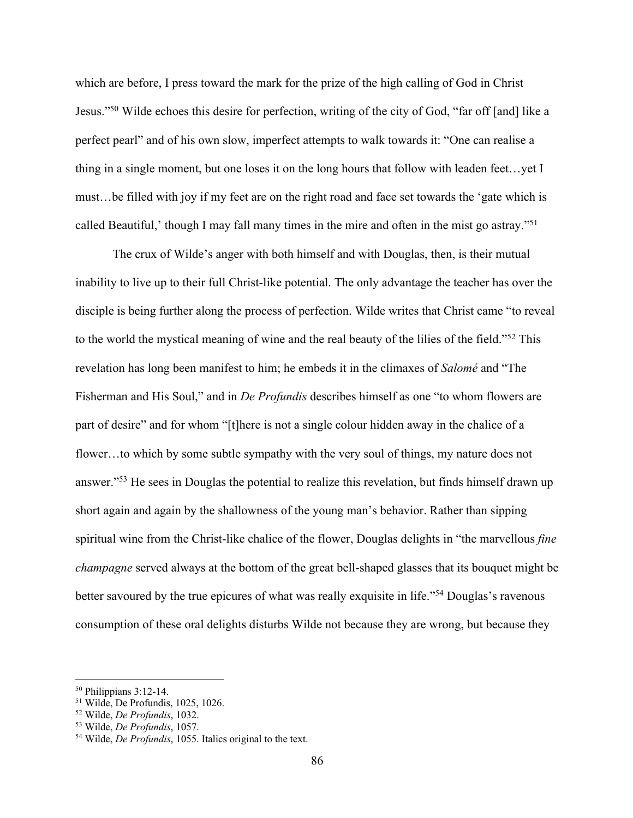which are before, I press toward the mark for the prize of the high calling of God in Christ Jesus."50 Wilde echoes this desire for perfection, writing of the city of God, "far off [and] like a perfect pearl" and of his own slow, imperfect attempts to walk towards it: "One can realise a thing in a single moment, but one loses it on the long hours that follow with leaden feet…yet I must…be filled with joy if my feet are on the right road and face set towards the 'gate which is called Beautiful,' though I may fall many times in the mire and often in the mist go astray."51

The crux of Wilde's anger with both himself and with Douglas, then, is their mutual inability to live up to their full Christ-like potential. The only advantage the teacher has over the disciple is being further along the process of perfection. Wilde writes that Christ came "to reveal to the world the mystical meaning of wine and the real beauty of the lilies of the field."52 This revelation has long been manifest to him; he embeds it in the climaxes of *Salomé* and "The Fisherman and His Soul," and in *De Profundis* describes himself as one "to whom flowers are part of desire" and for whom "[t]here is not a single colour hidden away in the chalice of a flower…to which by some subtle sympathy with the very soul of things, my nature does not answer."53 He sees in Douglas the potential to realize this revelation, but finds himself drawn up short again and again by the shallowness of the young man's behavior. Rather than sipping spiritual wine from the Christ-like chalice of the flower, Douglas delights in "the marvellous *fine champagne* served always at the bottom of the great bell-shaped glasses that its bouquet might be better savoured by the true epicures of what was really exquisite in life."54 Douglas's ravenous consumption of these oral delights disturbs Wilde not because they are wrong, but because they

 $50$  Philippians 3:12-14.<br> $51$  Wilde, De Profundis, 1025, 1026.

<sup>51</sup> Wilde, De Profundis, 1025, 1026. 52 Wilde, *De Profundis*, 1032. 53 Wilde, *De Profundis*, 1057. 54 Wilde, *De Profundis*, 1055. Italics original to the text.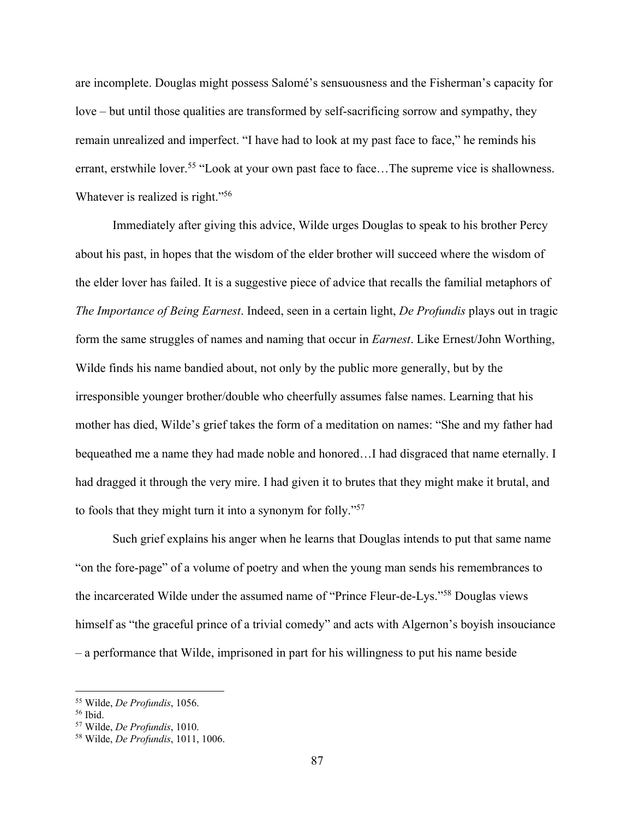are incomplete. Douglas might possess Salomé's sensuousness and the Fisherman's capacity for love – but until those qualities are transformed by self-sacrificing sorrow and sympathy, they remain unrealized and imperfect. "I have had to look at my past face to face," he reminds his errant, erstwhile lover.<sup>55</sup> "Look at your own past face to face...The supreme vice is shallowness. Whatever is realized is right."56

Immediately after giving this advice, Wilde urges Douglas to speak to his brother Percy about his past, in hopes that the wisdom of the elder brother will succeed where the wisdom of the elder lover has failed. It is a suggestive piece of advice that recalls the familial metaphors of *The Importance of Being Earnest*. Indeed, seen in a certain light, *De Profundis* plays out in tragic form the same struggles of names and naming that occur in *Earnest*. Like Ernest/John Worthing, Wilde finds his name bandied about, not only by the public more generally, but by the irresponsible younger brother/double who cheerfully assumes false names. Learning that his mother has died, Wilde's grief takes the form of a meditation on names: "She and my father had bequeathed me a name they had made noble and honored…I had disgraced that name eternally. I had dragged it through the very mire. I had given it to brutes that they might make it brutal, and to fools that they might turn it into a synonym for folly."57

Such grief explains his anger when he learns that Douglas intends to put that same name "on the fore-page" of a volume of poetry and when the young man sends his remembrances to the incarcerated Wilde under the assumed name of "Prince Fleur-de-Lys."58 Douglas views himself as "the graceful prince of a trivial comedy" and acts with Algernon's boyish insouciance – a performance that Wilde, imprisoned in part for his willingness to put his name beside

<sup>55</sup> Wilde, *De Profundis*, 1056.

<sup>56</sup> Ibid. 57 Wilde, *De Profundis*, 1010. 58 Wilde, *De Profundis*, 1011, 1006.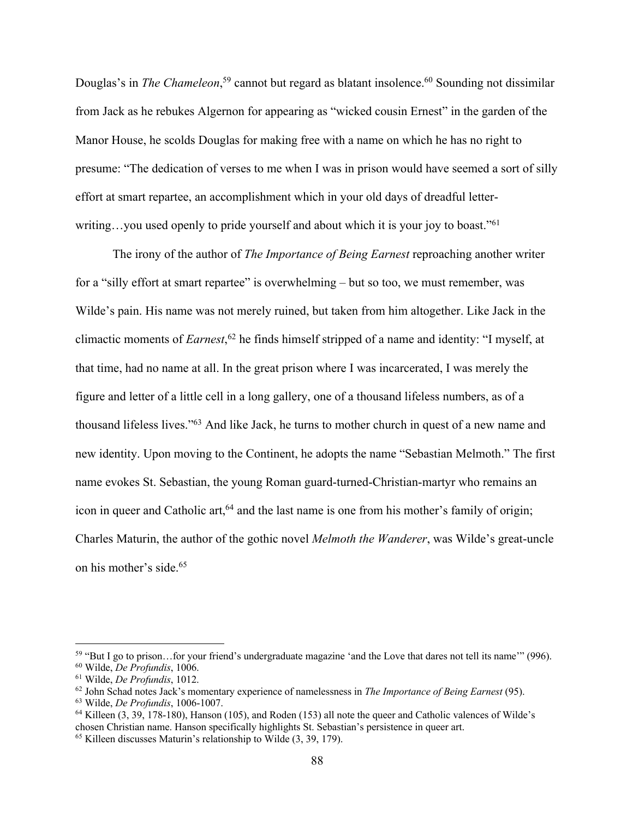Douglas's in *The Chameleon*,<sup>59</sup> cannot but regard as blatant insolence.<sup>60</sup> Sounding not dissimilar from Jack as he rebukes Algernon for appearing as "wicked cousin Ernest" in the garden of the Manor House, he scolds Douglas for making free with a name on which he has no right to presume: "The dedication of verses to me when I was in prison would have seemed a sort of silly effort at smart repartee, an accomplishment which in your old days of dreadful letterwriting...you used openly to pride yourself and about which it is your joy to boast."<sup>61</sup>

The irony of the author of *The Importance of Being Earnest* reproaching another writer for a "silly effort at smart repartee" is overwhelming – but so too, we must remember, was Wilde's pain. His name was not merely ruined, but taken from him altogether. Like Jack in the climactic moments of *Earnest*, <sup>62</sup> he finds himself stripped of a name and identity: "I myself, at that time, had no name at all. In the great prison where I was incarcerated, I was merely the figure and letter of a little cell in a long gallery, one of a thousand lifeless numbers, as of a thousand lifeless lives."63 And like Jack, he turns to mother church in quest of a new name and new identity. Upon moving to the Continent, he adopts the name "Sebastian Melmoth." The first name evokes St. Sebastian, the young Roman guard-turned-Christian-martyr who remains an icon in queer and Catholic art,<sup>64</sup> and the last name is one from his mother's family of origin; Charles Maturin, the author of the gothic novel *Melmoth the Wanderer*, was Wilde's great-uncle on his mother's side.65

<sup>59</sup> "But I go to prison…for your friend's undergraduate magazine 'and the Love that dares not tell its name'" (996).

<sup>&</sup>lt;sup>60</sup> Wilde, *De Profundis*, 1006.<br><sup>61</sup> Wilde, *De Profundis*, 1012.<br><sup>62</sup> John Schad notes Jack's momentary experience of namelessness in *The Importance of Being Earnest* (95).<br><sup>63</sup> Wilde, *De Profundis*, 1006-1007.<br><sup>64</sup>

chosen Christian name. Hanson specifically highlights St. Sebastian's persistence in queer art. 65 Killeen discusses Maturin's relationship to Wilde (3, 39, 179).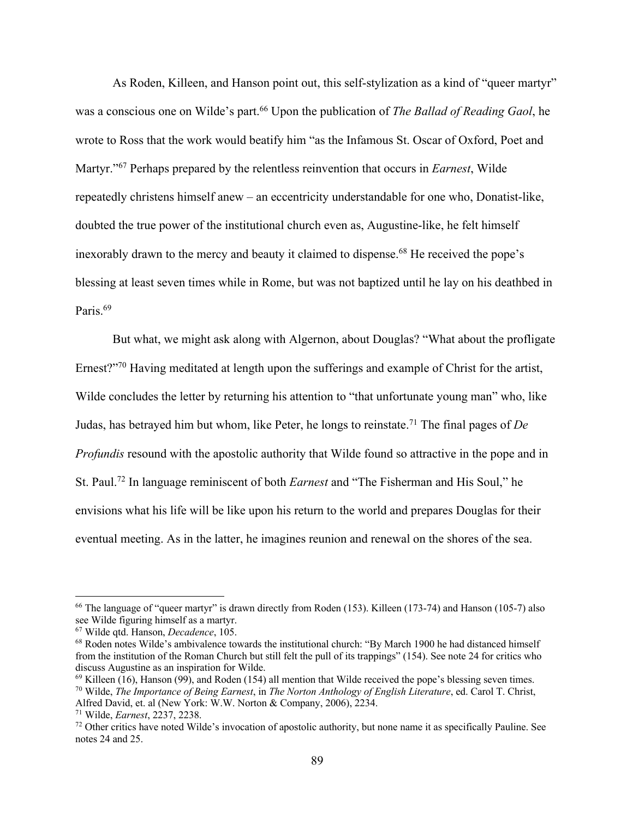As Roden, Killeen, and Hanson point out, this self-stylization as a kind of "queer martyr" was a conscious one on Wilde's part.<sup>66</sup> Upon the publication of *The Ballad of Reading Gaol*, he wrote to Ross that the work would beatify him "as the Infamous St. Oscar of Oxford, Poet and Martyr."67 Perhaps prepared by the relentless reinvention that occurs in *Earnest*, Wilde repeatedly christens himself anew – an eccentricity understandable for one who, Donatist-like, doubted the true power of the institutional church even as, Augustine-like, he felt himself inexorably drawn to the mercy and beauty it claimed to dispense.<sup>68</sup> He received the pope's blessing at least seven times while in Rome, but was not baptized until he lay on his deathbed in Paris.<sup>69</sup>

But what, we might ask along with Algernon, about Douglas? "What about the profligate Ernest?"<sup>70</sup> Having meditated at length upon the sufferings and example of Christ for the artist, Wilde concludes the letter by returning his attention to "that unfortunate young man" who, like Judas, has betrayed him but whom, like Peter, he longs to reinstate.71 The final pages of *De Profundis* resound with the apostolic authority that Wilde found so attractive in the pope and in St. Paul.72 In language reminiscent of both *Earnest* and "The Fisherman and His Soul," he envisions what his life will be like upon his return to the world and prepares Douglas for their eventual meeting. As in the latter, he imagines reunion and renewal on the shores of the sea.

<sup>66</sup> The language of "queer martyr" is drawn directly from Roden (153). Killeen (173-74) and Hanson (105-7) also see Wilde figuring himself as a martyr.<br><sup>67</sup> Wilde gtd. Hanson, *Decadence*, 105.

<sup>&</sup>lt;sup>68</sup> Roden notes Wilde's ambivalence towards the institutional church: "By March 1900 he had distanced himself from the institution of the Roman Church but still felt the pull of its trappings" (154). See note 24 for critics who discuss Augustine as an inspiration for Wilde.<br><sup>69</sup> Killeen (16), Hanson (99), and Roden (154) all mention that Wilde received the pope's blessing seven times.

<sup>&</sup>lt;sup>70</sup> Wilde, *The Importance of Being Earnest*, in *The Norton Anthology of English Literature*, ed. Carol T. Christ, Alfred David, et. al (New York: W.W. Norton & Company, 2006), 2234.

<sup>&</sup>lt;sup>71</sup> Wilde, *Earnest*, 2237, 2238. 2006). The Company, 2006 of a Company, 2234. *The Company Other critics have noted Wilde's invocation of apostolic authority*, but none name it as specifically Pauline. See notes 24 and 25.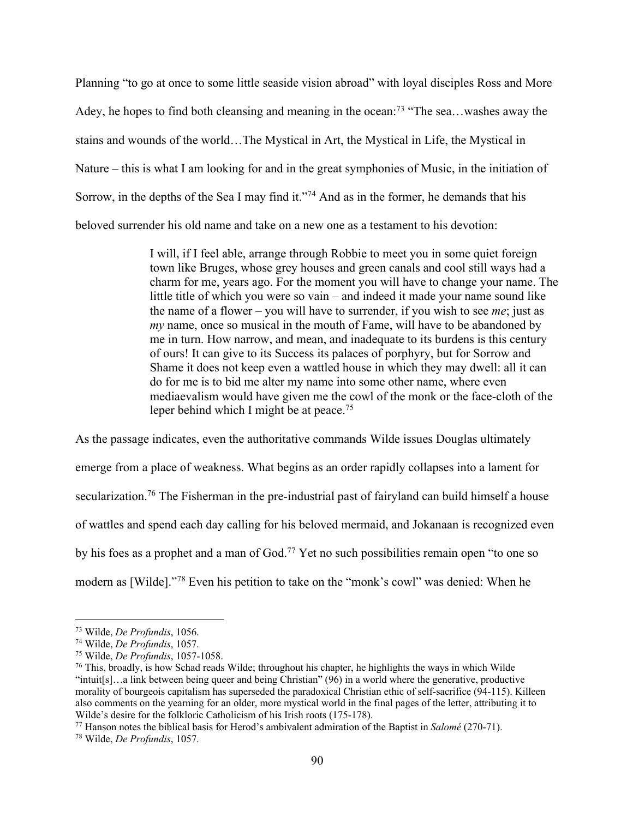Planning "to go at once to some little seaside vision abroad" with loyal disciples Ross and More Adey, he hopes to find both cleansing and meaning in the ocean:<sup>73</sup> "The sea...washes away the stains and wounds of the world…The Mystical in Art, the Mystical in Life, the Mystical in Nature – this is what I am looking for and in the great symphonies of Music, in the initiation of Sorrow, in the depths of the Sea I may find it."<sup>74</sup> And as in the former, he demands that his beloved surrender his old name and take on a new one as a testament to his devotion:

> I will, if I feel able, arrange through Robbie to meet you in some quiet foreign town like Bruges, whose grey houses and green canals and cool still ways had a charm for me, years ago. For the moment you will have to change your name. The little title of which you were so vain – and indeed it made your name sound like the name of a flower – you will have to surrender, if you wish to see *me*; just as *my* name, once so musical in the mouth of Fame, will have to be abandoned by me in turn. How narrow, and mean, and inadequate to its burdens is this century of ours! It can give to its Success its palaces of porphyry, but for Sorrow and Shame it does not keep even a wattled house in which they may dwell: all it can do for me is to bid me alter my name into some other name, where even mediaevalism would have given me the cowl of the monk or the face-cloth of the leper behind which I might be at peace.<sup>75</sup>

As the passage indicates, even the authoritative commands Wilde issues Douglas ultimately emerge from a place of weakness. What begins as an order rapidly collapses into a lament for secularization.76 The Fisherman in the pre-industrial past of fairyland can build himself a house of wattles and spend each day calling for his beloved mermaid, and Jokanaan is recognized even by his foes as a prophet and a man of God.<sup>77</sup> Yet no such possibilities remain open "to one so modern as [Wilde]."78 Even his petition to take on the "monk's cowl" was denied: When he

<sup>&</sup>lt;sup>73</sup> Wilde, *De Profundis*, 1056.<br><sup>74</sup> Wilde, *De Profundis*, 1057.<br><sup>75</sup> Wilde, *De Profundis*, 1057-1058.<br><sup>76</sup> This, broadly, is how Schad reads Wilde; throughout his chapter, he highlights the ways in which Wilde "intuit[s]…a link between being queer and being Christian" (96) in a world where the generative, productive morality of bourgeois capitalism has superseded the paradoxical Christian ethic of self-sacrifice (94-115). Killeen also comments on the yearning for an older, more mystical world in the final pages of the letter, attributing it to Wilde's desire for the folkloric Catholicism of his Irish roots (175-178).<br><sup>77</sup> Hanson notes the biblical basis for Herod's ambivalent admiration of the Baptist in *Salomé* (270-71).<br><sup>78</sup> Wilde, *De Profundis*, 1057.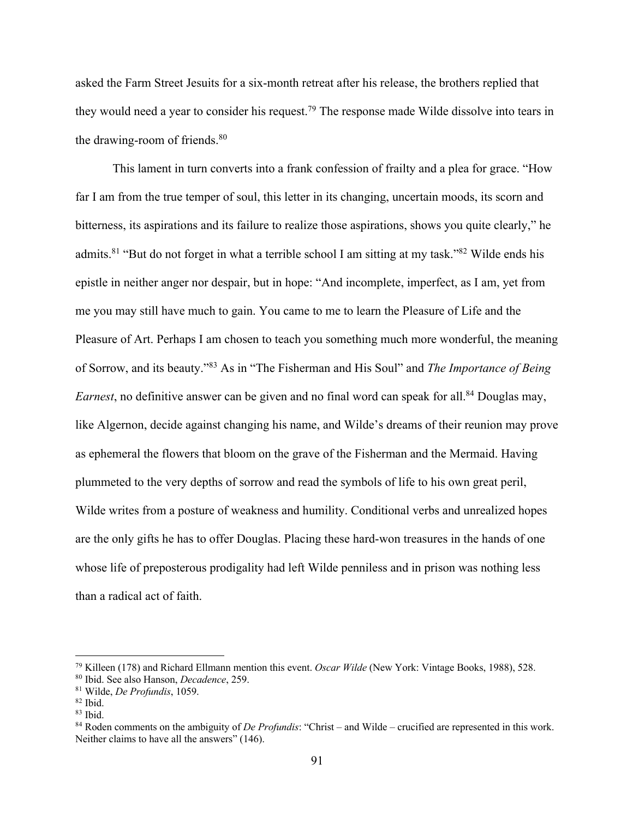asked the Farm Street Jesuits for a six-month retreat after his release, the brothers replied that they would need a year to consider his request.79 The response made Wilde dissolve into tears in the drawing-room of friends.<sup>80</sup>

This lament in turn converts into a frank confession of frailty and a plea for grace. "How far I am from the true temper of soul, this letter in its changing, uncertain moods, its scorn and bitterness, its aspirations and its failure to realize those aspirations, shows you quite clearly," he admits.<sup>81</sup> "But do not forget in what a terrible school I am sitting at my task."<sup>82</sup> Wilde ends his epistle in neither anger nor despair, but in hope: "And incomplete, imperfect, as I am, yet from me you may still have much to gain. You came to me to learn the Pleasure of Life and the Pleasure of Art. Perhaps I am chosen to teach you something much more wonderful, the meaning of Sorrow, and its beauty."83 As in "The Fisherman and His Soul" and *The Importance of Being Earnest*, no definitive answer can be given and no final word can speak for all.<sup>84</sup> Douglas may, like Algernon, decide against changing his name, and Wilde's dreams of their reunion may prove as ephemeral the flowers that bloom on the grave of the Fisherman and the Mermaid. Having plummeted to the very depths of sorrow and read the symbols of life to his own great peril, Wilde writes from a posture of weakness and humility. Conditional verbs and unrealized hopes are the only gifts he has to offer Douglas. Placing these hard-won treasures in the hands of one whose life of preposterous prodigality had left Wilde penniless and in prison was nothing less than a radical act of faith.

<sup>&</sup>lt;sup>79</sup> Killeen (178) and Richard Ellmann mention this event. *Oscar Wilde* (New York: Vintage Books, 1988), 528.<br><sup>80</sup> Ibid. See also Hanson, *Decadence*, 259.<br><sup>81</sup> Wilde, *De Profundis*, 1059.<br><sup>82</sup> Ibid.<br><sup>83</sup> Ibid.<br><sup>84</sup> Rod Neither claims to have all the answers" (146).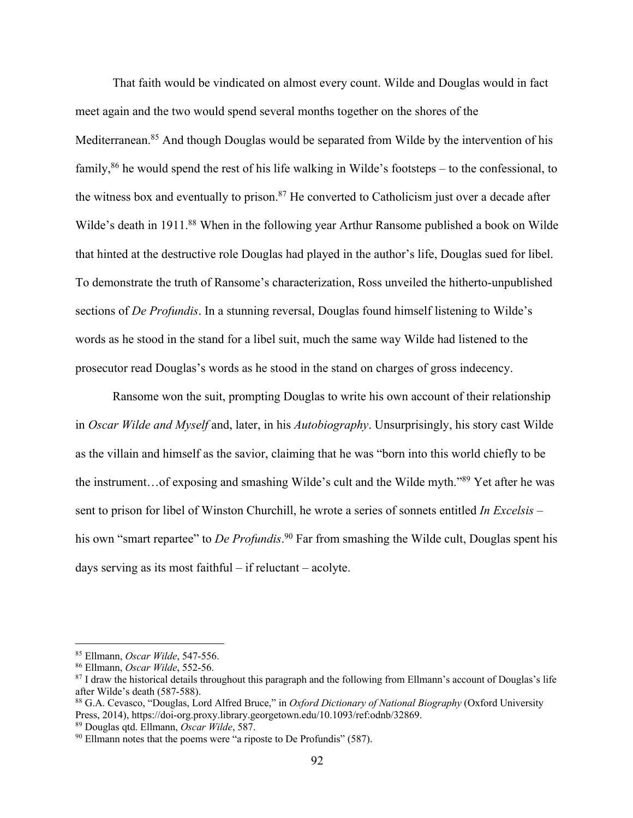That faith would be vindicated on almost every count. Wilde and Douglas would in fact meet again and the two would spend several months together on the shores of the Mediterranean.<sup>85</sup> And though Douglas would be separated from Wilde by the intervention of his family,86 he would spend the rest of his life walking in Wilde's footsteps – to the confessional, to the witness box and eventually to prison.<sup>87</sup> He converted to Catholicism just over a decade after Wilde's death in 1911.<sup>88</sup> When in the following year Arthur Ransome published a book on Wilde that hinted at the destructive role Douglas had played in the author's life, Douglas sued for libel. To demonstrate the truth of Ransome's characterization, Ross unveiled the hitherto-unpublished sections of *De Profundis*. In a stunning reversal, Douglas found himself listening to Wilde's words as he stood in the stand for a libel suit, much the same way Wilde had listened to the prosecutor read Douglas's words as he stood in the stand on charges of gross indecency.

Ransome won the suit, prompting Douglas to write his own account of their relationship in *Oscar Wilde and Myself* and, later, in his *Autobiography*. Unsurprisingly, his story cast Wilde as the villain and himself as the savior, claiming that he was "born into this world chiefly to be the instrument…of exposing and smashing Wilde's cult and the Wilde myth."89 Yet after he was sent to prison for libel of Winston Churchill, he wrote a series of sonnets entitled *In Excelsis* – his own "smart repartee" to *De Profundis*. <sup>90</sup> Far from smashing the Wilde cult, Douglas spent his days serving as its most faithful – if reluctant – acolyte.

<sup>&</sup>lt;sup>85</sup> Ellmann, *Oscar Wilde*, 547-556.<br><sup>86</sup> Ellmann, *Oscar Wilde*, 552-56.<br><sup>87</sup> I draw the historical details throughout this paragraph and the following from Ellmann's account of Douglas's life after Wilde's death (587-588).

<sup>88</sup> G.A. Cevasco, "Douglas, Lord Alfred Bruce," in *Oxford Dictionary of National Biography* (Oxford University Press, 2014), https://doi-org.proxy.library.georgetown.edu/10.1093/ref:odnb/32869.<br><sup>89</sup> Douglas qtd. Ellmann, *Oscar Wilde*, 587.<br><sup>90</sup> Ellmann notes that the poems were "a riposte to De Profundis" (587).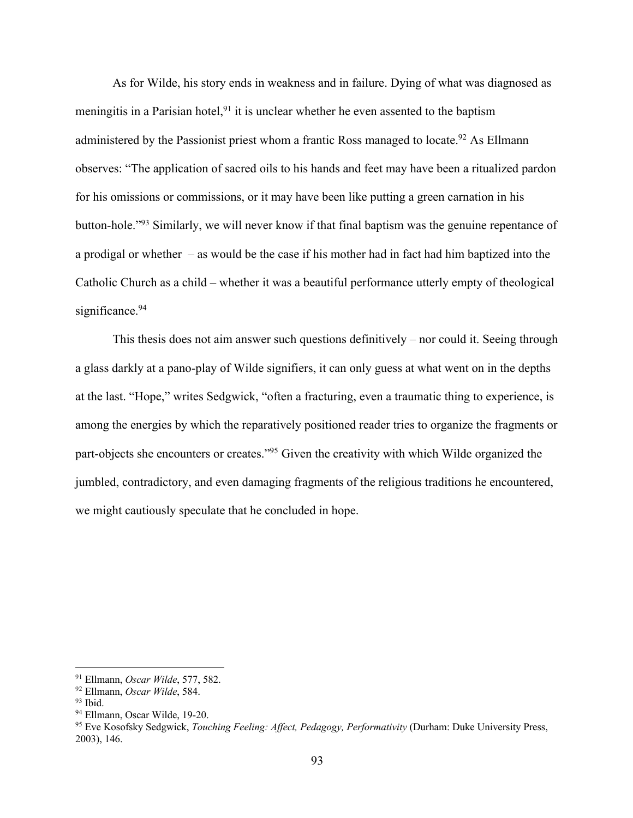As for Wilde, his story ends in weakness and in failure. Dying of what was diagnosed as meningitis in a Parisian hotel,  $91$  it is unclear whether he even assented to the baptism administered by the Passionist priest whom a frantic Ross managed to locate.<sup>92</sup> As Ellmann observes: "The application of sacred oils to his hands and feet may have been a ritualized pardon for his omissions or commissions, or it may have been like putting a green carnation in his button-hole."93 Similarly, we will never know if that final baptism was the genuine repentance of a prodigal or whether – as would be the case if his mother had in fact had him baptized into the Catholic Church as a child – whether it was a beautiful performance utterly empty of theological significance.<sup>94</sup>

This thesis does not aim answer such questions definitively – nor could it. Seeing through a glass darkly at a pano-play of Wilde signifiers, it can only guess at what went on in the depths at the last. "Hope," writes Sedgwick, "often a fracturing, even a traumatic thing to experience, is among the energies by which the reparatively positioned reader tries to organize the fragments or part-objects she encounters or creates."95 Given the creativity with which Wilde organized the jumbled, contradictory, and even damaging fragments of the religious traditions he encountered, we might cautiously speculate that he concluded in hope.

<sup>&</sup>lt;sup>91</sup> Ellmann, *Oscar Wilde*, 577, 582.<br><sup>92</sup> Ellmann, *Oscar Wilde*, 584.<br><sup>93</sup> Ibid.<br><sup>94</sup> Ellmann, Oscar Wilde, 19-20.<br><sup>95</sup> Eve Kosofsky Sedgwick, *Touching Feeling: Affect, Pedagogy, Performativity* (Durham: Duke Universit 2003), 146.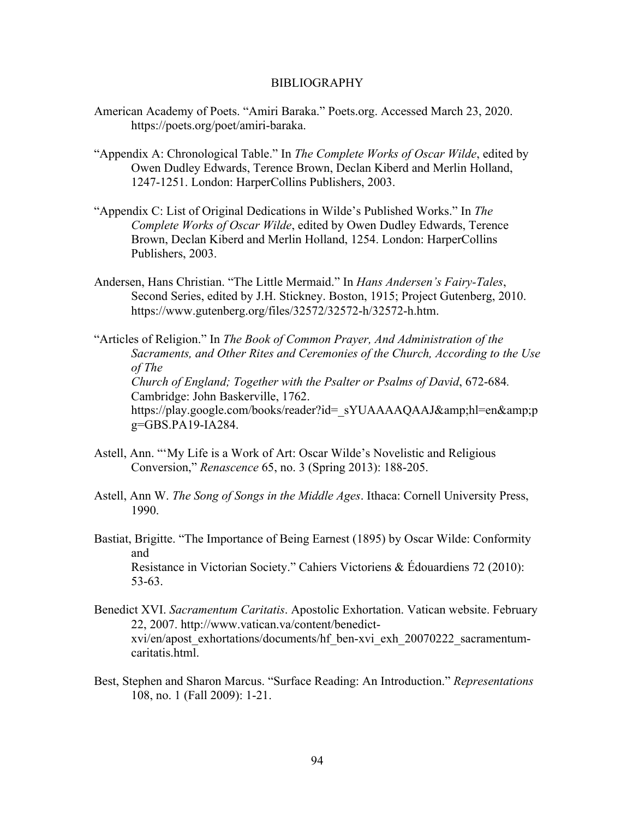## BIBLIOGRAPHY

- American Academy of Poets. "Amiri Baraka." Poets.org. Accessed March 23, 2020. https://poets.org/poet/amiri-baraka.
- "Appendix A: Chronological Table." In *The Complete Works of Oscar Wilde*, edited by Owen Dudley Edwards, Terence Brown, Declan Kiberd and Merlin Holland, 1247-1251. London: HarperCollins Publishers, 2003.
- "Appendix C: List of Original Dedications in Wilde's Published Works." In *The Complete Works of Oscar Wilde*, edited by Owen Dudley Edwards, Terence Brown, Declan Kiberd and Merlin Holland, 1254. London: HarperCollins Publishers, 2003.
- Andersen, Hans Christian. "The Little Mermaid." In *Hans Andersen's Fairy-Tales*, Second Series, edited by J.H. Stickney. Boston, 1915; Project Gutenberg, 2010. https://www.gutenberg.org/files/32572/32572-h/32572-h.htm.
- "Articles of Religion." In *The Book of Common Prayer, And Administration of the Sacraments, and Other Rites and Ceremonies of the Church, According to the Use of The Church of England; Together with the Psalter or Psalms of David*, 672-684*.* Cambridge: John Baskerville, 1762. https://play.google.com/books/reader?id=\_sYUAAAAQAAJ&hl=en&p g=GBS.PA19-IA284.
- Astell, Ann. "'My Life is a Work of Art: Oscar Wilde's Novelistic and Religious Conversion," *Renascence* 65, no. 3 (Spring 2013): 188-205.
- Astell, Ann W. *The Song of Songs in the Middle Ages*. Ithaca: Cornell University Press, 1990.
- Bastiat, Brigitte. "The Importance of Being Earnest (1895) by Oscar Wilde: Conformity and Resistance in Victorian Society." Cahiers Victoriens & Édouardiens 72 (2010): 53-63.
- Benedict XVI. *Sacramentum Caritatis*. Apostolic Exhortation. Vatican website. February 22, 2007. http://www.vatican.va/content/benedictxvi/en/apost\_exhortations/documents/hf\_ben-xvi\_exh\_20070222\_sacramentumcaritatis.html.
- Best, Stephen and Sharon Marcus. "Surface Reading: An Introduction." *Representations* 108, no. 1 (Fall 2009): 1-21.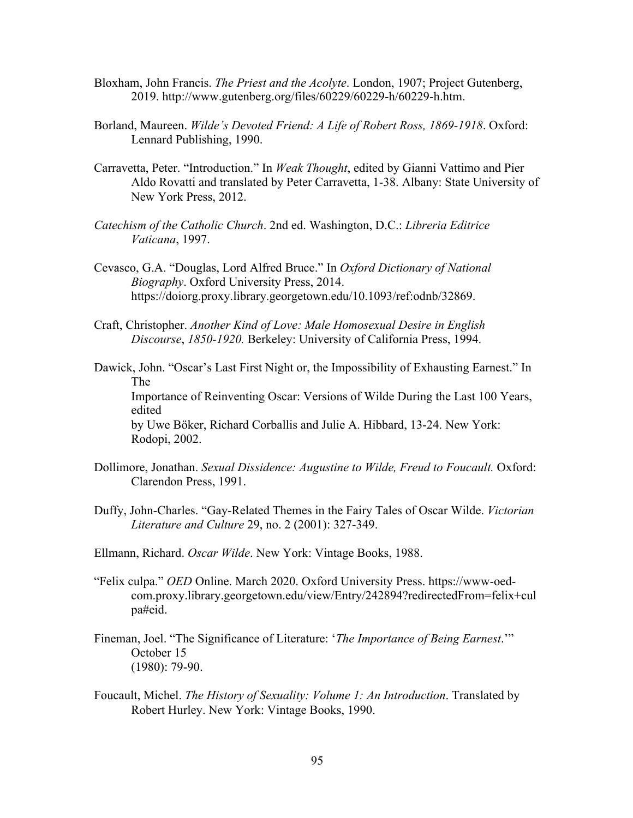- Bloxham, John Francis. *The Priest and the Acolyte*. London, 1907; Project Gutenberg, 2019. http://www.gutenberg.org/files/60229/60229-h/60229-h.htm.
- Borland, Maureen. *Wilde's Devoted Friend: A Life of Robert Ross, 1869-1918*. Oxford: Lennard Publishing, 1990.
- Carravetta, Peter. "Introduction." In *Weak Thought*, edited by Gianni Vattimo and Pier Aldo Rovatti and translated by Peter Carravetta, 1-38. Albany: State University of New York Press, 2012.
- *Catechism of the Catholic Church*. 2nd ed. Washington, D.C.: *Libreria Editrice Vaticana*, 1997.
- Cevasco, G.A. "Douglas, Lord Alfred Bruce." In *Oxford Dictionary of National Biography*. Oxford University Press, 2014. https://doiorg.proxy.library.georgetown.edu/10.1093/ref:odnb/32869.
- Craft, Christopher. *Another Kind of Love: Male Homosexual Desire in English Discourse*, *1850-1920.* Berkeley: University of California Press, 1994.
- Dawick, John. "Oscar's Last First Night or, the Impossibility of Exhausting Earnest." In The Importance of Reinventing Oscar: Versions of Wilde During the Last 100 Years, edited by Uwe Böker, Richard Corballis and Julie A. Hibbard, 13-24. New York: Rodopi, 2002.
- Dollimore, Jonathan. *Sexual Dissidence: Augustine to Wilde, Freud to Foucault.* Oxford: Clarendon Press, 1991.
- Duffy, John-Charles. "Gay-Related Themes in the Fairy Tales of Oscar Wilde. *Victorian Literature and Culture* 29, no. 2 (2001): 327-349.
- Ellmann, Richard. *Oscar Wilde*. New York: Vintage Books, 1988.
- "Felix culpa." *OED* Online. March 2020. Oxford University Press. https://www-oedcom.proxy.library.georgetown.edu/view/Entry/242894?redirectedFrom=felix+cul pa#eid.
- Fineman, Joel. "The Significance of Literature: '*The Importance of Being Earnest*.'" October 15 (1980): 79-90.
- Foucault, Michel. *The History of Sexuality: Volume 1: An Introduction*. Translated by Robert Hurley. New York: Vintage Books, 1990.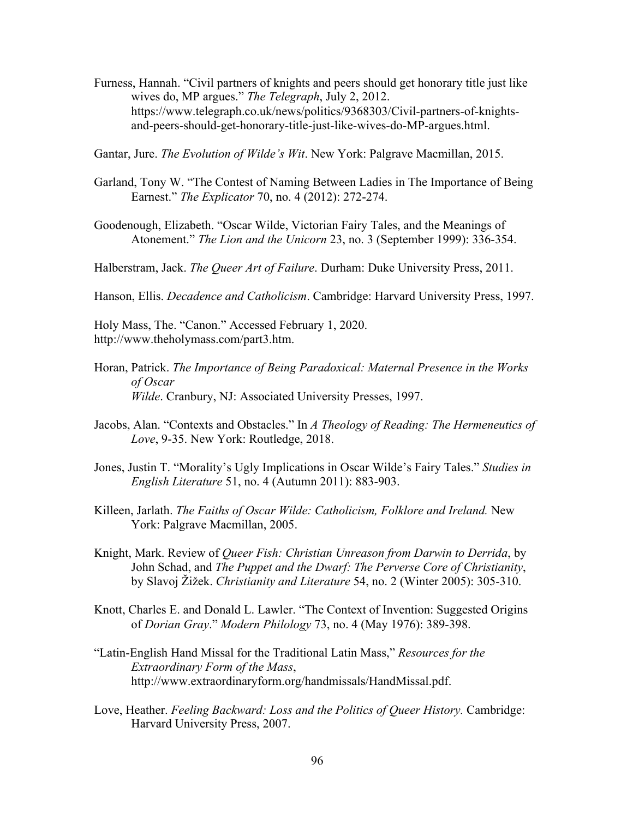- Furness, Hannah. "Civil partners of knights and peers should get honorary title just like wives do, MP argues." *The Telegraph*, July 2, 2012. https://www.telegraph.co.uk/news/politics/9368303/Civil-partners-of-knightsand-peers-should-get-honorary-title-just-like-wives-do-MP-argues.html.
- Gantar, Jure. *The Evolution of Wilde's Wit*. New York: Palgrave Macmillan, 2015.
- Garland, Tony W. "The Contest of Naming Between Ladies in The Importance of Being Earnest." *The Explicator* 70, no. 4 (2012): 272-274.
- Goodenough, Elizabeth. "Oscar Wilde, Victorian Fairy Tales, and the Meanings of Atonement." *The Lion and the Unicorn* 23, no. 3 (September 1999): 336-354.
- Halberstram, Jack. *The Queer Art of Failure*. Durham: Duke University Press, 2011.

Hanson, Ellis. *Decadence and Catholicism*. Cambridge: Harvard University Press, 1997.

Holy Mass, The. "Canon." Accessed February 1, 2020. http://www.theholymass.com/part3.htm.

- Horan, Patrick. *The Importance of Being Paradoxical: Maternal Presence in the Works of Oscar Wilde*. Cranbury, NJ: Associated University Presses, 1997.
- Jacobs, Alan. "Contexts and Obstacles." In *A Theology of Reading: The Hermeneutics of Love*, 9-35. New York: Routledge, 2018.
- Jones, Justin T. "Morality's Ugly Implications in Oscar Wilde's Fairy Tales." *Studies in English Literature* 51, no. 4 (Autumn 2011): 883-903.
- Killeen, Jarlath. *The Faiths of Oscar Wilde: Catholicism, Folklore and Ireland.* New York: Palgrave Macmillan, 2005.
- Knight, Mark. Review of *Queer Fish: Christian Unreason from Darwin to Derrida*, by John Schad, and *The Puppet and the Dwarf: The Perverse Core of Christianity*, by Slavoj Žižek. *Christianity and Literature* 54, no. 2 (Winter 2005): 305-310.
- Knott, Charles E. and Donald L. Lawler. "The Context of Invention: Suggested Origins of *Dorian Gray*." *Modern Philology* 73, no. 4 (May 1976): 389-398.
- "Latin-English Hand Missal for the Traditional Latin Mass," *Resources for the Extraordinary Form of the Mass*, http://www.extraordinaryform.org/handmissals/HandMissal.pdf.
- Love, Heather. *Feeling Backward: Loss and the Politics of Queer History*. Cambridge: Harvard University Press, 2007.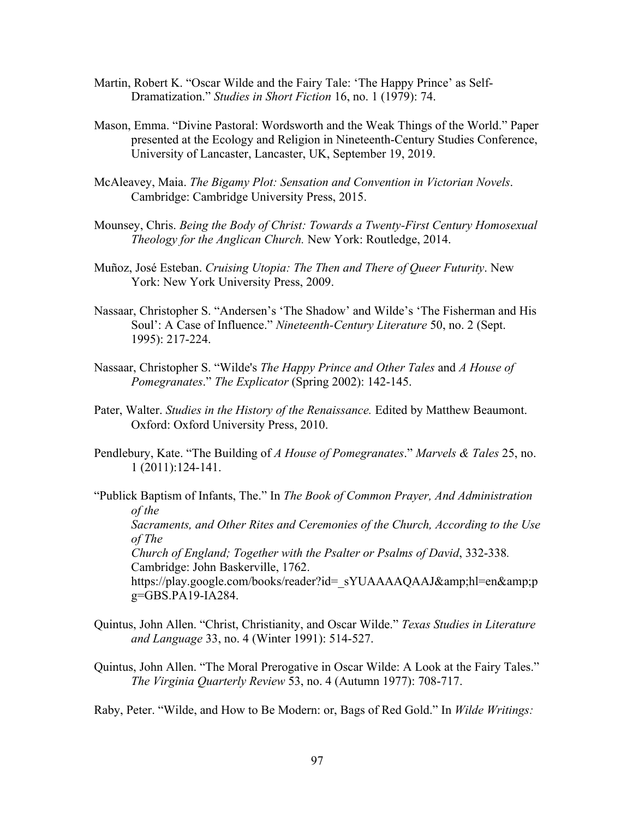- Martin, Robert K. "Oscar Wilde and the Fairy Tale: 'The Happy Prince' as Self-Dramatization." *Studies in Short Fiction* 16, no. 1 (1979): 74.
- Mason, Emma. "Divine Pastoral: Wordsworth and the Weak Things of the World." Paper presented at the Ecology and Religion in Nineteenth-Century Studies Conference, University of Lancaster, Lancaster, UK, September 19, 2019.
- McAleavey, Maia. *The Bigamy Plot: Sensation and Convention in Victorian Novels*. Cambridge: Cambridge University Press, 2015.
- Mounsey, Chris. *Being the Body of Christ: Towards a Twenty-First Century Homosexual Theology for the Anglican Church.* New York: Routledge, 2014.
- Muñoz, José Esteban. *Cruising Utopia: The Then and There of Queer Futurity*. New York: New York University Press, 2009.
- Nassaar, Christopher S. "Andersen's 'The Shadow' and Wilde's 'The Fisherman and His Soul': A Case of Influence." *Nineteenth-Century Literature* 50, no. 2 (Sept. 1995): 217-224.
- Nassaar, Christopher S. "Wilde's *The Happy Prince and Other Tales* and *A House of Pomegranates*." *The Explicator* (Spring 2002): 142-145.
- Pater, Walter. *Studies in the History of the Renaissance.* Edited by Matthew Beaumont. Oxford: Oxford University Press, 2010.
- Pendlebury, Kate. "The Building of *A House of Pomegranates*." *Marvels & Tales* 25, no. 1 (2011):124-141.
- "Publick Baptism of Infants, The." In *The Book of Common Prayer, And Administration of the Sacraments, and Other Rites and Ceremonies of the Church, According to the Use of The Church of England; Together with the Psalter or Psalms of David*, 332-338*.* Cambridge: John Baskerville, 1762. https://play.google.com/books/reader?id= sYUAAAAQAAJ&hl=en&p g=GBS.PA19-IA284.
- Quintus, John Allen. "Christ, Christianity, and Oscar Wilde." *Texas Studies in Literature and Language* 33, no. 4 (Winter 1991): 514-527.
- Quintus, John Allen. "The Moral Prerogative in Oscar Wilde: A Look at the Fairy Tales." *The Virginia Quarterly Review* 53, no. 4 (Autumn 1977): 708-717.

Raby, Peter. "Wilde, and How to Be Modern: or, Bags of Red Gold." In *Wilde Writings:*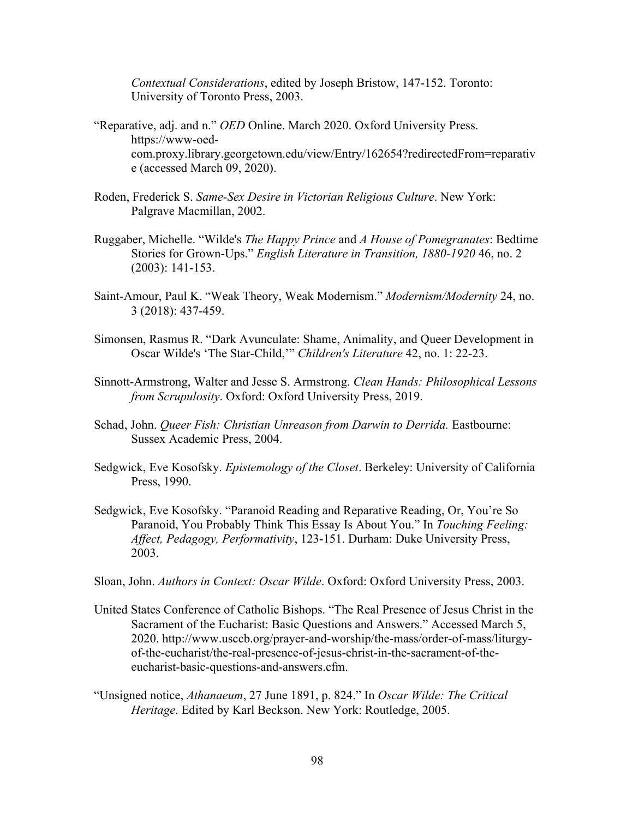*Contextual Considerations*, edited by Joseph Bristow, 147-152. Toronto: University of Toronto Press, 2003.

- "Reparative, adj. and n." *OED* Online. March 2020. Oxford University Press. https://www-oedcom.proxy.library.georgetown.edu/view/Entry/162654?redirectedFrom=reparativ e (accessed March 09, 2020).
- Roden, Frederick S. *Same-Sex Desire in Victorian Religious Culture*. New York: Palgrave Macmillan, 2002.
- Ruggaber, Michelle. "Wilde's *The Happy Prince* and *A House of Pomegranates*: Bedtime Stories for Grown-Ups." *English Literature in Transition, 1880-1920* 46, no. 2 (2003): 141-153.
- Saint-Amour, Paul K. "Weak Theory, Weak Modernism." *Modernism/Modernity* 24, no. 3 (2018): 437-459.
- Simonsen, Rasmus R. "Dark Avunculate: Shame, Animality, and Queer Development in Oscar Wilde's 'The Star-Child,'" *Children's Literature* 42, no. 1: 22-23.
- Sinnott-Armstrong, Walter and Jesse S. Armstrong. *Clean Hands: Philosophical Lessons from Scrupulosity*. Oxford: Oxford University Press, 2019.
- Schad, John. *Queer Fish: Christian Unreason from Darwin to Derrida.* Eastbourne: Sussex Academic Press, 2004.
- Sedgwick, Eve Kosofsky. *Epistemology of the Closet*. Berkeley: University of California Press, 1990.
- Sedgwick, Eve Kosofsky. "Paranoid Reading and Reparative Reading, Or, You're So Paranoid, You Probably Think This Essay Is About You." In *Touching Feeling: Affect, Pedagogy, Performativity*, 123-151. Durham: Duke University Press, 2003.
- Sloan, John. *Authors in Context: Oscar Wilde*. Oxford: Oxford University Press, 2003.
- United States Conference of Catholic Bishops. "The Real Presence of Jesus Christ in the Sacrament of the Eucharist: Basic Questions and Answers." Accessed March 5, 2020. http://www.usccb.org/prayer-and-worship/the-mass/order-of-mass/liturgyof-the-eucharist/the-real-presence-of-jesus-christ-in-the-sacrament-of-theeucharist-basic-questions-and-answers.cfm.
- "Unsigned notice, *Athanaeum*, 27 June 1891, p. 824." In *Oscar Wilde: The Critical Heritage*. Edited by Karl Beckson. New York: Routledge, 2005.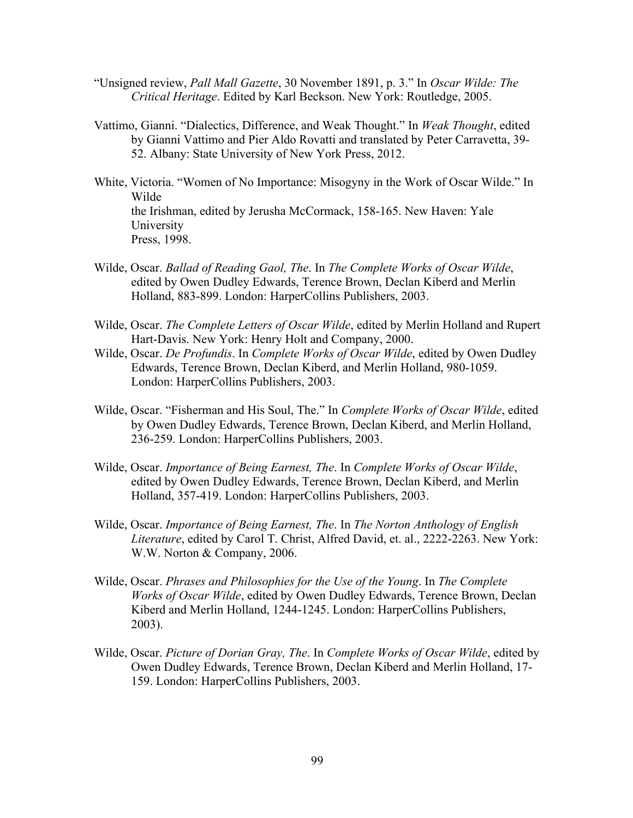- "Unsigned review, *Pall Mall Gazette*, 30 November 1891, p. 3." In *Oscar Wilde: The Critical Heritage*. Edited by Karl Beckson. New York: Routledge, 2005.
- Vattimo, Gianni. "Dialectics, Difference, and Weak Thought." In *Weak Thought*, edited by Gianni Vattimo and Pier Aldo Rovatti and translated by Peter Carravetta, 39- 52. Albany: State University of New York Press, 2012.
- White, Victoria. "Women of No Importance: Misogyny in the Work of Oscar Wilde." In Wilde the Irishman, edited by Jerusha McCormack, 158-165. New Haven: Yale University Press, 1998.
- Wilde, Oscar. *Ballad of Reading Gaol, The*. In *The Complete Works of Oscar Wilde*, edited by Owen Dudley Edwards, Terence Brown, Declan Kiberd and Merlin Holland, 883-899. London: HarperCollins Publishers, 2003.
- Wilde, Oscar. *The Complete Letters of Oscar Wilde*, edited by Merlin Holland and Rupert Hart-Davis. New York: Henry Holt and Company, 2000.
- Wilde, Oscar. *De Profundis*. In *Complete Works of Oscar Wilde*, edited by Owen Dudley Edwards, Terence Brown, Declan Kiberd, and Merlin Holland, 980-1059. London: HarperCollins Publishers, 2003.
- Wilde, Oscar. "Fisherman and His Soul, The." In *Complete Works of Oscar Wilde*, edited by Owen Dudley Edwards, Terence Brown, Declan Kiberd, and Merlin Holland, 236-259. London: HarperCollins Publishers, 2003.
- Wilde, Oscar. *Importance of Being Earnest, The*. In *Complete Works of Oscar Wilde*, edited by Owen Dudley Edwards, Terence Brown, Declan Kiberd, and Merlin Holland, 357-419. London: HarperCollins Publishers, 2003.
- Wilde, Oscar. *Importance of Being Earnest, The*. In *The Norton Anthology of English Literature*, edited by Carol T. Christ, Alfred David, et. al., 2222-2263. New York: W.W. Norton & Company, 2006.
- Wilde, Oscar. *Phrases and Philosophies for the Use of the Young*. In *The Complete Works of Oscar Wilde*, edited by Owen Dudley Edwards, Terence Brown, Declan Kiberd and Merlin Holland, 1244-1245. London: HarperCollins Publishers, 2003).
- Wilde, Oscar. *Picture of Dorian Gray, The*. In *Complete Works of Oscar Wilde*, edited by Owen Dudley Edwards, Terence Brown, Declan Kiberd and Merlin Holland, 17- 159. London: HarperCollins Publishers, 2003.